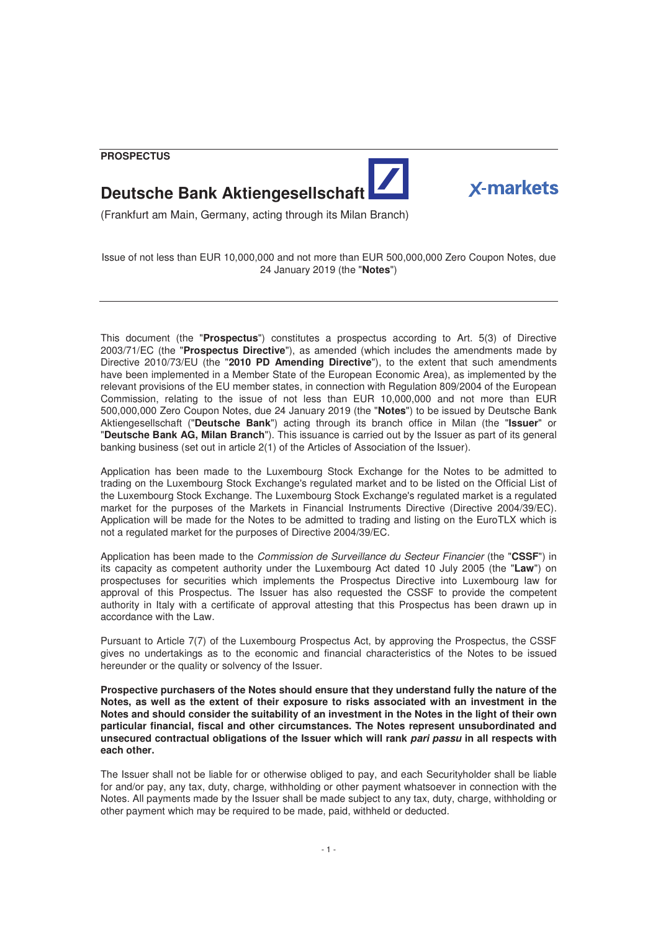**PROSPECTUS** 





# **Deutsche Bank Aktiengesellschaft**

(Frankfurt am Main, Germany, acting through its Milan Branch)

Issue of not less than EUR 10,000,000 and not more than EUR 500,000,000 Zero Coupon Notes, due 24 January 2019 (the "**Notes**")

This document (the "**Prospectus**") constitutes a prospectus according to Art. 5(3) of Directive 2003/71/EC (the "**Prospectus Directive**"), as amended (which includes the amendments made by Directive 2010/73/EU (the "**2010 PD Amending Directive**"), to the extent that such amendments have been implemented in a Member State of the European Economic Area), as implemented by the relevant provisions of the EU member states, in connection with Regulation 809/2004 of the European Commission, relating to the issue of not less than EUR 10,000,000 and not more than EUR 500,000,000 Zero Coupon Notes, due 24 January 2019 (the "**Notes**") to be issued by Deutsche Bank Aktiengesellschaft ("**Deutsche Bank**") acting through its branch office in Milan (the "**Issuer**" or "**Deutsche Bank AG, Milan Branch**"). This issuance is carried out by the Issuer as part of its general banking business (set out in article 2(1) of the Articles of Association of the Issuer).

Application has been made to the Luxembourg Stock Exchange for the Notes to be admitted to trading on the Luxembourg Stock Exchange's regulated market and to be listed on the Official List of the Luxembourg Stock Exchange. The Luxembourg Stock Exchange's regulated market is a regulated market for the purposes of the Markets in Financial Instruments Directive (Directive 2004/39/EC). Application will be made for the Notes to be admitted to trading and listing on the EuroTLX which is not a regulated market for the purposes of Directive 2004/39/EC.

Application has been made to the Commission de Surveillance du Secteur Financier (the "**CSSF**") in its capacity as competent authority under the Luxembourg Act dated 10 July 2005 (the "**Law**") on prospectuses for securities which implements the Prospectus Directive into Luxembourg law for approval of this Prospectus. The Issuer has also requested the CSSF to provide the competent authority in Italy with a certificate of approval attesting that this Prospectus has been drawn up in accordance with the Law.

Pursuant to Article 7(7) of the Luxembourg Prospectus Act, by approving the Prospectus, the CSSF gives no undertakings as to the economic and financial characteristics of the Notes to be issued hereunder or the quality or solvency of the Issuer.

**Prospective purchasers of the Notes should ensure that they understand fully the nature of the Notes, as well as the extent of their exposure to risks associated with an investment in the Notes and should consider the suitability of an investment in the Notes in the light of their own particular financial, fiscal and other circumstances. The Notes represent unsubordinated and unsecured contractual obligations of the Issuer which will rank** *pari passu* **in all respects with each other.**

The Issuer shall not be liable for or otherwise obliged to pay, and each Securityholder shall be liable for and/or pay, any tax, duty, charge, withholding or other payment whatsoever in connection with the Notes. All payments made by the Issuer shall be made subject to any tax, duty, charge, withholding or other payment which may be required to be made, paid, withheld or deducted.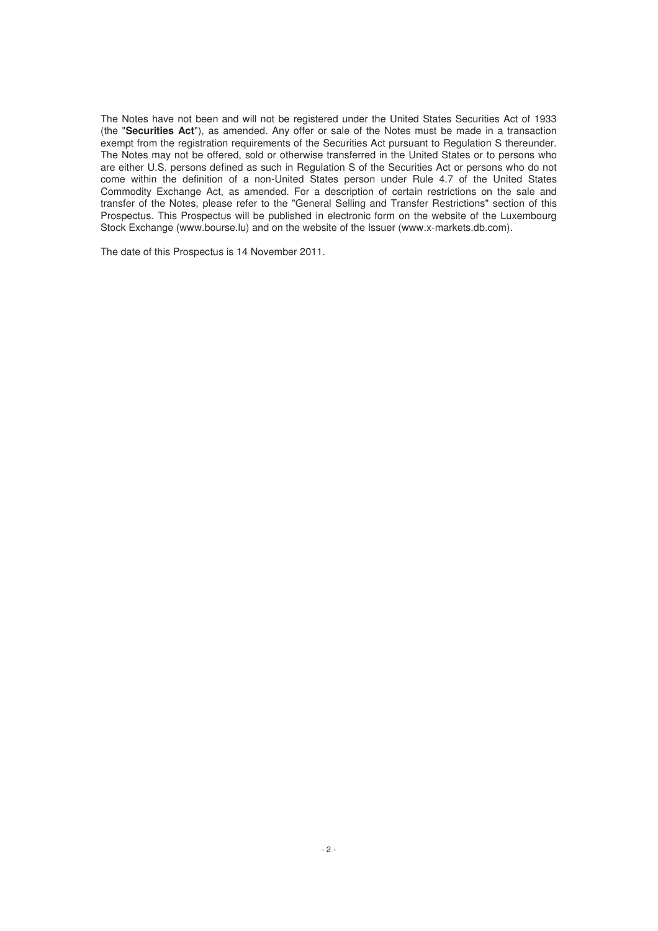The Notes have not been and will not be registered under the United States Securities Act of 1933 (the "**Securities Act**"), as amended. Any offer or sale of the Notes must be made in a transaction exempt from the registration requirements of the Securities Act pursuant to Regulation S thereunder. The Notes may not be offered, sold or otherwise transferred in the United States or to persons who are either U.S. persons defined as such in Regulation S of the Securities Act or persons who do not come within the definition of a non-United States person under Rule 4.7 of the United States Commodity Exchange Act, as amended. For a description of certain restrictions on the sale and transfer of the Notes, please refer to the "General Selling and Transfer Restrictions" section of this Prospectus. This Prospectus will be published in electronic form on the website of the Luxembourg Stock Exchange (www.bourse.lu) and on the website of the Issuer (www.x-markets.db.com).

The date of this Prospectus is 14 November 2011.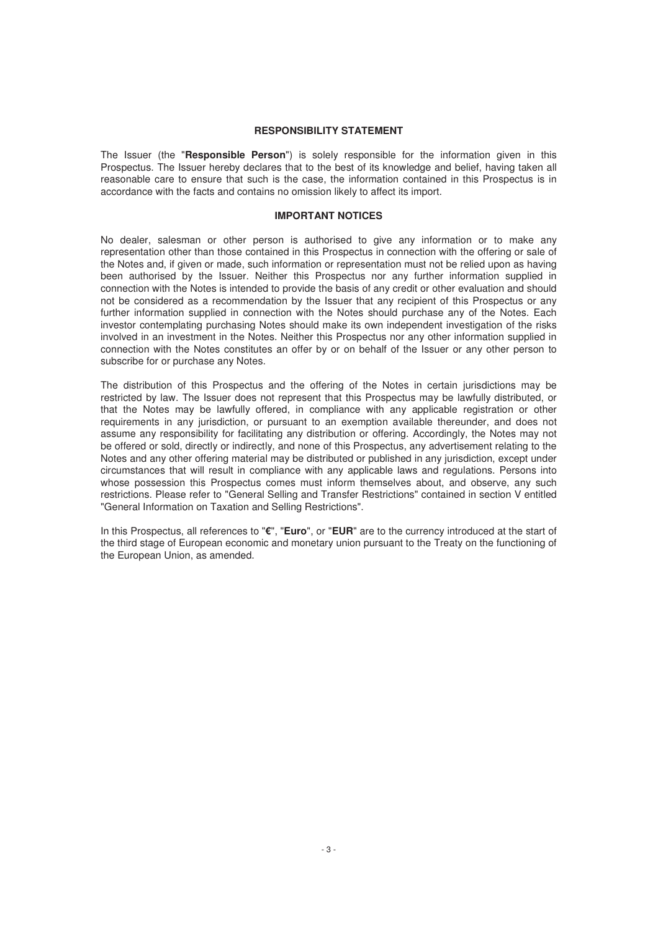# **RESPONSIBILITY STATEMENT**

The Issuer (the "**Responsible Person**") is solely responsible for the information given in this Prospectus. The Issuer hereby declares that to the best of its knowledge and belief, having taken all reasonable care to ensure that such is the case, the information contained in this Prospectus is in accordance with the facts and contains no omission likely to affect its import.

# **IMPORTANT NOTICES**

No dealer, salesman or other person is authorised to give any information or to make any representation other than those contained in this Prospectus in connection with the offering or sale of the Notes and, if given or made, such information or representation must not be relied upon as having been authorised by the Issuer. Neither this Prospectus nor any further information supplied in connection with the Notes is intended to provide the basis of any credit or other evaluation and should not be considered as a recommendation by the Issuer that any recipient of this Prospectus or any further information supplied in connection with the Notes should purchase any of the Notes. Each investor contemplating purchasing Notes should make its own independent investigation of the risks involved in an investment in the Notes. Neither this Prospectus nor any other information supplied in connection with the Notes constitutes an offer by or on behalf of the Issuer or any other person to subscribe for or purchase any Notes.

The distribution of this Prospectus and the offering of the Notes in certain jurisdictions may be restricted by law. The Issuer does not represent that this Prospectus may be lawfully distributed, or that the Notes may be lawfully offered, in compliance with any applicable registration or other requirements in any jurisdiction, or pursuant to an exemption available thereunder, and does not assume any responsibility for facilitating any distribution or offering. Accordingly, the Notes may not be offered or sold, directly or indirectly, and none of this Prospectus, any advertisement relating to the Notes and any other offering material may be distributed or published in any jurisdiction, except under circumstances that will result in compliance with any applicable laws and regulations. Persons into whose possession this Prospectus comes must inform themselves about, and observe, any such restrictions. Please refer to "General Selling and Transfer Restrictions" contained in section V entitled "General Information on Taxation and Selling Restrictions".

In this Prospectus, all references to "**€**", "**Euro**", or "**EUR**" are to the currency introduced at the start of the third stage of European economic and monetary union pursuant to the Treaty on the functioning of the European Union, as amended.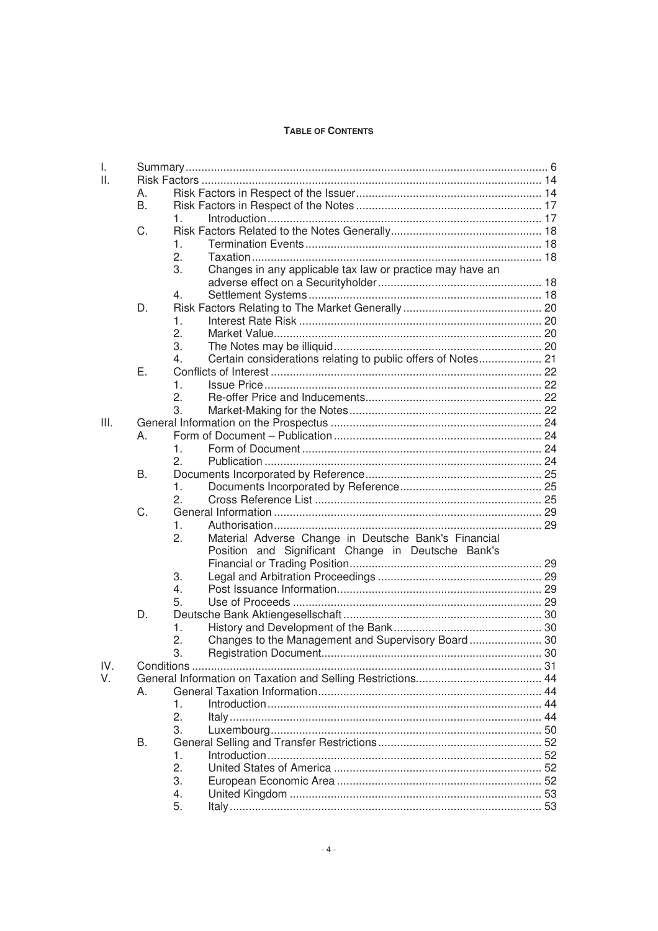# **TABLE OF CONTENTS**

| Τ.   |    |                                                                    |  |
|------|----|--------------------------------------------------------------------|--|
| Ш.   |    |                                                                    |  |
|      | А. |                                                                    |  |
|      | В. |                                                                    |  |
|      |    | 1.                                                                 |  |
|      | C. |                                                                    |  |
|      |    | $\mathbf{1}$ .                                                     |  |
|      |    | 2.                                                                 |  |
|      |    | Changes in any applicable tax law or practice may have an<br>3.    |  |
|      |    |                                                                    |  |
|      |    | 4.                                                                 |  |
|      | D. |                                                                    |  |
|      |    | 1.                                                                 |  |
|      |    | 2.                                                                 |  |
|      |    | 3.                                                                 |  |
|      |    | Certain considerations relating to public offers of Notes 21<br>4. |  |
|      | Е. |                                                                    |  |
|      |    | 1.                                                                 |  |
|      |    | 2.                                                                 |  |
|      |    | 3.                                                                 |  |
| III. |    |                                                                    |  |
|      | А. |                                                                    |  |
|      |    | 1.                                                                 |  |
|      |    | 2.                                                                 |  |
|      | В. |                                                                    |  |
|      |    | 1.                                                                 |  |
|      |    | 2.                                                                 |  |
|      | C. |                                                                    |  |
|      |    | 1.                                                                 |  |
|      |    | 2.<br>Material Adverse Change in Deutsche Bank's Financial         |  |
|      |    | Position and Significant Change in Deutsche Bank's                 |  |
|      |    |                                                                    |  |
|      |    | 3.                                                                 |  |
|      |    | 4.                                                                 |  |
|      |    | 5.                                                                 |  |
|      | D. |                                                                    |  |
|      |    | 1.                                                                 |  |
|      |    | 2.                                                                 |  |
|      |    |                                                                    |  |
| IV.  |    | З.                                                                 |  |
|      |    |                                                                    |  |
| V.   |    |                                                                    |  |
|      | А. | 1.                                                                 |  |
|      |    | 2.                                                                 |  |
|      |    |                                                                    |  |
|      |    | 3.                                                                 |  |
|      | В. |                                                                    |  |
|      |    | 1.                                                                 |  |
|      |    | 2.                                                                 |  |
|      |    | 3.                                                                 |  |
|      |    | 4.                                                                 |  |
|      |    | 5.                                                                 |  |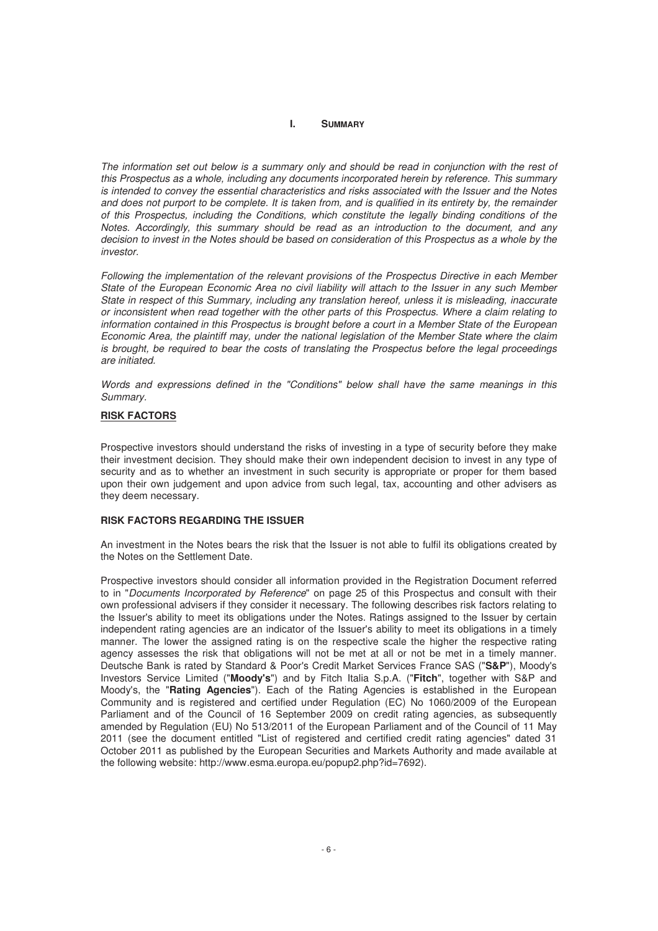#### **I. SUMMARY**

The information set out below is a summary only and should be read in conjunction with the rest of this Prospectus as a whole, including any documents incorporated herein by reference. This summary is intended to convey the essential characteristics and risks associated with the Issuer and the Notes and does not purport to be complete. It is taken from, and is qualified in its entirety by, the remainder of this Prospectus, including the Conditions, which constitute the legally binding conditions of the Notes. Accordingly, this summary should be read as an introduction to the document, and any decision to invest in the Notes should be based on consideration of this Prospectus as a whole by the investor

Following the implementation of the relevant provisions of the Prospectus Directive in each Member State of the European Economic Area no civil liability will attach to the Issuer in any such Member State in respect of this Summary, including any translation hereof, unless it is misleading, inaccurate or inconsistent when read together with the other parts of this Prospectus. Where a claim relating to information contained in this Prospectus is brought before a court in a Member State of the European Economic Area, the plaintiff may, under the national legislation of the Member State where the claim is brought, be required to bear the costs of translating the Prospectus before the legal proceedings are initiated.

Words and expressions defined in the "Conditions" below shall have the same meanings in this Summary.

## **RISK FACTORS**

Prospective investors should understand the risks of investing in a type of security before they make their investment decision. They should make their own independent decision to invest in any type of security and as to whether an investment in such security is appropriate or proper for them based upon their own judgement and upon advice from such legal, tax, accounting and other advisers as they deem necessary.

# **RISK FACTORS REGARDING THE ISSUER**

An investment in the Notes bears the risk that the Issuer is not able to fulfil its obligations created by the Notes on the Settlement Date.

Prospective investors should consider all information provided in the Registration Document referred to in "Documents Incorporated by Reference" on page 25 of this Prospectus and consult with their own professional advisers if they consider it necessary. The following describes risk factors relating to the Issuer's ability to meet its obligations under the Notes. Ratings assigned to the Issuer by certain independent rating agencies are an indicator of the Issuer's ability to meet its obligations in a timely manner. The lower the assigned rating is on the respective scale the higher the respective rating agency assesses the risk that obligations will not be met at all or not be met in a timely manner. Deutsche Bank is rated by Standard & Poor's Credit Market Services France SAS ("**S&P**"), Moody's Investors Service Limited ("**Moody's**") and by Fitch Italia S.p.A. ("**Fitch**", together with S&P and Moody's, the "**Rating Agencies**"). Each of the Rating Agencies is established in the European Community and is registered and certified under Regulation (EC) No 1060/2009 of the European Parliament and of the Council of 16 September 2009 on credit rating agencies, as subsequently amended by Regulation (EU) No 513/2011 of the European Parliament and of the Council of 11 May 2011 (see the document entitled "List of registered and certified credit rating agencies" dated 31 October 2011 as published by the European Securities and Markets Authority and made available at the following website: http://www.esma.europa.eu/popup2.php?id=7692).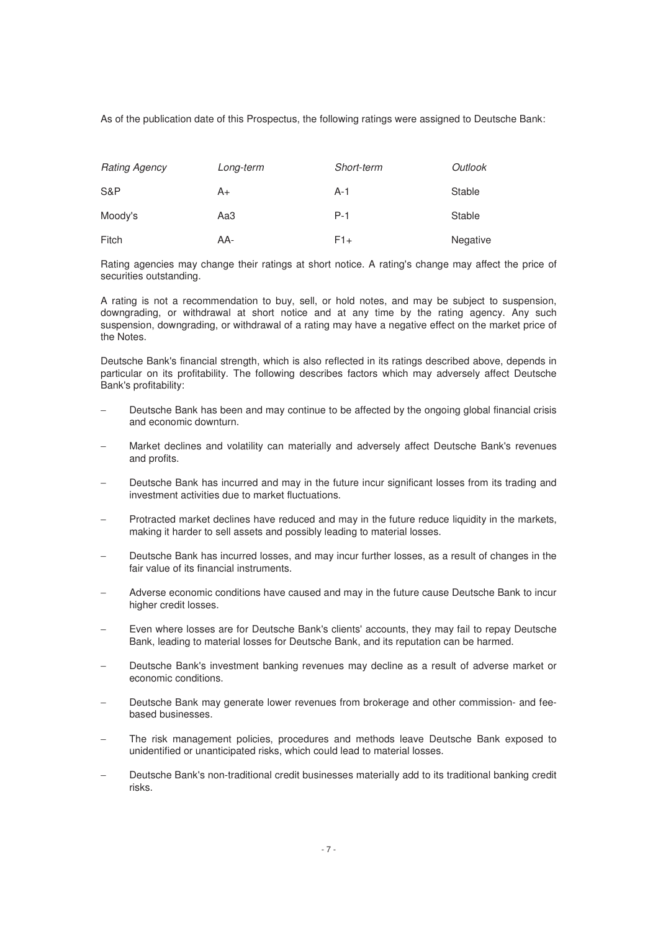As of the publication date of this Prospectus, the following ratings were assigned to Deutsche Bank:

| <b>Rating Agency</b> | Long-term | Short-term | Outlook  |
|----------------------|-----------|------------|----------|
| S&P                  | A+        | A-1        | Stable   |
| Moody's              | АаЗ       | $P-1$      | Stable   |
| Fitch                | AA-       | F1+        | Negative |

Rating agencies may change their ratings at short notice. A rating's change may affect the price of securities outstanding.

A rating is not a recommendation to buy, sell, or hold notes, and may be subject to suspension, downgrading, or withdrawal at short notice and at any time by the rating agency. Any such suspension, downgrading, or withdrawal of a rating may have a negative effect on the market price of the Notes.

Deutsche Bank's financial strength, which is also reflected in its ratings described above, depends in particular on its profitability. The following describes factors which may adversely affect Deutsche Bank's profitability:

- Deutsche Bank has been and may continue to be affected by the ongoing global financial crisis and economic downturn.
- Market declines and volatility can materially and adversely affect Deutsche Bank's revenues and profits.
- Deutsche Bank has incurred and may in the future incur significant losses from its trading and investment activities due to market fluctuations.
- Protracted market declines have reduced and may in the future reduce liquidity in the markets, making it harder to sell assets and possibly leading to material losses.
- Deutsche Bank has incurred losses, and may incur further losses, as a result of changes in the fair value of its financial instruments.
- − Adverse economic conditions have caused and may in the future cause Deutsche Bank to incur higher credit losses.
- Even where losses are for Deutsche Bank's clients' accounts, they may fail to repay Deutsche Bank, leading to material losses for Deutsche Bank, and its reputation can be harmed.
- − Deutsche Bank's investment banking revenues may decline as a result of adverse market or economic conditions.
- − Deutsche Bank may generate lower revenues from brokerage and other commission- and feebased businesses.
- The risk management policies, procedures and methods leave Deutsche Bank exposed to unidentified or unanticipated risks, which could lead to material losses.
- − Deutsche Bank's non-traditional credit businesses materially add to its traditional banking credit risks.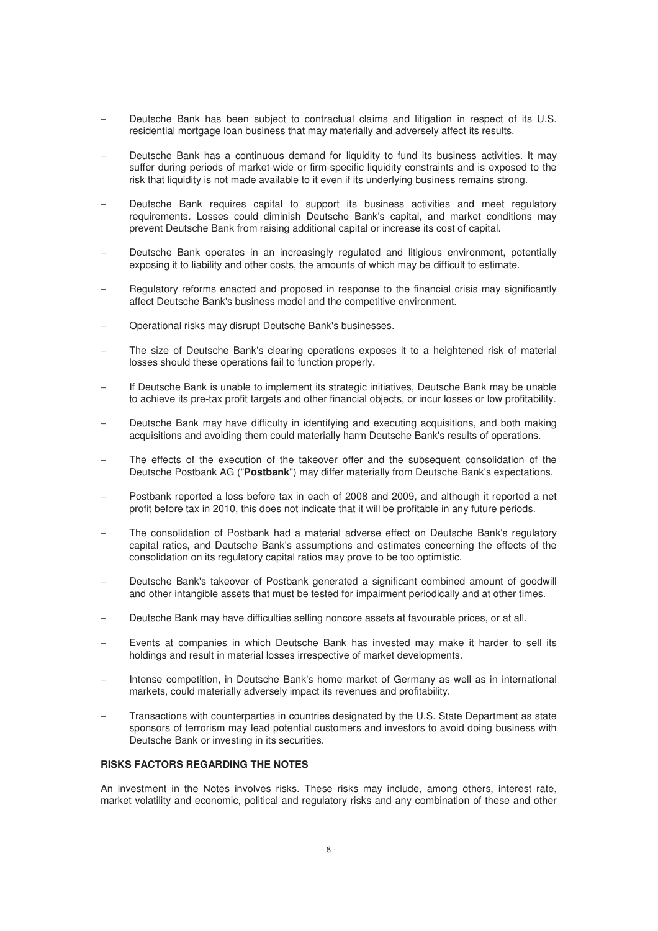- Deutsche Bank has been subject to contractual claims and litigation in respect of its U.S. residential mortgage loan business that may materially and adversely affect its results.
- Deutsche Bank has a continuous demand for liquidity to fund its business activities. It may suffer during periods of market-wide or firm-specific liquidity constraints and is exposed to the risk that liquidity is not made available to it even if its underlying business remains strong.
- Deutsche Bank requires capital to support its business activities and meet regulatory requirements. Losses could diminish Deutsche Bank's capital, and market conditions may prevent Deutsche Bank from raising additional capital or increase its cost of capital.
- Deutsche Bank operates in an increasingly regulated and litigious environment, potentially exposing it to liability and other costs, the amounts of which may be difficult to estimate.
- − Regulatory reforms enacted and proposed in response to the financial crisis may significantly affect Deutsche Bank's business model and the competitive environment.
- − Operational risks may disrupt Deutsche Bank's businesses.
- The size of Deutsche Bank's clearing operations exposes it to a heightened risk of material losses should these operations fail to function properly.
- If Deutsche Bank is unable to implement its strategic initiatives, Deutsche Bank may be unable to achieve its pre-tax profit targets and other financial objects, or incur losses or low profitability.
- Deutsche Bank may have difficulty in identifying and executing acquisitions, and both making acquisitions and avoiding them could materially harm Deutsche Bank's results of operations.
- The effects of the execution of the takeover offer and the subsequent consolidation of the Deutsche Postbank AG ("**Postbank**") may differ materially from Deutsche Bank's expectations.
- − Postbank reported a loss before tax in each of 2008 and 2009, and although it reported a net profit before tax in 2010, this does not indicate that it will be profitable in any future periods.
- The consolidation of Postbank had a material adverse effect on Deutsche Bank's regulatory capital ratios, and Deutsche Bank's assumptions and estimates concerning the effects of the consolidation on its regulatory capital ratios may prove to be too optimistic.
- − Deutsche Bank's takeover of Postbank generated a significant combined amount of goodwill and other intangible assets that must be tested for impairment periodically and at other times.
- − Deutsche Bank may have difficulties selling noncore assets at favourable prices, or at all.
- Events at companies in which Deutsche Bank has invested may make it harder to sell its holdings and result in material losses irrespective of market developments.
- − Intense competition, in Deutsche Bank's home market of Germany as well as in international markets, could materially adversely impact its revenues and profitability.
- Transactions with counterparties in countries designated by the U.S. State Department as state sponsors of terrorism may lead potential customers and investors to avoid doing business with Deutsche Bank or investing in its securities.

#### **RISKS FACTORS REGARDING THE NOTES**

An investment in the Notes involves risks. These risks may include, among others, interest rate, market volatility and economic, political and regulatory risks and any combination of these and other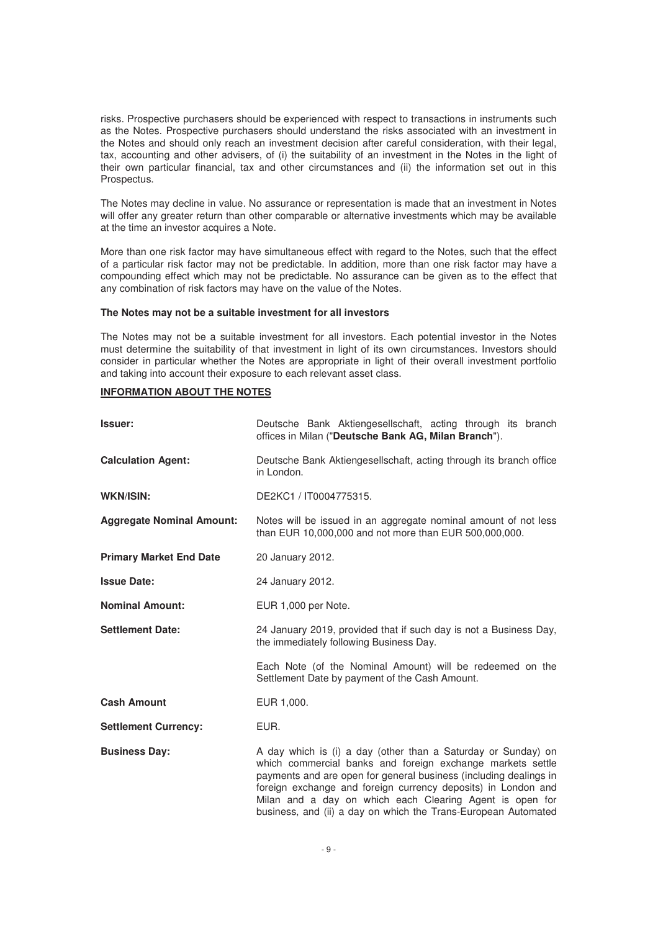risks. Prospective purchasers should be experienced with respect to transactions in instruments such as the Notes. Prospective purchasers should understand the risks associated with an investment in the Notes and should only reach an investment decision after careful consideration, with their legal, tax, accounting and other advisers, of (i) the suitability of an investment in the Notes in the light of their own particular financial, tax and other circumstances and (ii) the information set out in this Prospectus.

The Notes may decline in value. No assurance or representation is made that an investment in Notes will offer any greater return than other comparable or alternative investments which may be available at the time an investor acquires a Note.

More than one risk factor may have simultaneous effect with regard to the Notes, such that the effect of a particular risk factor may not be predictable. In addition, more than one risk factor may have a compounding effect which may not be predictable. No assurance can be given as to the effect that any combination of risk factors may have on the value of the Notes.

#### **The Notes may not be a suitable investment for all investors**

The Notes may not be a suitable investment for all investors. Each potential investor in the Notes must determine the suitability of that investment in light of its own circumstances. Investors should consider in particular whether the Notes are appropriate in light of their overall investment portfolio and taking into account their exposure to each relevant asset class.

# **INFORMATION ABOUT THE NOTES**

| Issuer:                          | Deutsche Bank Aktiengesellschaft, acting through its branch<br>offices in Milan ("Deutsche Bank AG, Milan Branch").                                                                                                                                                                                                                                                                             |
|----------------------------------|-------------------------------------------------------------------------------------------------------------------------------------------------------------------------------------------------------------------------------------------------------------------------------------------------------------------------------------------------------------------------------------------------|
| <b>Calculation Agent:</b>        | Deutsche Bank Aktiengesellschaft, acting through its branch office<br>in London.                                                                                                                                                                                                                                                                                                                |
| <b>WKN/ISIN:</b>                 | DE2KC1 / IT0004775315.                                                                                                                                                                                                                                                                                                                                                                          |
| <b>Aggregate Nominal Amount:</b> | Notes will be issued in an aggregate nominal amount of not less<br>than EUR 10,000,000 and not more than EUR 500,000,000.                                                                                                                                                                                                                                                                       |
| <b>Primary Market End Date</b>   | 20 January 2012.                                                                                                                                                                                                                                                                                                                                                                                |
| <b>Issue Date:</b>               | 24 January 2012.                                                                                                                                                                                                                                                                                                                                                                                |
| <b>Nominal Amount:</b>           | EUR 1,000 per Note.                                                                                                                                                                                                                                                                                                                                                                             |
| <b>Settlement Date:</b>          | 24 January 2019, provided that if such day is not a Business Day,<br>the immediately following Business Day.                                                                                                                                                                                                                                                                                    |
|                                  | Each Note (of the Nominal Amount) will be redeemed on the<br>Settlement Date by payment of the Cash Amount.                                                                                                                                                                                                                                                                                     |
| <b>Cash Amount</b>               | EUR 1,000.                                                                                                                                                                                                                                                                                                                                                                                      |
| <b>Settlement Currency:</b>      | EUR.                                                                                                                                                                                                                                                                                                                                                                                            |
| <b>Business Day:</b>             | A day which is (i) a day (other than a Saturday or Sunday) on<br>which commercial banks and foreign exchange markets settle<br>payments and are open for general business (including dealings in<br>foreign exchange and foreign currency deposits) in London and<br>Milan and a day on which each Clearing Agent is open for<br>business, and (ii) a day on which the Trans-European Automated |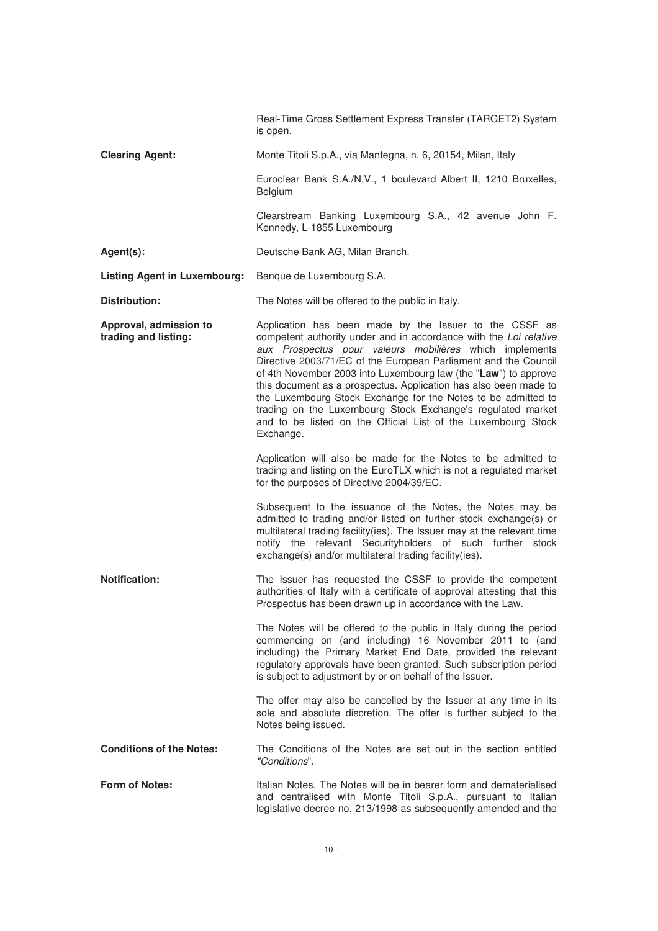|                                                | Real-Time Gross Settlement Express Transfer (TARGET2) System<br>is open.                                                                                                                                                                                                                                                                                                                                                                                                                                                                                                                                       |
|------------------------------------------------|----------------------------------------------------------------------------------------------------------------------------------------------------------------------------------------------------------------------------------------------------------------------------------------------------------------------------------------------------------------------------------------------------------------------------------------------------------------------------------------------------------------------------------------------------------------------------------------------------------------|
| <b>Clearing Agent:</b>                         | Monte Titoli S.p.A., via Mantegna, n. 6, 20154, Milan, Italy                                                                                                                                                                                                                                                                                                                                                                                                                                                                                                                                                   |
|                                                | Euroclear Bank S.A./N.V., 1 boulevard Albert II, 1210 Bruxelles,<br>Belgium                                                                                                                                                                                                                                                                                                                                                                                                                                                                                                                                    |
|                                                | Clearstream Banking Luxembourg S.A., 42 avenue John F.<br>Kennedy, L-1855 Luxembourg                                                                                                                                                                                                                                                                                                                                                                                                                                                                                                                           |
| Agent(s):                                      | Deutsche Bank AG, Milan Branch.                                                                                                                                                                                                                                                                                                                                                                                                                                                                                                                                                                                |
| <b>Listing Agent in Luxembourg:</b>            | Banque de Luxembourg S.A.                                                                                                                                                                                                                                                                                                                                                                                                                                                                                                                                                                                      |
| <b>Distribution:</b>                           | The Notes will be offered to the public in Italy.                                                                                                                                                                                                                                                                                                                                                                                                                                                                                                                                                              |
| Approval, admission to<br>trading and listing: | Application has been made by the Issuer to the CSSF as<br>competent authority under and in accordance with the Loi relative<br>aux Prospectus pour valeurs mobilières which implements<br>Directive 2003/71/EC of the European Parliament and the Council<br>of 4th November 2003 into Luxembourg law (the "Law") to approve<br>this document as a prospectus. Application has also been made to<br>the Luxembourg Stock Exchange for the Notes to be admitted to<br>trading on the Luxembourg Stock Exchange's regulated market<br>and to be listed on the Official List of the Luxembourg Stock<br>Exchange. |
|                                                | Application will also be made for the Notes to be admitted to<br>trading and listing on the EuroTLX which is not a regulated market<br>for the purposes of Directive 2004/39/EC.                                                                                                                                                                                                                                                                                                                                                                                                                               |
|                                                | Subsequent to the issuance of the Notes, the Notes may be<br>admitted to trading and/or listed on further stock exchange(s) or<br>multilateral trading facility(ies). The Issuer may at the relevant time<br>notify the relevant Securityholders of such further stock<br>exchange(s) and/or multilateral trading facility(ies).                                                                                                                                                                                                                                                                               |
| <b>Notification:</b>                           | The Issuer has requested the CSSF to provide the competent<br>authorities of Italy with a certificate of approval attesting that this<br>Prospectus has been drawn up in accordance with the Law.                                                                                                                                                                                                                                                                                                                                                                                                              |
|                                                | The Notes will be offered to the public in Italy during the period<br>commencing on (and including) 16 November 2011 to (and<br>including) the Primary Market End Date, provided the relevant<br>regulatory approvals have been granted. Such subscription period<br>is subject to adjustment by or on behalf of the Issuer.                                                                                                                                                                                                                                                                                   |
|                                                | The offer may also be cancelled by the Issuer at any time in its<br>sole and absolute discretion. The offer is further subject to the<br>Notes being issued.                                                                                                                                                                                                                                                                                                                                                                                                                                                   |
| <b>Conditions of the Notes:</b>                | The Conditions of the Notes are set out in the section entitled<br>"Conditions".                                                                                                                                                                                                                                                                                                                                                                                                                                                                                                                               |
| <b>Form of Notes:</b>                          | Italian Notes. The Notes will be in bearer form and dematerialised<br>and centralised with Monte Titoli S.p.A., pursuant to Italian<br>legislative decree no. 213/1998 as subsequently amended and the                                                                                                                                                                                                                                                                                                                                                                                                         |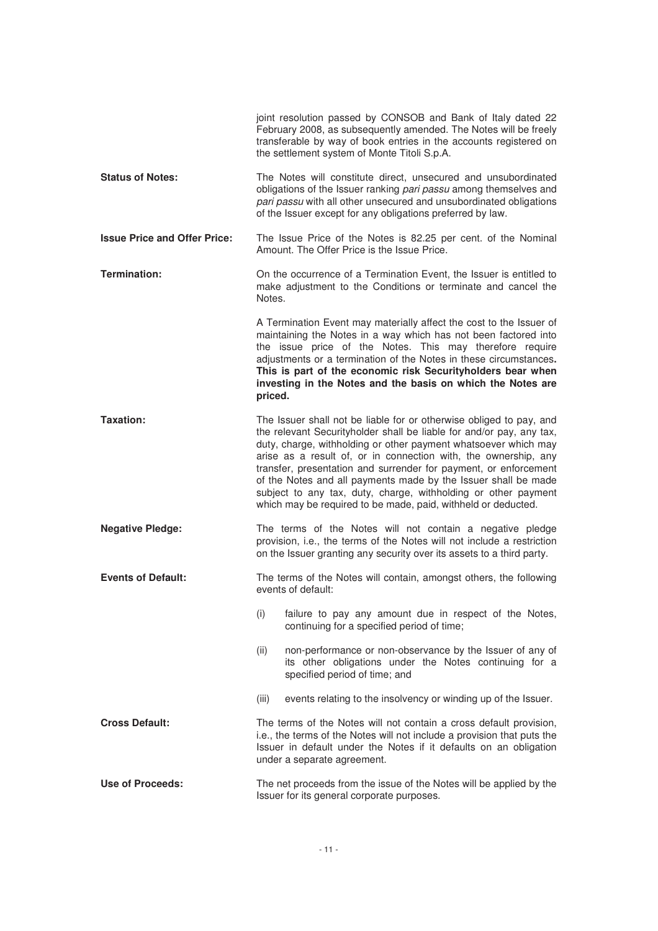|                                     | joint resolution passed by CONSOB and Bank of Italy dated 22<br>February 2008, as subsequently amended. The Notes will be freely<br>transferable by way of book entries in the accounts registered on<br>the settlement system of Monte Titoli S.p.A.                                                                                                                                                                                                                                                                                                      |
|-------------------------------------|------------------------------------------------------------------------------------------------------------------------------------------------------------------------------------------------------------------------------------------------------------------------------------------------------------------------------------------------------------------------------------------------------------------------------------------------------------------------------------------------------------------------------------------------------------|
| <b>Status of Notes:</b>             | The Notes will constitute direct, unsecured and unsubordinated<br>obligations of the Issuer ranking pari passu among themselves and<br>pari passu with all other unsecured and unsubordinated obligations<br>of the Issuer except for any obligations preferred by law.                                                                                                                                                                                                                                                                                    |
| <b>Issue Price and Offer Price:</b> | The Issue Price of the Notes is 82.25 per cent. of the Nominal<br>Amount. The Offer Price is the Issue Price.                                                                                                                                                                                                                                                                                                                                                                                                                                              |
| <b>Termination:</b>                 | On the occurrence of a Termination Event, the Issuer is entitled to<br>make adjustment to the Conditions or terminate and cancel the<br>Notes.                                                                                                                                                                                                                                                                                                                                                                                                             |
|                                     | A Termination Event may materially affect the cost to the Issuer of<br>maintaining the Notes in a way which has not been factored into<br>the issue price of the Notes. This may therefore require<br>adjustments or a termination of the Notes in these circumstances.<br>This is part of the economic risk Securityholders bear when<br>investing in the Notes and the basis on which the Notes are<br>priced.                                                                                                                                           |
| <b>Taxation:</b>                    | The Issuer shall not be liable for or otherwise obliged to pay, and<br>the relevant Securityholder shall be liable for and/or pay, any tax,<br>duty, charge, withholding or other payment whatsoever which may<br>arise as a result of, or in connection with, the ownership, any<br>transfer, presentation and surrender for payment, or enforcement<br>of the Notes and all payments made by the Issuer shall be made<br>subject to any tax, duty, charge, withholding or other payment<br>which may be required to be made, paid, withheld or deducted. |
| <b>Negative Pledge:</b>             | The terms of the Notes will not contain a negative pledge<br>provision, i.e., the terms of the Notes will not include a restriction<br>on the Issuer granting any security over its assets to a third party.                                                                                                                                                                                                                                                                                                                                               |
| <b>Events of Default:</b>           | The terms of the Notes will contain, amongst others, the following<br>events of default:                                                                                                                                                                                                                                                                                                                                                                                                                                                                   |
|                                     | (i)<br>failure to pay any amount due in respect of the Notes,<br>continuing for a specified period of time;                                                                                                                                                                                                                                                                                                                                                                                                                                                |
|                                     | non-performance or non-observance by the Issuer of any of<br>(ii)<br>its other obligations under the Notes continuing for a<br>specified period of time; and                                                                                                                                                                                                                                                                                                                                                                                               |
|                                     | (iii)<br>events relating to the insolvency or winding up of the Issuer.                                                                                                                                                                                                                                                                                                                                                                                                                                                                                    |
| <b>Cross Default:</b>               | The terms of the Notes will not contain a cross default provision,<br>i.e., the terms of the Notes will not include a provision that puts the<br>Issuer in default under the Notes if it defaults on an obligation<br>under a separate agreement.                                                                                                                                                                                                                                                                                                          |
| <b>Use of Proceeds:</b>             | The net proceeds from the issue of the Notes will be applied by the<br>Issuer for its general corporate purposes.                                                                                                                                                                                                                                                                                                                                                                                                                                          |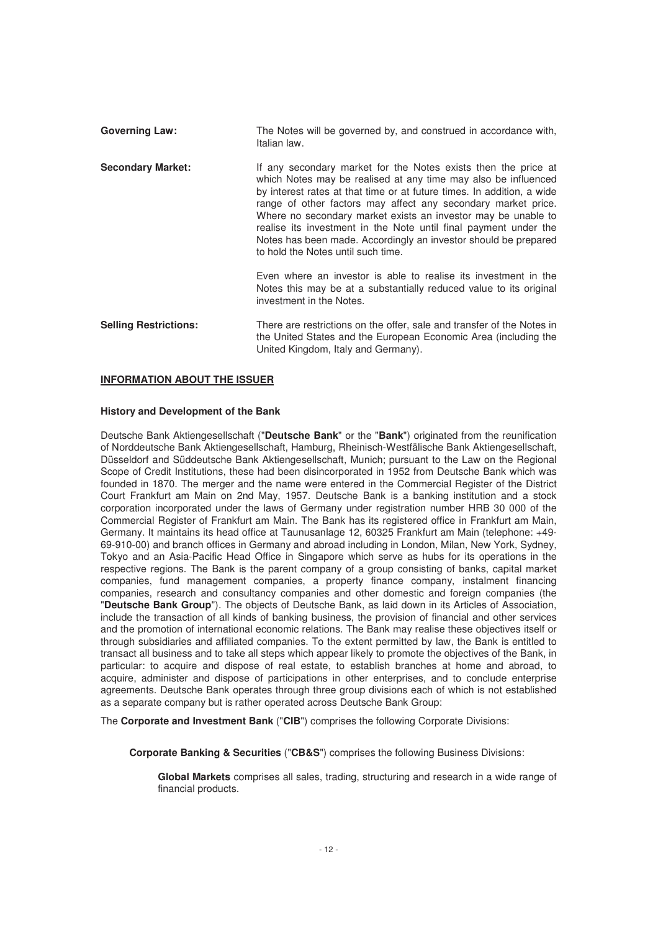Governing Law: The Notes will be governed by, and construed in accordance with, Italian law. **Secondary Market:** If any secondary market for the Notes exists then the price at which Notes may be realised at any time may also be influenced by interest rates at that time or at future times. In addition, a wide range of other factors may affect any secondary market price. Where no secondary market exists an investor may be unable to realise its investment in the Note until final payment under the Notes has been made. Accordingly an investor should be prepared to hold the Notes until such time. Even where an investor is able to realise its investment in the Notes this may be at a substantially reduced value to its original investment in the Notes. **Selling Restrictions:** There are restrictions on the offer, sale and transfer of the Notes in the United States and the European Economic Area (including the United Kingdom, Italy and Germany).

## **INFORMATION ABOUT THE ISSUER**

## **History and Development of the Bank**

Deutsche Bank Aktiengesellschaft ("**Deutsche Bank**" or the "**Bank**") originated from the reunification of Norddeutsche Bank Aktiengesellschaft, Hamburg, Rheinisch-Westfälische Bank Aktiengesellschaft, Düsseldorf and Süddeutsche Bank Aktiengesellschaft, Munich; pursuant to the Law on the Regional Scope of Credit Institutions, these had been disincorporated in 1952 from Deutsche Bank which was founded in 1870. The merger and the name were entered in the Commercial Register of the District Court Frankfurt am Main on 2nd May, 1957. Deutsche Bank is a banking institution and a stock corporation incorporated under the laws of Germany under registration number HRB 30 000 of the Commercial Register of Frankfurt am Main. The Bank has its registered office in Frankfurt am Main, Germany. It maintains its head office at Taunusanlage 12, 60325 Frankfurt am Main (telephone: +49- 69-910-00) and branch offices in Germany and abroad including in London, Milan, New York, Sydney, Tokyo and an Asia-Pacific Head Office in Singapore which serve as hubs for its operations in the respective regions. The Bank is the parent company of a group consisting of banks, capital market companies, fund management companies, a property finance company, instalment financing companies, research and consultancy companies and other domestic and foreign companies (the "**Deutsche Bank Group**"). The objects of Deutsche Bank, as laid down in its Articles of Association, include the transaction of all kinds of banking business, the provision of financial and other services and the promotion of international economic relations. The Bank may realise these objectives itself or through subsidiaries and affiliated companies. To the extent permitted by law, the Bank is entitled to transact all business and to take all steps which appear likely to promote the objectives of the Bank, in particular: to acquire and dispose of real estate, to establish branches at home and abroad, to acquire, administer and dispose of participations in other enterprises, and to conclude enterprise agreements. Deutsche Bank operates through three group divisions each of which is not established as a separate company but is rather operated across Deutsche Bank Group:

The **Corporate and Investment Bank** ("**CIB**") comprises the following Corporate Divisions:

**Corporate Banking & Securities** ("**CB&S**") comprises the following Business Divisions:

**Global Markets** comprises all sales, trading, structuring and research in a wide range of financial products.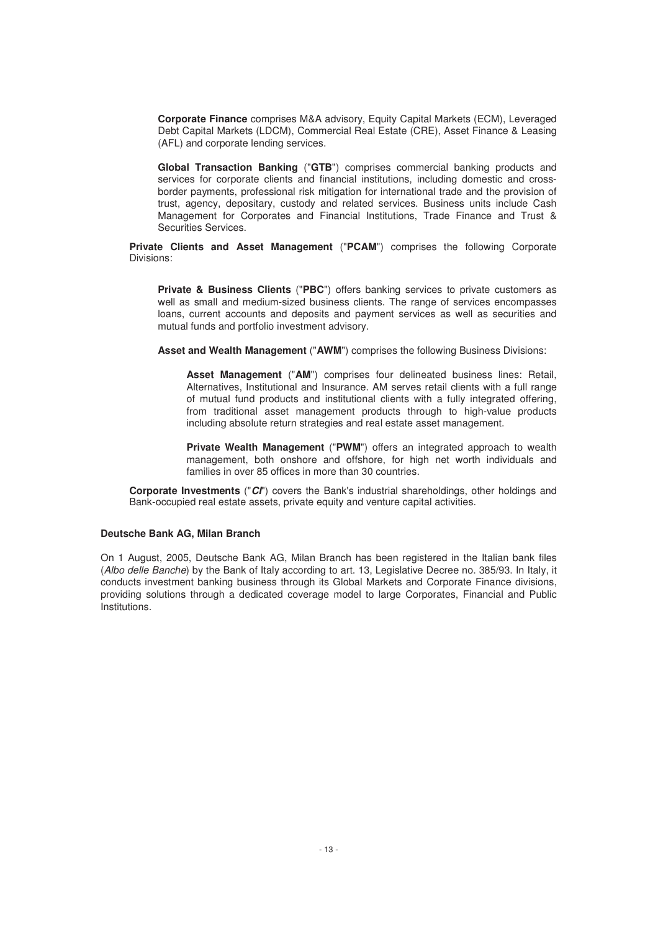**Corporate Finance** comprises M&A advisory, Equity Capital Markets (ECM), Leveraged Debt Capital Markets (LDCM), Commercial Real Estate (CRE), Asset Finance & Leasing (AFL) and corporate lending services.

**Global Transaction Banking** ("**GTB**") comprises commercial banking products and services for corporate clients and financial institutions, including domestic and crossborder payments, professional risk mitigation for international trade and the provision of trust, agency, depositary, custody and related services. Business units include Cash Management for Corporates and Financial Institutions, Trade Finance and Trust & Securities Services.

**Private Clients and Asset Management** ("**PCAM**") comprises the following Corporate Divisions:

**Private & Business Clients** ("**PBC**") offers banking services to private customers as well as small and medium-sized business clients. The range of services encompasses loans, current accounts and deposits and payment services as well as securities and mutual funds and portfolio investment advisory.

**Asset and Wealth Management** ("**AWM**") comprises the following Business Divisions:

**Asset Management** ("**AM**") comprises four delineated business lines: Retail, Alternatives, Institutional and Insurance. AM serves retail clients with a full range of mutual fund products and institutional clients with a fully integrated offering, from traditional asset management products through to high-value products including absolute return strategies and real estate asset management.

**Private Wealth Management** ("**PWM**") offers an integrated approach to wealth management, both onshore and offshore, for high net worth individuals and families in over 85 offices in more than 30 countries.

**Corporate Investments** ("*CI*") covers the Bank's industrial shareholdings, other holdings and Bank-occupied real estate assets, private equity and venture capital activities.

#### **Deutsche Bank AG, Milan Branch**

On 1 August, 2005, Deutsche Bank AG, Milan Branch has been registered in the Italian bank files (Albo delle Banche) by the Bank of Italy according to art. 13, Legislative Decree no. 385/93. In Italy, it conducts investment banking business through its Global Markets and Corporate Finance divisions, providing solutions through a dedicated coverage model to large Corporates, Financial and Public Institutions.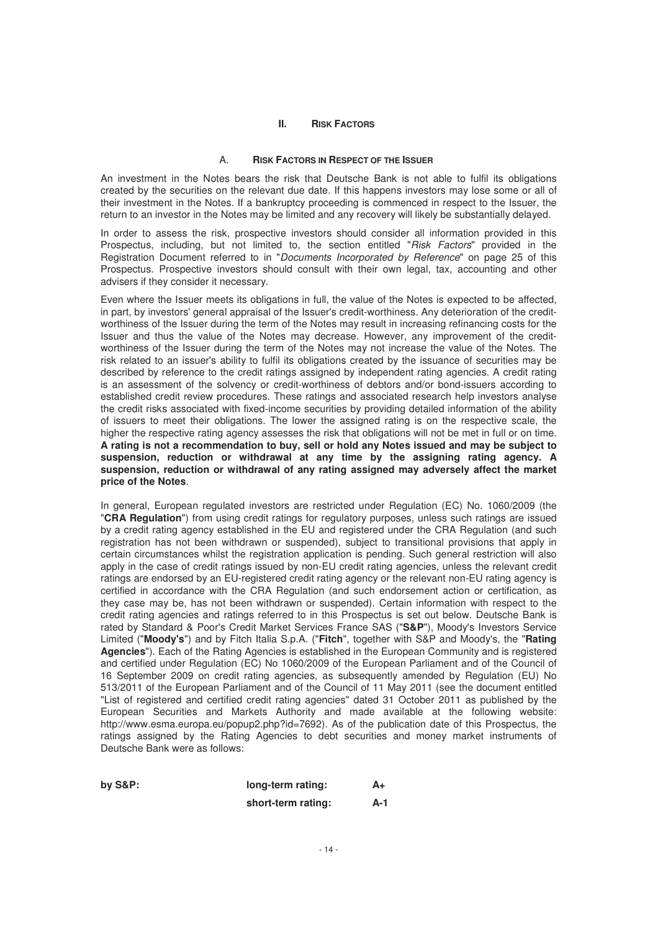#### **II. RISK FACTORS**

## A. **RISK FACTORS IN RESPECT OF THE ISSUER**

An investment in the Notes bears the risk that Deutsche Bank is not able to fulfil its obligations created by the securities on the relevant due date. If this happens investors may lose some or all of their investment in the Notes. If a bankruptcy proceeding is commenced in respect to the Issuer, the return to an investor in the Notes may be limited and any recovery will likely be substantially delayed.

In order to assess the risk, prospective investors should consider all information provided in this Prospectus, including, but not limited to, the section entitled "Risk Factors" provided in the Registration Document referred to in "Documents Incorporated by Reference" on page 25 of this Prospectus. Prospective investors should consult with their own legal, tax, accounting and other advisers if they consider it necessary.

Even where the Issuer meets its obligations in full, the value of the Notes is expected to be affected, in part, by investors' general appraisal of the Issuer's credit-worthiness. Any deterioration of the creditworthiness of the Issuer during the term of the Notes may result in increasing refinancing costs for the Issuer and thus the value of the Notes may decrease. However, any improvement of the creditworthiness of the Issuer during the term of the Notes may not increase the value of the Notes. The risk related to an issuer's ability to fulfil its obligations created by the issuance of securities may be described by reference to the credit ratings assigned by independent rating agencies. A credit rating is an assessment of the solvency or credit-worthiness of debtors and/or bond-issuers according to established credit review procedures. These ratings and associated research help investors analyse the credit risks associated with fixed-income securities by providing detailed information of the ability of issuers to meet their obligations. The lower the assigned rating is on the respective scale, the higher the respective rating agency assesses the risk that obligations will not be met in full or on time. **A rating is not a recommendation to buy, sell or hold any Notes issued and may be subject to suspension, reduction or withdrawal at any time by the assigning rating agency. A suspension, reduction or withdrawal of any rating assigned may adversely affect the market price of the Notes**.

In general, European regulated investors are restricted under Regulation (EC) No. 1060/2009 (the "**CRA Regulation**") from using credit ratings for regulatory purposes, unless such ratings are issued by a credit rating agency established in the EU and registered under the CRA Regulation (and such registration has not been withdrawn or suspended), subject to transitional provisions that apply in certain circumstances whilst the registration application is pending. Such general restriction will also apply in the case of credit ratings issued by non-EU credit rating agencies, unless the relevant credit ratings are endorsed by an EU-registered credit rating agency or the relevant non-EU rating agency is certified in accordance with the CRA Regulation (and such endorsement action or certification, as they case may be, has not been withdrawn or suspended). Certain information with respect to the credit rating agencies and ratings referred to in this Prospectus is set out below. Deutsche Bank is rated by Standard & Poor's Credit Market Services France SAS ("**S&P**"), Moody's Investors Service Limited ("**Moody's**") and by Fitch Italia S.p.A. ("**Fitch**", together with S&P and Moody's, the "**Rating Agencies**"). Each of the Rating Agencies is established in the European Community and is registered and certified under Regulation (EC) No 1060/2009 of the European Parliament and of the Council of 16 September 2009 on credit rating agencies, as subsequently amended by Regulation (EU) No 513/2011 of the European Parliament and of the Council of 11 May 2011 (see the document entitled "List of registered and certified credit rating agencies" dated 31 October 2011 as published by the European Securities and Markets Authority and made available at the following website: http://www.esma.europa.eu/popup2.php?id=7692). As of the publication date of this Prospectus, the ratings assigned by the Rating Agencies to debt securities and money market instruments of Deutsche Bank were as follows:

| by $S\&P$ : | long-term rating:  | A+  |
|-------------|--------------------|-----|
|             | short-term rating: | A-1 |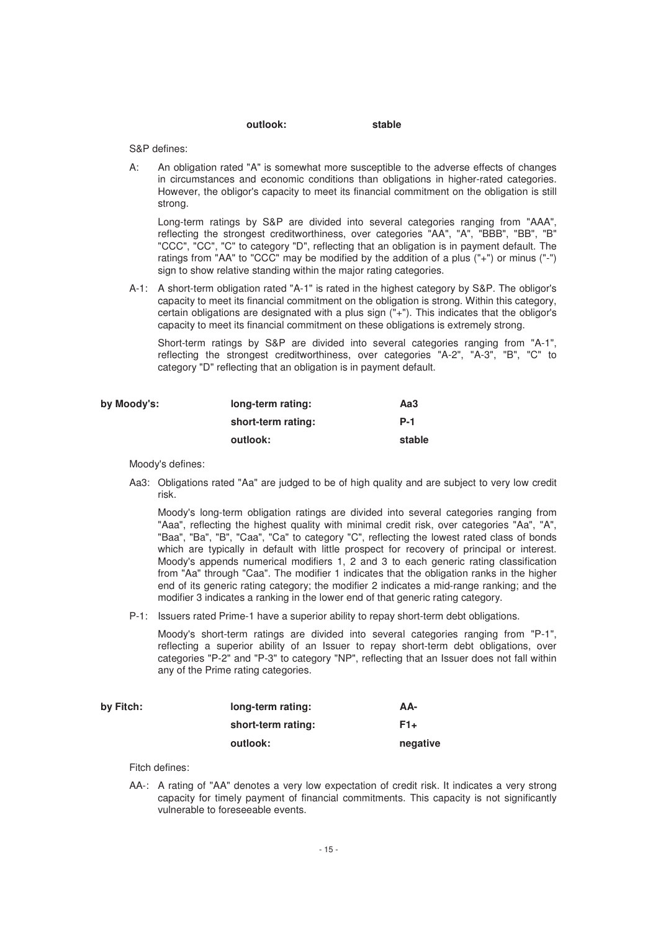#### **outlook: stable**

S&P defines:

A: An obligation rated "A" is somewhat more susceptible to the adverse effects of changes in circumstances and economic conditions than obligations in higher-rated categories. However, the obligor's capacity to meet its financial commitment on the obligation is still strong.

Long-term ratings by S&P are divided into several categories ranging from "AAA", reflecting the strongest creditworthiness, over categories "AA", "A", "BBB", "BB", "B" "CCC", "CC", "C" to category "D", reflecting that an obligation is in payment default. The ratings from "AA" to "CCC" may be modified by the addition of a plus ("+") or minus ("-") sign to show relative standing within the major rating categories.

A-1: A short-term obligation rated "A-1" is rated in the highest category by S&P. The obligor's capacity to meet its financial commitment on the obligation is strong. Within this category, certain obligations are designated with a plus sign ("+"). This indicates that the obligor's capacity to meet its financial commitment on these obligations is extremely strong.

Short-term ratings by S&P are divided into several categories ranging from "A-1", reflecting the strongest creditworthiness, over categories "A-2", "A-3", "B", "C" to category "D" reflecting that an obligation is in payment default.

| by Moody's: | long-term rating:  | Aa3    |
|-------------|--------------------|--------|
|             | short-term rating: | $P-1$  |
|             | outlook:           | stable |

Moody's defines:

Aa3: Obligations rated "Aa" are judged to be of high quality and are subject to very low credit risk.

Moody's long-term obligation ratings are divided into several categories ranging from "Aaa", reflecting the highest quality with minimal credit risk, over categories "Aa", "A", "Baa", "Ba", "B", "Caa", "Ca" to category "C", reflecting the lowest rated class of bonds which are typically in default with little prospect for recovery of principal or interest. Moody's appends numerical modifiers 1, 2 and 3 to each generic rating classification from "Aa" through "Caa". The modifier 1 indicates that the obligation ranks in the higher end of its generic rating category; the modifier 2 indicates a mid-range ranking; and the modifier 3 indicates a ranking in the lower end of that generic rating category.

P-1: Issuers rated Prime-1 have a superior ability to repay short-term debt obligations.

Moody's short-term ratings are divided into several categories ranging from "P-1", reflecting a superior ability of an Issuer to repay short-term debt obligations, over categories "P-2" and "P-3" to category "NP", reflecting that an Issuer does not fall within any of the Prime rating categories.

| by Fitch: | long-term rating:  | AA-             |
|-----------|--------------------|-----------------|
|           | short-term rating: | F <sub>1+</sub> |
|           | outlook:           | negative        |

Fitch defines:

AA-: A rating of "AA" denotes a very low expectation of credit risk. It indicates a very strong capacity for timely payment of financial commitments. This capacity is not significantly vulnerable to foreseeable events.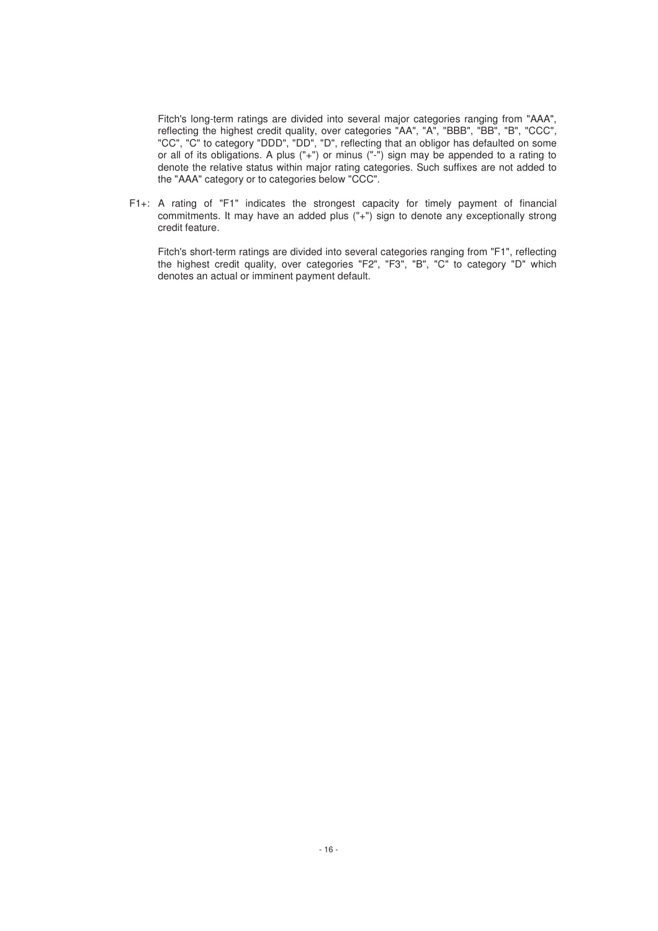Fitch's long-term ratings are divided into several major categories ranging from "AAA", reflecting the highest credit quality, over categories "AA", "A", "BBB", "BB", "B", "CCC", "CC", "C" to category "DDD", "DD", "D", reflecting that an obligor has defaulted on some or all of its obligations. A plus ("+") or minus ("-") sign may be appended to a rating to denote the relative status within major rating categories. Such suffixes are not added to the "AAA" category or to categories below "CCC".

F1+: A rating of "F1" indicates the strongest capacity for timely payment of financial commitments. It may have an added plus ("+") sign to denote any exceptionally strong credit feature.

Fitch's short-term ratings are divided into several categories ranging from "F1", reflecting the highest credit quality, over categories "F2", "F3", "B", "C" to category "D" which denotes an actual or imminent payment default.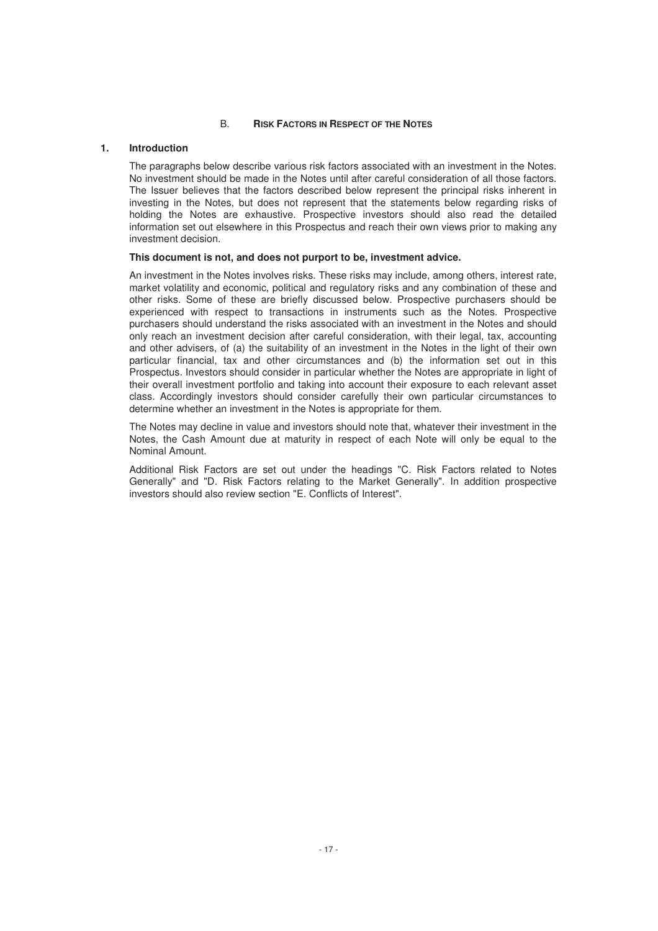## B. **RISK FACTORS IN RESPECT OF THE NOTES**

# **1. Introduction**

The paragraphs below describe various risk factors associated with an investment in the Notes. No investment should be made in the Notes until after careful consideration of all those factors. The Issuer believes that the factors described below represent the principal risks inherent in investing in the Notes, but does not represent that the statements below regarding risks of holding the Notes are exhaustive. Prospective investors should also read the detailed information set out elsewhere in this Prospectus and reach their own views prior to making any investment decision.

## **This document is not, and does not purport to be, investment advice.**

An investment in the Notes involves risks. These risks may include, among others, interest rate, market volatility and economic, political and regulatory risks and any combination of these and other risks. Some of these are briefly discussed below. Prospective purchasers should be experienced with respect to transactions in instruments such as the Notes. Prospective purchasers should understand the risks associated with an investment in the Notes and should only reach an investment decision after careful consideration, with their legal, tax, accounting and other advisers, of (a) the suitability of an investment in the Notes in the light of their own particular financial, tax and other circumstances and (b) the information set out in this Prospectus. Investors should consider in particular whether the Notes are appropriate in light of their overall investment portfolio and taking into account their exposure to each relevant asset class. Accordingly investors should consider carefully their own particular circumstances to determine whether an investment in the Notes is appropriate for them.

The Notes may decline in value and investors should note that, whatever their investment in the Notes, the Cash Amount due at maturity in respect of each Note will only be equal to the Nominal Amount.

Additional Risk Factors are set out under the headings "C. Risk Factors related to Notes Generally" and "D. Risk Factors relating to the Market Generally". In addition prospective investors should also review section "E. Conflicts of Interest".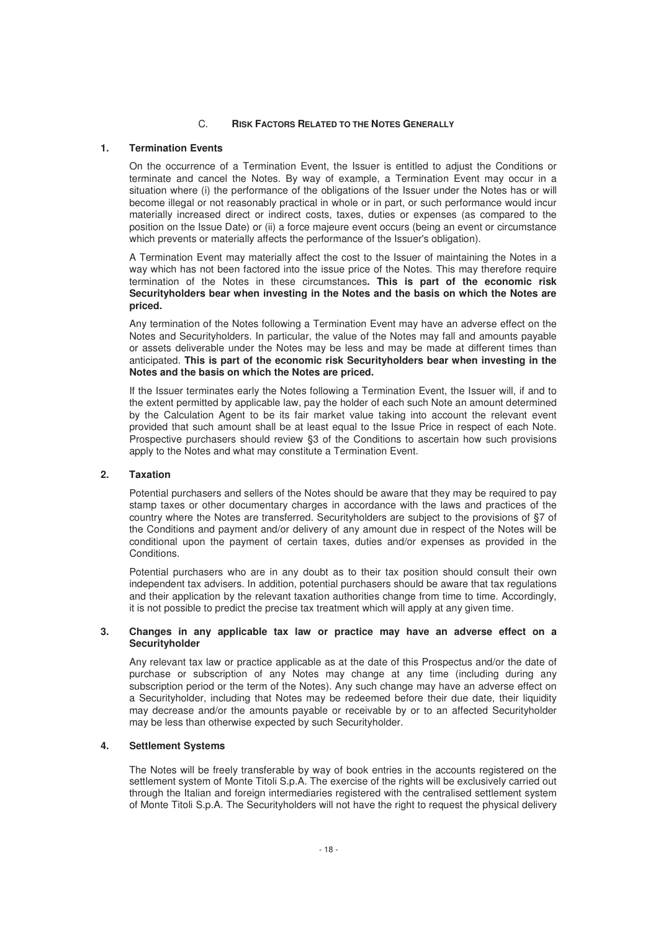## C. **RISK FACTORS RELATED TO THE NOTES GENERALLY**

## **1. Termination Events**

On the occurrence of a Termination Event, the Issuer is entitled to adjust the Conditions or terminate and cancel the Notes. By way of example, a Termination Event may occur in a situation where (i) the performance of the obligations of the Issuer under the Notes has or will become illegal or not reasonably practical in whole or in part, or such performance would incur materially increased direct or indirect costs, taxes, duties or expenses (as compared to the position on the Issue Date) or (ii) a force majeure event occurs (being an event or circumstance which prevents or materially affects the performance of the Issuer's obligation).

A Termination Event may materially affect the cost to the Issuer of maintaining the Notes in a way which has not been factored into the issue price of the Notes. This may therefore require termination of the Notes in these circumstances**. This is part of the economic risk Securityholders bear when investing in the Notes and the basis on which the Notes are priced.** 

Any termination of the Notes following a Termination Event may have an adverse effect on the Notes and Securityholders. In particular, the value of the Notes may fall and amounts payable or assets deliverable under the Notes may be less and may be made at different times than anticipated. **This is part of the economic risk Securityholders bear when investing in the Notes and the basis on which the Notes are priced.**

If the Issuer terminates early the Notes following a Termination Event, the Issuer will, if and to the extent permitted by applicable law, pay the holder of each such Note an amount determined by the Calculation Agent to be its fair market value taking into account the relevant event provided that such amount shall be at least equal to the Issue Price in respect of each Note. Prospective purchasers should review §3 of the Conditions to ascertain how such provisions apply to the Notes and what may constitute a Termination Event.

## **2. Taxation**

Potential purchasers and sellers of the Notes should be aware that they may be required to pay stamp taxes or other documentary charges in accordance with the laws and practices of the country where the Notes are transferred. Securityholders are subject to the provisions of §7 of the Conditions and payment and/or delivery of any amount due in respect of the Notes will be conditional upon the payment of certain taxes, duties and/or expenses as provided in the **Conditions** 

Potential purchasers who are in any doubt as to their tax position should consult their own independent tax advisers. In addition, potential purchasers should be aware that tax regulations and their application by the relevant taxation authorities change from time to time. Accordingly, it is not possible to predict the precise tax treatment which will apply at any given time.

#### **3. Changes in any applicable tax law or practice may have an adverse effect on a Securityholder**

Any relevant tax law or practice applicable as at the date of this Prospectus and/or the date of purchase or subscription of any Notes may change at any time (including during any subscription period or the term of the Notes). Any such change may have an adverse effect on a Securityholder, including that Notes may be redeemed before their due date, their liquidity may decrease and/or the amounts payable or receivable by or to an affected Securityholder may be less than otherwise expected by such Securityholder.

# **4. Settlement Systems**

The Notes will be freely transferable by way of book entries in the accounts registered on the settlement system of Monte Titoli S.p.A. The exercise of the rights will be exclusively carried out through the Italian and foreign intermediaries registered with the centralised settlement system of Monte Titoli S.p.A. The Securityholders will not have the right to request the physical delivery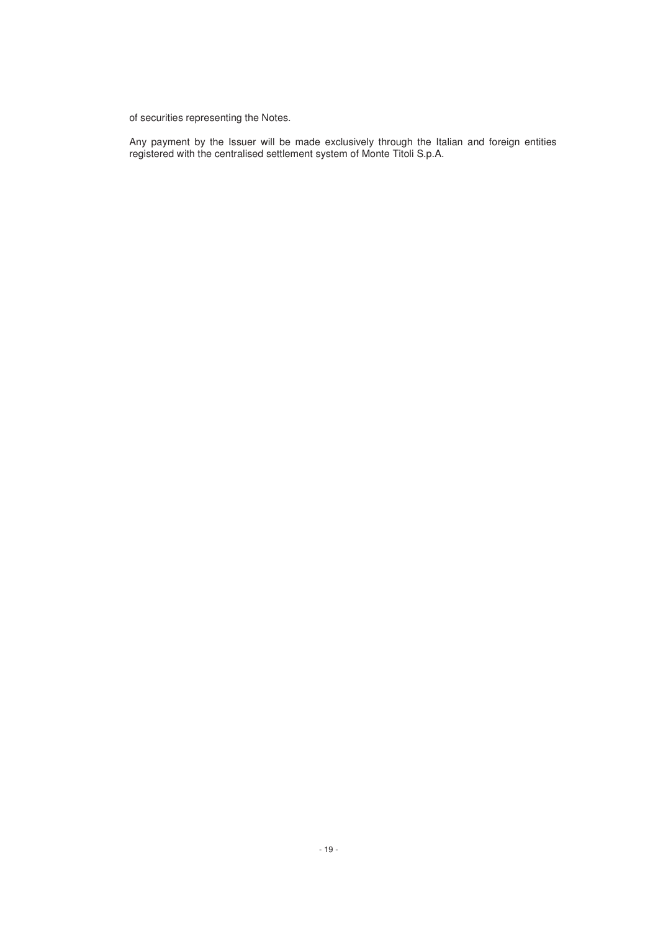of securities representing the Notes.

Any payment by the Issuer will be made exclusively through the Italian and foreign entities registered with the centralised settlement system of Monte Titoli S.p.A.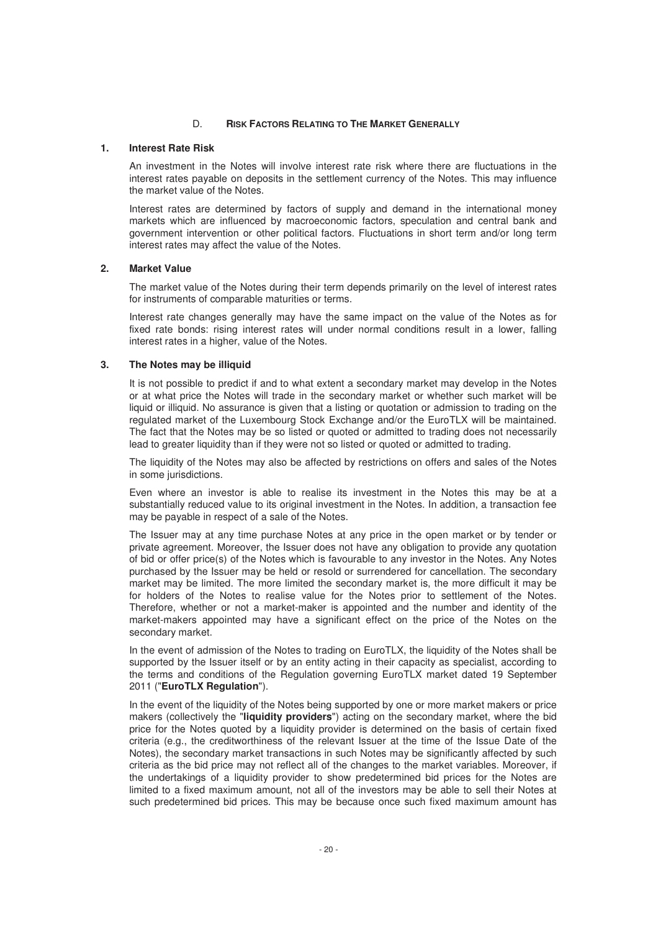## D. **RISK FACTORS RELATING TO THE MARKET GENERALLY**

#### **1. Interest Rate Risk**

An investment in the Notes will involve interest rate risk where there are fluctuations in the interest rates payable on deposits in the settlement currency of the Notes. This may influence the market value of the Notes.

Interest rates are determined by factors of supply and demand in the international money markets which are influenced by macroeconomic factors, speculation and central bank and government intervention or other political factors. Fluctuations in short term and/or long term interest rates may affect the value of the Notes.

# **2. Market Value**

The market value of the Notes during their term depends primarily on the level of interest rates for instruments of comparable maturities or terms.

Interest rate changes generally may have the same impact on the value of the Notes as for fixed rate bonds: rising interest rates will under normal conditions result in a lower, falling interest rates in a higher, value of the Notes.

#### **3. The Notes may be illiquid**

It is not possible to predict if and to what extent a secondary market may develop in the Notes or at what price the Notes will trade in the secondary market or whether such market will be liquid or illiquid. No assurance is given that a listing or quotation or admission to trading on the regulated market of the Luxembourg Stock Exchange and/or the EuroTLX will be maintained. The fact that the Notes may be so listed or quoted or admitted to trading does not necessarily lead to greater liquidity than if they were not so listed or quoted or admitted to trading.

The liquidity of the Notes may also be affected by restrictions on offers and sales of the Notes in some jurisdictions.

Even where an investor is able to realise its investment in the Notes this may be at a substantially reduced value to its original investment in the Notes. In addition, a transaction fee may be payable in respect of a sale of the Notes.

The Issuer may at any time purchase Notes at any price in the open market or by tender or private agreement. Moreover, the Issuer does not have any obligation to provide any quotation of bid or offer price(s) of the Notes which is favourable to any investor in the Notes. Any Notes purchased by the Issuer may be held or resold or surrendered for cancellation. The secondary market may be limited. The more limited the secondary market is, the more difficult it may be for holders of the Notes to realise value for the Notes prior to settlement of the Notes. Therefore, whether or not a market-maker is appointed and the number and identity of the market-makers appointed may have a significant effect on the price of the Notes on the secondary market.

In the event of admission of the Notes to trading on EuroTLX, the liquidity of the Notes shall be supported by the Issuer itself or by an entity acting in their capacity as specialist, according to the terms and conditions of the Regulation governing EuroTLX market dated 19 September 2011 ("**EuroTLX Regulation**").

In the event of the liquidity of the Notes being supported by one or more market makers or price makers (collectively the "**liquidity providers**") acting on the secondary market, where the bid price for the Notes quoted by a liquidity provider is determined on the basis of certain fixed criteria (e.g., the creditworthiness of the relevant Issuer at the time of the Issue Date of the Notes), the secondary market transactions in such Notes may be significantly affected by such criteria as the bid price may not reflect all of the changes to the market variables. Moreover, if the undertakings of a liquidity provider to show predetermined bid prices for the Notes are limited to a fixed maximum amount, not all of the investors may be able to sell their Notes at such predetermined bid prices. This may be because once such fixed maximum amount has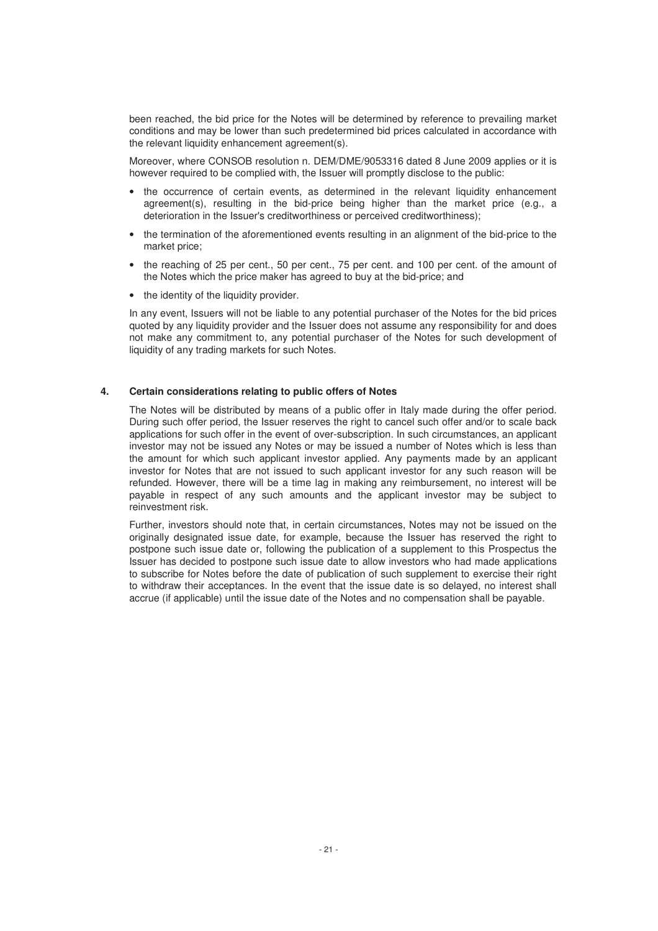been reached, the bid price for the Notes will be determined by reference to prevailing market conditions and may be lower than such predetermined bid prices calculated in accordance with the relevant liquidity enhancement agreement(s).

Moreover, where CONSOB resolution n. DEM/DME/9053316 dated 8 June 2009 applies or it is however required to be complied with, the Issuer will promptly disclose to the public:

- the occurrence of certain events, as determined in the relevant liquidity enhancement agreement(s), resulting in the bid-price being higher than the market price (e.g., a deterioration in the Issuer's creditworthiness or perceived creditworthiness);
- the termination of the aforementioned events resulting in an alignment of the bid-price to the market price;
- the reaching of 25 per cent., 50 per cent., 75 per cent. and 100 per cent. of the amount of the Notes which the price maker has agreed to buy at the bid-price; and
- the identity of the liquidity provider.

In any event, Issuers will not be liable to any potential purchaser of the Notes for the bid prices quoted by any liquidity provider and the Issuer does not assume any responsibility for and does not make any commitment to, any potential purchaser of the Notes for such development of liquidity of any trading markets for such Notes.

# **4. Certain considerations relating to public offers of Notes**

The Notes will be distributed by means of a public offer in Italy made during the offer period. During such offer period, the Issuer reserves the right to cancel such offer and/or to scale back applications for such offer in the event of over-subscription. In such circumstances, an applicant investor may not be issued any Notes or may be issued a number of Notes which is less than the amount for which such applicant investor applied. Any payments made by an applicant investor for Notes that are not issued to such applicant investor for any such reason will be refunded. However, there will be a time lag in making any reimbursement, no interest will be payable in respect of any such amounts and the applicant investor may be subject to reinvestment risk.

Further, investors should note that, in certain circumstances, Notes may not be issued on the originally designated issue date, for example, because the Issuer has reserved the right to postpone such issue date or, following the publication of a supplement to this Prospectus the Issuer has decided to postpone such issue date to allow investors who had made applications to subscribe for Notes before the date of publication of such supplement to exercise their right to withdraw their acceptances. In the event that the issue date is so delayed, no interest shall accrue (if applicable) until the issue date of the Notes and no compensation shall be payable.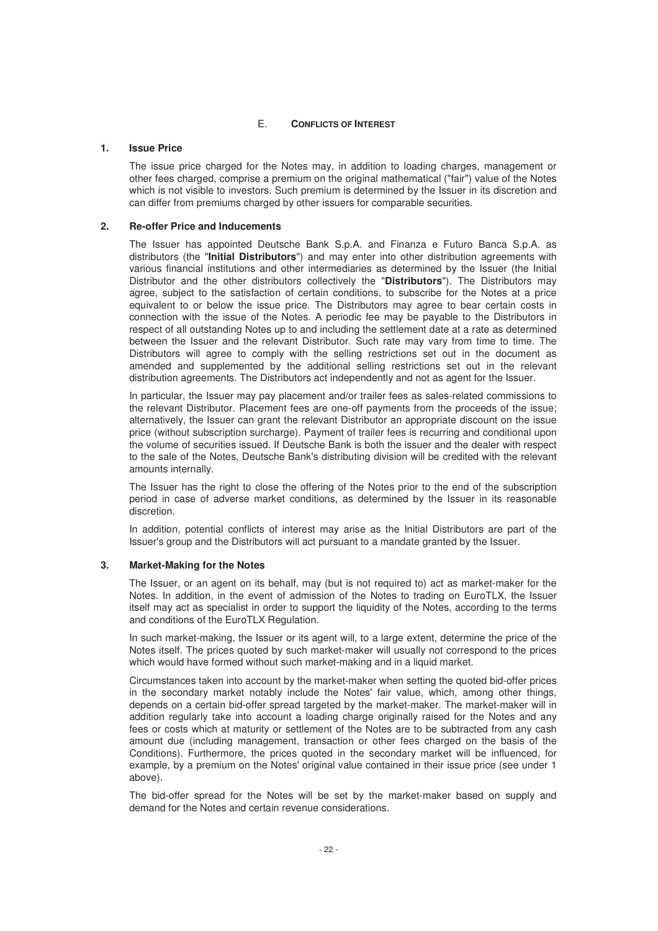## E. **CONFLICTS OF INTEREST**

# **1. Issue Price**

The issue price charged for the Notes may, in addition to loading charges, management or other fees charged, comprise a premium on the original mathematical ("fair") value of the Notes which is not visible to investors. Such premium is determined by the Issuer in its discretion and can differ from premiums charged by other issuers for comparable securities.

# **2. Re-offer Price and Inducements**

The Issuer has appointed Deutsche Bank S.p.A. and Finanza e Futuro Banca S.p.A. as distributors (the "**Initial Distributors**") and may enter into other distribution agreements with various financial institutions and other intermediaries as determined by the Issuer (the Initial Distributor and the other distributors collectively the "**Distributors**"). The Distributors may agree, subject to the satisfaction of certain conditions, to subscribe for the Notes at a price equivalent to or below the issue price. The Distributors may agree to bear certain costs in connection with the issue of the Notes. A periodic fee may be payable to the Distributors in respect of all outstanding Notes up to and including the settlement date at a rate as determined between the Issuer and the relevant Distributor. Such rate may vary from time to time. The Distributors will agree to comply with the selling restrictions set out in the document as amended and supplemented by the additional selling restrictions set out in the relevant distribution agreements. The Distributors act independently and not as agent for the Issuer.

In particular, the Issuer may pay placement and/or trailer fees as sales-related commissions to the relevant Distributor. Placement fees are one-off payments from the proceeds of the issue; alternatively, the Issuer can grant the relevant Distributor an appropriate discount on the issue price (without subscription surcharge). Payment of trailer fees is recurring and conditional upon the volume of securities issued. If Deutsche Bank is both the issuer and the dealer with respect to the sale of the Notes, Deutsche Bank's distributing division will be credited with the relevant amounts internally.

The Issuer has the right to close the offering of the Notes prior to the end of the subscription period in case of adverse market conditions, as determined by the Issuer in its reasonable discretion.

In addition, potential conflicts of interest may arise as the Initial Distributors are part of the Issuer's group and the Distributors will act pursuant to a mandate granted by the Issuer.

# **3. Market-Making for the Notes**

The Issuer, or an agent on its behalf, may (but is not required to) act as market-maker for the Notes. In addition, in the event of admission of the Notes to trading on EuroTLX, the Issuer itself may act as specialist in order to support the liquidity of the Notes, according to the terms and conditions of the EuroTLX Regulation.

In such market-making, the Issuer or its agent will, to a large extent, determine the price of the Notes itself. The prices quoted by such market-maker will usually not correspond to the prices which would have formed without such market-making and in a liquid market.

Circumstances taken into account by the market-maker when setting the quoted bid-offer prices in the secondary market notably include the Notes' fair value, which, among other things, depends on a certain bid-offer spread targeted by the market-maker. The market-maker will in addition regularly take into account a loading charge originally raised for the Notes and any fees or costs which at maturity or settlement of the Notes are to be subtracted from any cash amount due (including management, transaction or other fees charged on the basis of the Conditions). Furthermore, the prices quoted in the secondary market will be influenced, for example, by a premium on the Notes' original value contained in their issue price (see under 1 above).

The bid-offer spread for the Notes will be set by the market-maker based on supply and demand for the Notes and certain revenue considerations.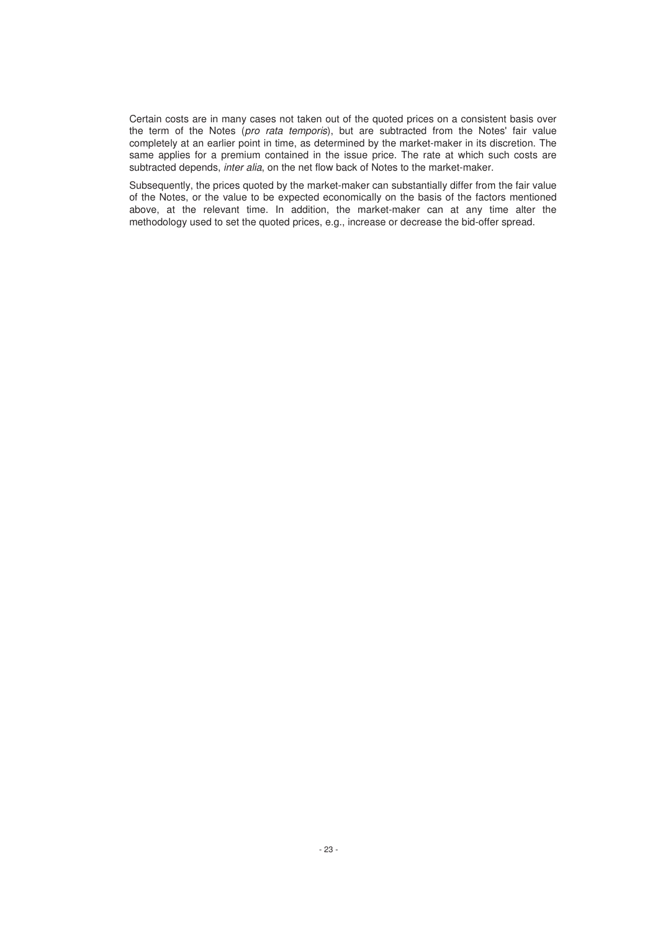Certain costs are in many cases not taken out of the quoted prices on a consistent basis over the term of the Notes (pro rata temporis), but are subtracted from the Notes' fair value completely at an earlier point in time, as determined by the market-maker in its discretion. The same applies for a premium contained in the issue price. The rate at which such costs are subtracted depends, inter alia, on the net flow back of Notes to the market-maker.

Subsequently, the prices quoted by the market-maker can substantially differ from the fair value of the Notes, or the value to be expected economically on the basis of the factors mentioned above, at the relevant time. In addition, the market-maker can at any time alter the methodology used to set the quoted prices, e.g., increase or decrease the bid-offer spread.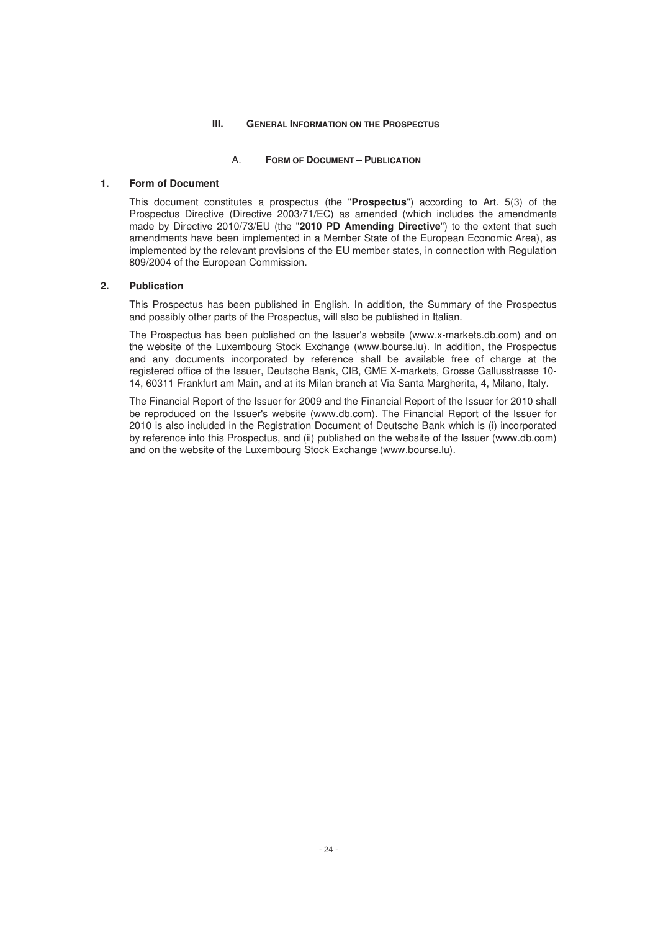## **III. GENERAL INFORMATION ON THE PROSPECTUS**

#### A. **FORM OF DOCUMENT – PUBLICATION**

# **1. Form of Document**

This document constitutes a prospectus (the "**Prospectus**") according to Art. 5(3) of the Prospectus Directive (Directive 2003/71/EC) as amended (which includes the amendments made by Directive 2010/73/EU (the "**2010 PD Amending Directive**") to the extent that such amendments have been implemented in a Member State of the European Economic Area), as implemented by the relevant provisions of the EU member states, in connection with Regulation 809/2004 of the European Commission.

#### **2. Publication**

This Prospectus has been published in English. In addition, the Summary of the Prospectus and possibly other parts of the Prospectus, will also be published in Italian.

The Prospectus has been published on the Issuer's website (www.x-markets.db.com) and on the website of the Luxembourg Stock Exchange (www.bourse.lu). In addition, the Prospectus and any documents incorporated by reference shall be available free of charge at the registered office of the Issuer, Deutsche Bank, CIB, GME X-markets, Grosse Gallusstrasse 10- 14, 60311 Frankfurt am Main, and at its Milan branch at Via Santa Margherita, 4, Milano, Italy.

The Financial Report of the Issuer for 2009 and the Financial Report of the Issuer for 2010 shall be reproduced on the Issuer's website (www.db.com). The Financial Report of the Issuer for 2010 is also included in the Registration Document of Deutsche Bank which is (i) incorporated by reference into this Prospectus, and (ii) published on the website of the Issuer (www.db.com) and on the website of the Luxembourg Stock Exchange (www.bourse.lu).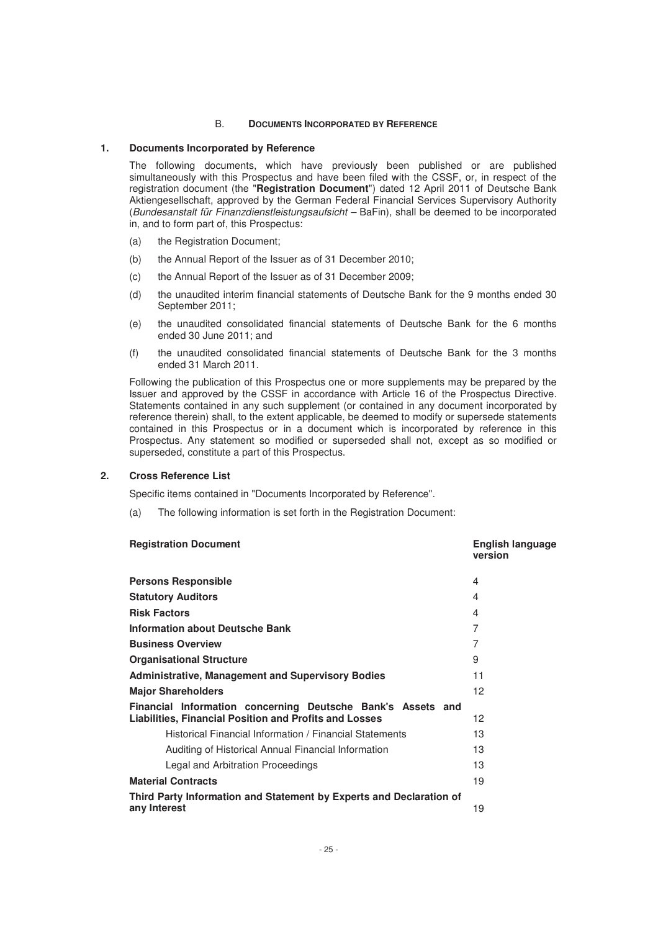## B. **DOCUMENTS INCORPORATED BY REFERENCE**

#### **1. Documents Incorporated by Reference**

The following documents, which have previously been published or are published simultaneously with this Prospectus and have been filed with the CSSF, or, in respect of the registration document (the "**Registration Document**") dated 12 April 2011 of Deutsche Bank Aktiengesellschaft, approved by the German Federal Financial Services Supervisory Authority (Bundesanstalt für Finanzdienstleistungsaufsicht – BaFin), shall be deemed to be incorporated in, and to form part of, this Prospectus:

- (a) the Registration Document;
- (b) the Annual Report of the Issuer as of 31 December 2010;
- (c) the Annual Report of the Issuer as of 31 December 2009;
- (d) the unaudited interim financial statements of Deutsche Bank for the 9 months ended 30 September 2011;
- (e) the unaudited consolidated financial statements of Deutsche Bank for the 6 months ended 30 June 2011; and
- (f) the unaudited consolidated financial statements of Deutsche Bank for the 3 months ended 31 March 2011.

Following the publication of this Prospectus one or more supplements may be prepared by the Issuer and approved by the CSSF in accordance with Article 16 of the Prospectus Directive. Statements contained in any such supplement (or contained in any document incorporated by reference therein) shall, to the extent applicable, be deemed to modify or supersede statements contained in this Prospectus or in a document which is incorporated by reference in this Prospectus. Any statement so modified or superseded shall not, except as so modified or superseded, constitute a part of this Prospectus.

#### **2. Cross Reference List**

Specific items contained in "Documents Incorporated by Reference".

(a) The following information is set forth in the Registration Document:

| <b>Registration Document</b>                                                                                          | <b>English language</b><br>version |
|-----------------------------------------------------------------------------------------------------------------------|------------------------------------|
| <b>Persons Responsible</b>                                                                                            | 4                                  |
| <b>Statutory Auditors</b>                                                                                             | $\overline{4}$                     |
| <b>Risk Factors</b>                                                                                                   | $\overline{4}$                     |
| <b>Information about Deutsche Bank</b>                                                                                | $\overline{7}$                     |
| <b>Business Overview</b>                                                                                              | $\overline{7}$                     |
| <b>Organisational Structure</b>                                                                                       | 9                                  |
| <b>Administrative, Management and Supervisory Bodies</b>                                                              | 11                                 |
| <b>Major Shareholders</b>                                                                                             | 12                                 |
| Financial Information concerning Deutsche Bank's Assets and<br>Liabilities, Financial Position and Profits and Losses | 12                                 |
| Historical Financial Information / Financial Statements                                                               | 13                                 |
| Auditing of Historical Annual Financial Information                                                                   | 13                                 |
| Legal and Arbitration Proceedings                                                                                     | 13                                 |
| <b>Material Contracts</b>                                                                                             | 19                                 |
| Third Party Information and Statement by Experts and Declaration of<br>any Interest                                   | 19                                 |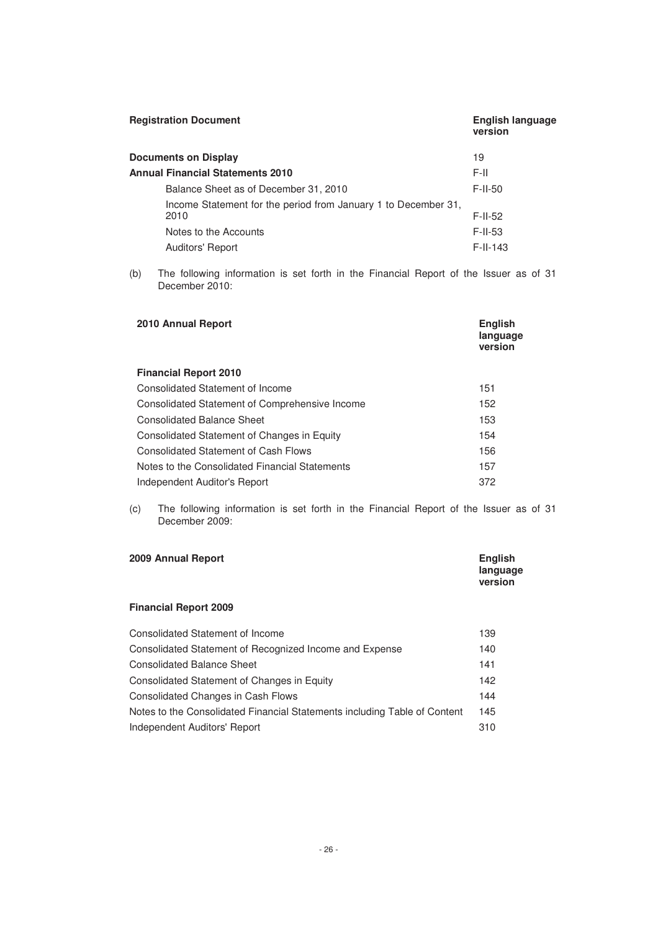| <b>Registration Document</b>                                           | <b>English language</b><br>version |
|------------------------------------------------------------------------|------------------------------------|
| <b>Documents on Display</b>                                            | 19                                 |
| <b>Annual Financial Statements 2010</b>                                | F-II.                              |
| Balance Sheet as of December 31, 2010                                  | $F$ -II-50                         |
| Income Statement for the period from January 1 to December 31,<br>2010 | $F$ -II-52                         |
| Notes to the Accounts                                                  | $F$ -II-53                         |
| <b>Auditors' Report</b>                                                | $F-I-I 43$                         |

(b) The following information is set forth in the Financial Report of the Issuer as of 31 December 2010:

| 2010 Annual Report                             |     |
|------------------------------------------------|-----|
| <b>Financial Report 2010</b>                   |     |
| Consolidated Statement of Income               | 151 |
| Consolidated Statement of Comprehensive Income | 152 |
| <b>Consolidated Balance Sheet</b>              | 153 |
| Consolidated Statement of Changes in Equity    | 154 |
| <b>Consolidated Statement of Cash Flows</b>    | 156 |
| Notes to the Consolidated Financial Statements | 157 |
| Independent Auditor's Report                   | 372 |

(c) The following information is set forth in the Financial Report of the Issuer as of 31 December 2009:

| 2009 Annual Report | <b>English</b><br>language<br>version |
|--------------------|---------------------------------------|
|                    |                                       |

# **Financial Report 2009**

| <b>Consolidated Statement of Income</b>                                   | 139 |
|---------------------------------------------------------------------------|-----|
| Consolidated Statement of Recognized Income and Expense                   | 140 |
| <b>Consolidated Balance Sheet</b>                                         | 141 |
| Consolidated Statement of Changes in Equity                               | 142 |
| <b>Consolidated Changes in Cash Flows</b>                                 | 144 |
| Notes to the Consolidated Financial Statements including Table of Content | 145 |
| Independent Auditors' Report                                              | 310 |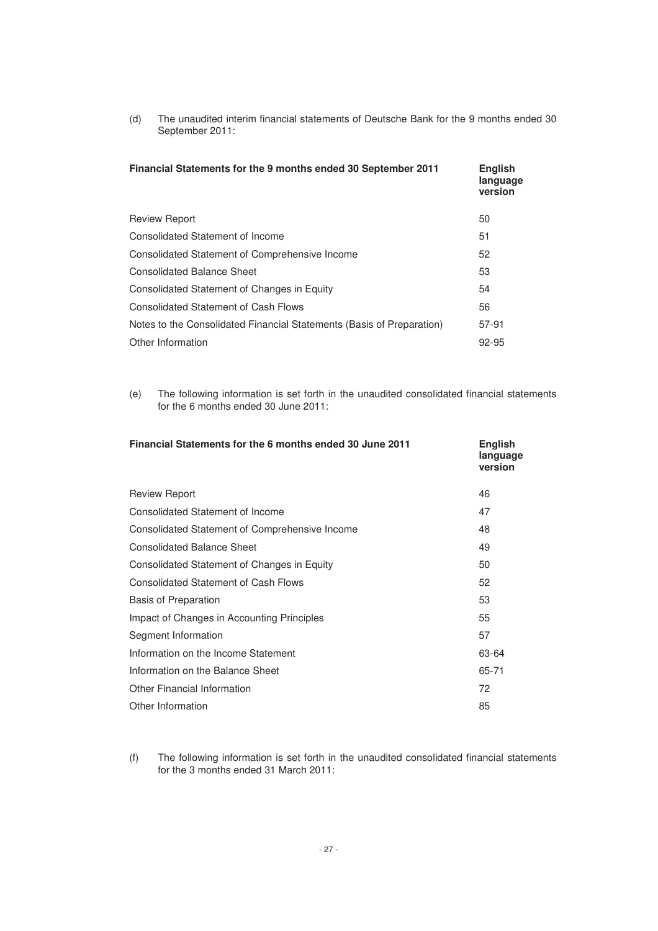(d) The unaudited interim financial statements of Deutsche Bank for the 9 months ended 30 September 2011:

| Financial Statements for the 9 months ended 30 September 2011         | <b>English</b><br>language<br>version |
|-----------------------------------------------------------------------|---------------------------------------|
| <b>Review Report</b>                                                  | 50                                    |
| Consolidated Statement of Income                                      | 51                                    |
| Consolidated Statement of Comprehensive Income                        | 52                                    |
| <b>Consolidated Balance Sheet</b>                                     | 53                                    |
| Consolidated Statement of Changes in Equity                           | 54                                    |
| <b>Consolidated Statement of Cash Flows</b>                           | 56                                    |
| Notes to the Consolidated Financial Statements (Basis of Preparation) | 57-91                                 |
| Other Information                                                     | 92-95                                 |

(e) The following information is set forth in the unaudited consolidated financial statements for the 6 months ended 30 June 2011:

| Financial Statements for the 6 months ended 30 June 2011 | <b>English</b><br>language<br>version |
|----------------------------------------------------------|---------------------------------------|
| <b>Review Report</b>                                     | 46                                    |
| Consolidated Statement of Income                         | 47                                    |
| Consolidated Statement of Comprehensive Income           | 48                                    |
| <b>Consolidated Balance Sheet</b>                        | 49                                    |
| Consolidated Statement of Changes in Equity              | 50                                    |
| <b>Consolidated Statement of Cash Flows</b>              | 52                                    |
| <b>Basis of Preparation</b>                              | 53                                    |
| Impact of Changes in Accounting Principles               | 55                                    |
| Segment Information                                      | 57                                    |
| Information on the Income Statement                      | 63-64                                 |
| Information on the Balance Sheet                         | 65-71                                 |
| <b>Other Financial Information</b>                       | 72                                    |
| Other Information                                        | 85                                    |
|                                                          |                                       |

(f) The following information is set forth in the unaudited consolidated financial statements for the 3 months ended 31 March 2011: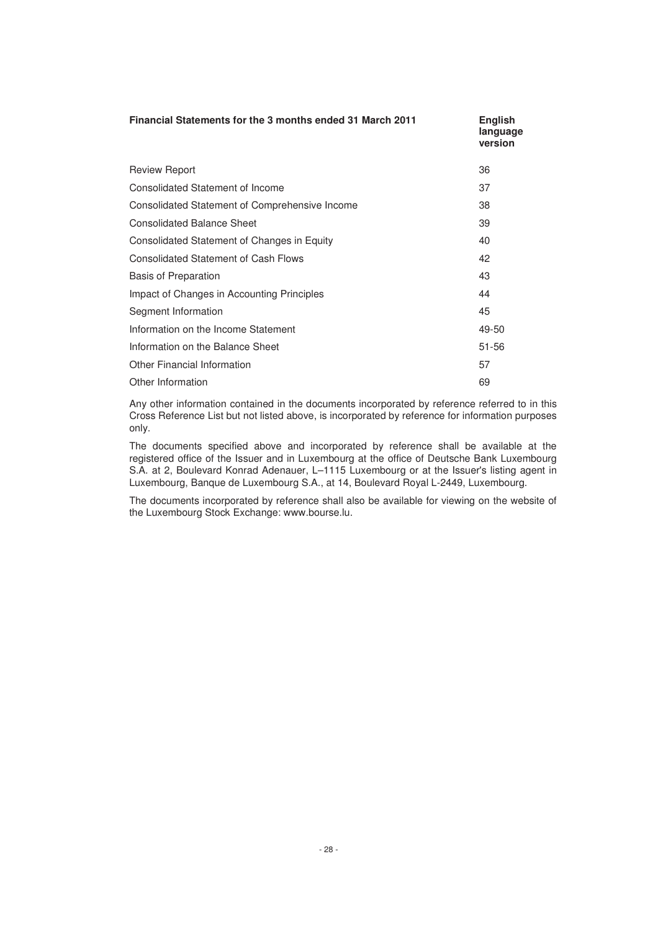| <b>Financial Statements for the 3 months ended 31 March 2011</b> | <b>English</b><br>language<br>version |
|------------------------------------------------------------------|---------------------------------------|
| <b>Review Report</b>                                             | 36                                    |
| Consolidated Statement of Income                                 | 37                                    |
| Consolidated Statement of Comprehensive Income                   | 38                                    |
| <b>Consolidated Balance Sheet</b>                                | 39                                    |
| Consolidated Statement of Changes in Equity                      | 40                                    |
| <b>Consolidated Statement of Cash Flows</b>                      | 42                                    |
| <b>Basis of Preparation</b>                                      | 43                                    |
| Impact of Changes in Accounting Principles                       | 44                                    |
| Segment Information                                              | 45                                    |
| Information on the Income Statement                              | 49-50                                 |
| Information on the Balance Sheet                                 | 51-56                                 |
| <b>Other Financial Information</b>                               | 57                                    |
| Other Information                                                | 69                                    |

Any other information contained in the documents incorporated by reference referred to in this Cross Reference List but not listed above, is incorporated by reference for information purposes only.

The documents specified above and incorporated by reference shall be available at the registered office of the Issuer and in Luxembourg at the office of Deutsche Bank Luxembourg S.A. at 2, Boulevard Konrad Adenauer, L–1115 Luxembourg or at the Issuer's listing agent in Luxembourg, Banque de Luxembourg S.A., at 14, Boulevard Royal L-2449, Luxembourg.

The documents incorporated by reference shall also be available for viewing on the website of the Luxembourg Stock Exchange: www.bourse.lu.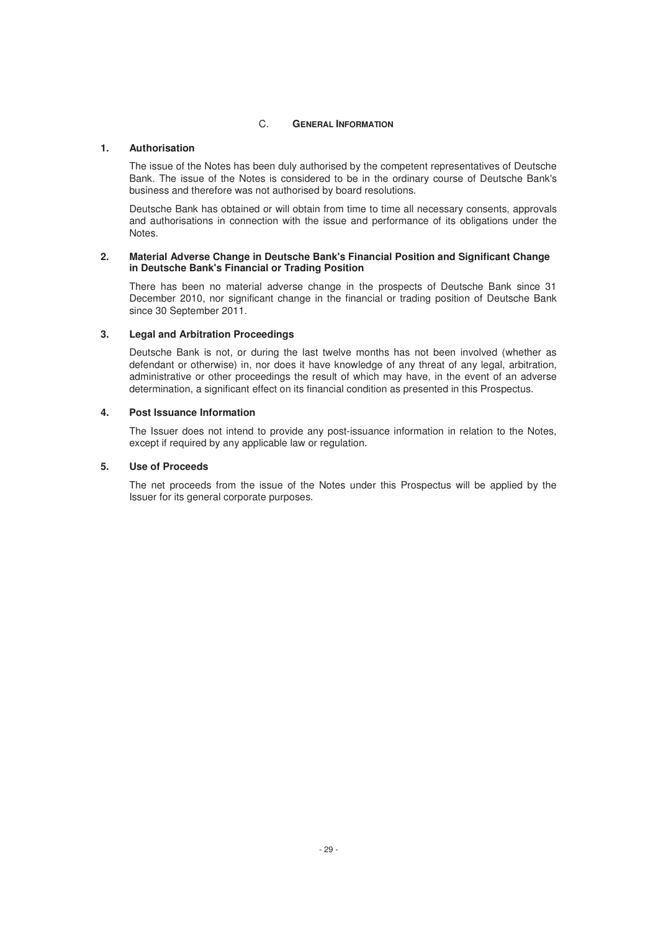# C. **GENERAL INFORMATION**

# **1. Authorisation**

The issue of the Notes has been duly authorised by the competent representatives of Deutsche Bank. The issue of the Notes is considered to be in the ordinary course of Deutsche Bank's business and therefore was not authorised by board resolutions.

Deutsche Bank has obtained or will obtain from time to time all necessary consents, approvals and authorisations in connection with the issue and performance of its obligations under the Notes.

## **2. Material Adverse Change in Deutsche Bank's Financial Position and Significant Change in Deutsche Bank's Financial or Trading Position**

There has been no material adverse change in the prospects of Deutsche Bank since 31 December 2010, nor significant change in the financial or trading position of Deutsche Bank since 30 September 2011.

# **3. Legal and Arbitration Proceedings**

Deutsche Bank is not, or during the last twelve months has not been involved (whether as defendant or otherwise) in, nor does it have knowledge of any threat of any legal, arbitration, administrative or other proceedings the result of which may have, in the event of an adverse determination, a significant effect on its financial condition as presented in this Prospectus.

# **4. Post Issuance Information**

The Issuer does not intend to provide any post-issuance information in relation to the Notes, except if required by any applicable law or regulation.

## **5. Use of Proceeds**

The net proceeds from the issue of the Notes under this Prospectus will be applied by the Issuer for its general corporate purposes.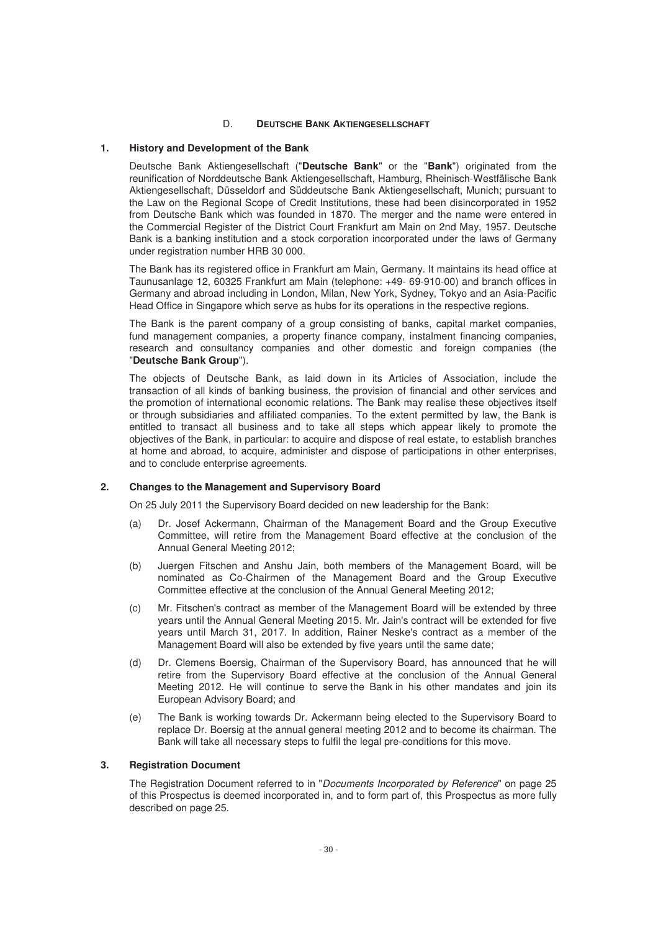## D. **DEUTSCHE BANK AKTIENGESELLSCHAFT**

#### **1. History and Development of the Bank**

Deutsche Bank Aktiengesellschaft ("**Deutsche Bank**" or the "**Bank**") originated from the reunification of Norddeutsche Bank Aktiengesellschaft, Hamburg, Rheinisch-Westfälische Bank Aktiengesellschaft, Düsseldorf and Süddeutsche Bank Aktiengesellschaft, Munich; pursuant to the Law on the Regional Scope of Credit Institutions, these had been disincorporated in 1952 from Deutsche Bank which was founded in 1870. The merger and the name were entered in the Commercial Register of the District Court Frankfurt am Main on 2nd May, 1957. Deutsche Bank is a banking institution and a stock corporation incorporated under the laws of Germany under registration number HRB 30 000.

The Bank has its registered office in Frankfurt am Main, Germany. It maintains its head office at Taunusanlage 12, 60325 Frankfurt am Main (telephone: +49- 69-910-00) and branch offices in Germany and abroad including in London, Milan, New York, Sydney, Tokyo and an Asia-Pacific Head Office in Singapore which serve as hubs for its operations in the respective regions.

The Bank is the parent company of a group consisting of banks, capital market companies, fund management companies, a property finance company, instalment financing companies, research and consultancy companies and other domestic and foreign companies (the "**Deutsche Bank Group**").

The objects of Deutsche Bank, as laid down in its Articles of Association, include the transaction of all kinds of banking business, the provision of financial and other services and the promotion of international economic relations. The Bank may realise these objectives itself or through subsidiaries and affiliated companies. To the extent permitted by law, the Bank is entitled to transact all business and to take all steps which appear likely to promote the objectives of the Bank, in particular: to acquire and dispose of real estate, to establish branches at home and abroad, to acquire, administer and dispose of participations in other enterprises, and to conclude enterprise agreements.

#### **2. Changes to the Management and Supervisory Board**

On 25 July 2011 the Supervisory Board decided on new leadership for the Bank:

- (a) Dr. Josef Ackermann, Chairman of the Management Board and the Group Executive Committee, will retire from the Management Board effective at the conclusion of the Annual General Meeting 2012;
- (b) Juergen Fitschen and Anshu Jain, both members of the Management Board, will be nominated as Co-Chairmen of the Management Board and the Group Executive Committee effective at the conclusion of the Annual General Meeting 2012;
- (c) Mr. Fitschen's contract as member of the Management Board will be extended by three years until the Annual General Meeting 2015. Mr. Jain's contract will be extended for five years until March 31, 2017. In addition, Rainer Neske's contract as a member of the Management Board will also be extended by five years until the same date;
- (d) Dr. Clemens Boersig, Chairman of the Supervisory Board, has announced that he will retire from the Supervisory Board effective at the conclusion of the Annual General Meeting 2012. He will continue to serve the Bank in his other mandates and join its European Advisory Board; and
- (e) The Bank is working towards Dr. Ackermann being elected to the Supervisory Board to replace Dr. Boersig at the annual general meeting 2012 and to become its chairman. The Bank will take all necessary steps to fulfil the legal pre-conditions for this move.

# **3. Registration Document**

The Registration Document referred to in "Documents Incorporated by Reference" on page 25 of this Prospectus is deemed incorporated in, and to form part of, this Prospectus as more fully described on page 25.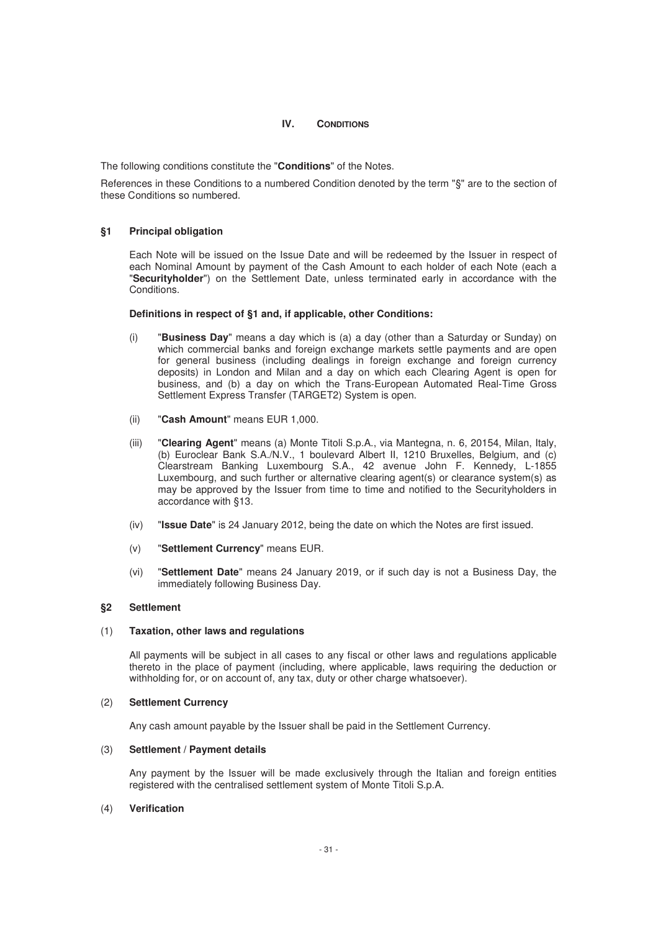# **IV. CONDITIONS**

The following conditions constitute the "**Conditions**" of the Notes.

References in these Conditions to a numbered Condition denoted by the term "§" are to the section of these Conditions so numbered.

# **§1 Principal obligation**

Each Note will be issued on the Issue Date and will be redeemed by the Issuer in respect of each Nominal Amount by payment of the Cash Amount to each holder of each Note (each a "**Securityholder**") on the Settlement Date, unless terminated early in accordance with the Conditions.

## **Definitions in respect of §1 and, if applicable, other Conditions:**

- (i) "**Business Day**" means a day which is (a) a day (other than a Saturday or Sunday) on which commercial banks and foreign exchange markets settle payments and are open for general business (including dealings in foreign exchange and foreign currency deposits) in London and Milan and a day on which each Clearing Agent is open for business, and (b) a day on which the Trans-European Automated Real-Time Gross Settlement Express Transfer (TARGET2) System is open.
- (ii) "**Cash Amount**" means EUR 1,000.
- (iii) "**Clearing Agent**" means (a) Monte Titoli S.p.A., via Mantegna, n. 6, 20154, Milan, Italy, (b) Euroclear Bank S.A./N.V., 1 boulevard Albert II, 1210 Bruxelles, Belgium, and (c) Clearstream Banking Luxembourg S.A., 42 avenue John F. Kennedy, L-1855 Luxembourg, and such further or alternative clearing agent(s) or clearance system(s) as may be approved by the Issuer from time to time and notified to the Securityholders in accordance with §13.
- (iv) "**Issue Date**" is 24 January 2012, being the date on which the Notes are first issued.
- (v) "**Settlement Currency**" means EUR.
- (vi) "**Settlement Date**" means 24 January 2019, or if such day is not a Business Day, the immediately following Business Day.

## **§2 Settlement**

#### (1) **Taxation, other laws and regulations**

All payments will be subject in all cases to any fiscal or other laws and regulations applicable thereto in the place of payment (including, where applicable, laws requiring the deduction or withholding for, or on account of, any tax, duty or other charge whatsoever).

#### (2) **Settlement Currency**

Any cash amount payable by the Issuer shall be paid in the Settlement Currency.

## (3) **Settlement / Payment details**

Any payment by the Issuer will be made exclusively through the Italian and foreign entities registered with the centralised settlement system of Monte Titoli S.p.A.

## (4) **Verification**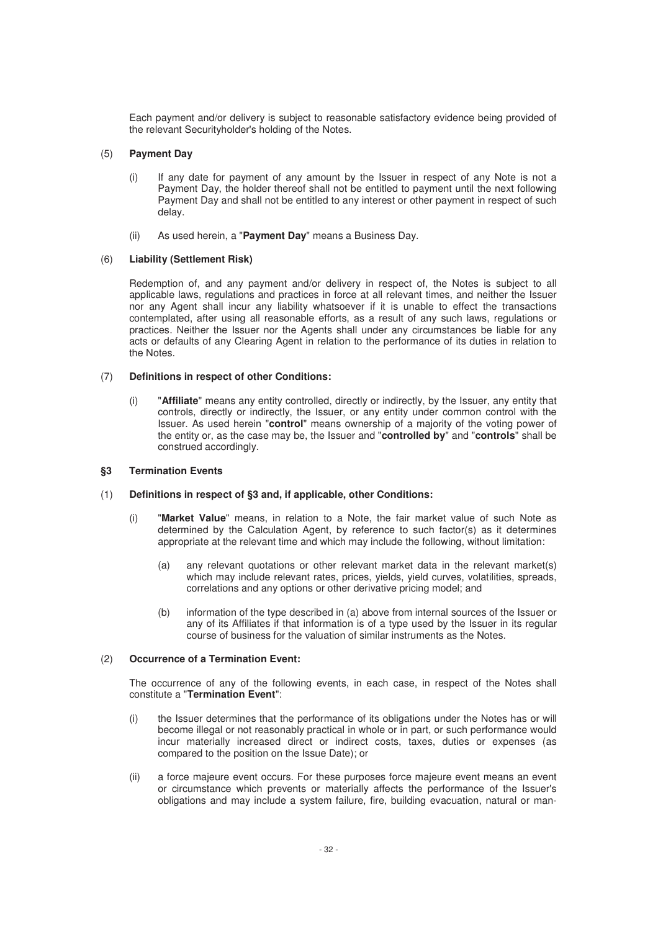Each payment and/or delivery is subject to reasonable satisfactory evidence being provided of the relevant Securityholder's holding of the Notes.

# (5) **Payment Day**

- (i) If any date for payment of any amount by the Issuer in respect of any Note is not a Payment Day, the holder thereof shall not be entitled to payment until the next following Payment Day and shall not be entitled to any interest or other payment in respect of such delay.
- (ii) As used herein, a "**Payment Day**" means a Business Day.

# (6) **Liability (Settlement Risk)**

Redemption of, and any payment and/or delivery in respect of, the Notes is subject to all applicable laws, regulations and practices in force at all relevant times, and neither the Issuer nor any Agent shall incur any liability whatsoever if it is unable to effect the transactions contemplated, after using all reasonable efforts, as a result of any such laws, regulations or practices. Neither the Issuer nor the Agents shall under any circumstances be liable for any acts or defaults of any Clearing Agent in relation to the performance of its duties in relation to the Notes.

# (7) **Definitions in respect of other Conditions:**

(i) "**Affiliate**" means any entity controlled, directly or indirectly, by the Issuer, any entity that controls, directly or indirectly, the Issuer, or any entity under common control with the Issuer. As used herein "**control**" means ownership of a majority of the voting power of the entity or, as the case may be, the Issuer and "**controlled by**" and "**controls**" shall be construed accordingly.

## **§3 Termination Events**

# (1) **Definitions in respect of §3 and, if applicable, other Conditions:**

- (i) "**Market Value**" means, in relation to a Note, the fair market value of such Note as determined by the Calculation Agent, by reference to such factor(s) as it determines appropriate at the relevant time and which may include the following, without limitation:
	- (a) any relevant quotations or other relevant market data in the relevant market(s) which may include relevant rates, prices, yields, yield curves, volatilities, spreads, correlations and any options or other derivative pricing model; and
	- (b) information of the type described in (a) above from internal sources of the Issuer or any of its Affiliates if that information is of a type used by the Issuer in its regular course of business for the valuation of similar instruments as the Notes.

# (2) **Occurrence of a Termination Event:**

The occurrence of any of the following events, in each case, in respect of the Notes shall constitute a "**Termination Event**":

- (i) the Issuer determines that the performance of its obligations under the Notes has or will become illegal or not reasonably practical in whole or in part, or such performance would incur materially increased direct or indirect costs, taxes, duties or expenses (as compared to the position on the Issue Date); or
- (ii) a force majeure event occurs. For these purposes force majeure event means an event or circumstance which prevents or materially affects the performance of the Issuer's obligations and may include a system failure, fire, building evacuation, natural or man-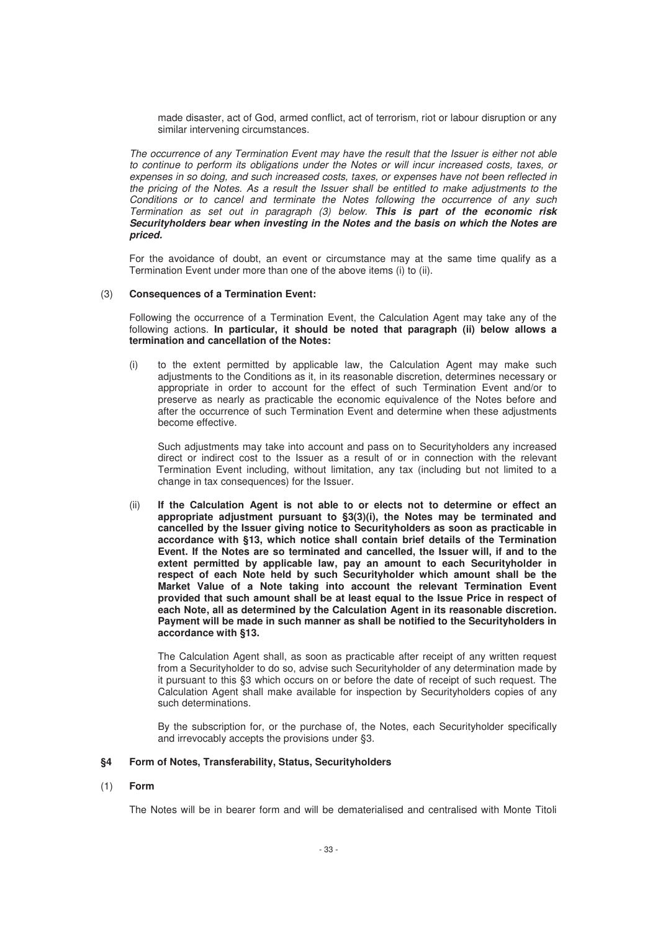made disaster, act of God, armed conflict, act of terrorism, riot or labour disruption or any similar intervening circumstances.

The occurrence of any Termination Event may have the result that the Issuer is either not able to continue to perform its obligations under the Notes or will incur increased costs, taxes, or expenses in so doing, and such increased costs, taxes, or expenses have not been reflected in the pricing of the Notes. As a result the Issuer shall be entitled to make adjustments to the Conditions or to cancel and terminate the Notes following the occurrence of any such Termination as set out in paragraph (3) below. *This is part of the economic risk Securityholders bear when investing in the Notes and the basis on which the Notes are priced.* 

For the avoidance of doubt, an event or circumstance may at the same time qualify as a Termination Event under more than one of the above items (i) to (ii).

#### (3) **Consequences of a Termination Event:**

Following the occurrence of a Termination Event, the Calculation Agent may take any of the following actions. **In particular, it should be noted that paragraph (ii) below allows a termination and cancellation of the Notes:**

(i) to the extent permitted by applicable law, the Calculation Agent may make such adjustments to the Conditions as it, in its reasonable discretion, determines necessary or appropriate in order to account for the effect of such Termination Event and/or to preserve as nearly as practicable the economic equivalence of the Notes before and after the occurrence of such Termination Event and determine when these adjustments become effective.

Such adjustments may take into account and pass on to Securityholders any increased direct or indirect cost to the Issuer as a result of or in connection with the relevant Termination Event including, without limitation, any tax (including but not limited to a change in tax consequences) for the Issuer.

(ii) **If the Calculation Agent is not able to or elects not to determine or effect an appropriate adjustment pursuant to §3(3)(i), the Notes may be terminated and cancelled by the Issuer giving notice to Securityholders as soon as practicable in accordance with §13, which notice shall contain brief details of the Termination Event. If the Notes are so terminated and cancelled, the Issuer will, if and to the extent permitted by applicable law, pay an amount to each Securityholder in respect of each Note held by such Securityholder which amount shall be the Market Value of a Note taking into account the relevant Termination Event provided that such amount shall be at least equal to the Issue Price in respect of each Note, all as determined by the Calculation Agent in its reasonable discretion. Payment will be made in such manner as shall be notified to the Securityholders in accordance with §13.** 

The Calculation Agent shall, as soon as practicable after receipt of any written request from a Securityholder to do so, advise such Securityholder of any determination made by it pursuant to this §3 which occurs on or before the date of receipt of such request. The Calculation Agent shall make available for inspection by Securityholders copies of any such determinations.

By the subscription for, or the purchase of, the Notes, each Securityholder specifically and irrevocably accepts the provisions under §3.

## **§4 Form of Notes, Transferability, Status, Securityholders**

(1) **Form**

The Notes will be in bearer form and will be dematerialised and centralised with Monte Titoli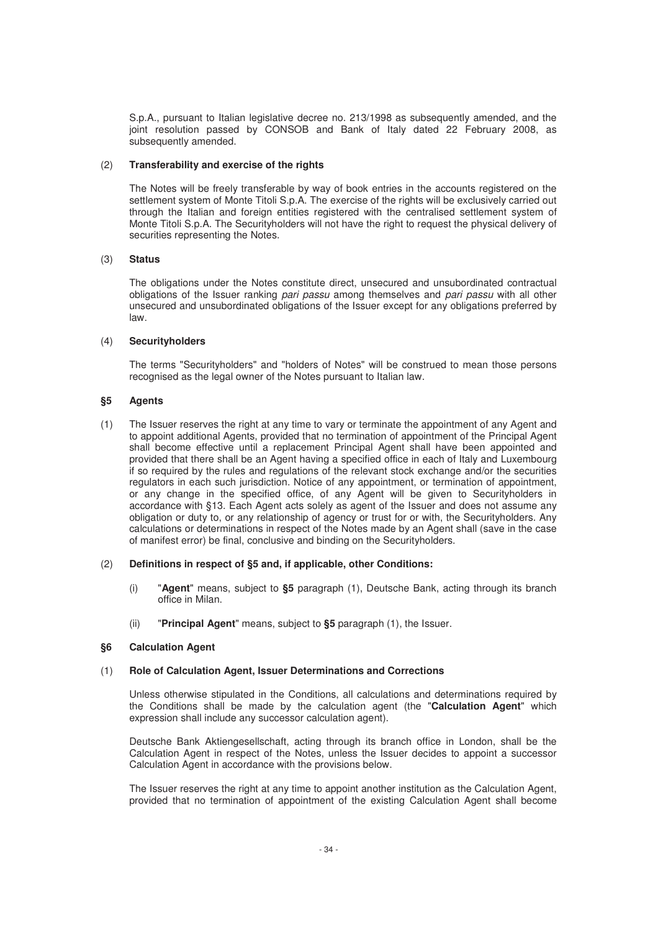S.p.A., pursuant to Italian legislative decree no. 213/1998 as subsequently amended, and the joint resolution passed by CONSOB and Bank of Italy dated 22 February 2008, as subsequently amended.

# (2) **Transferability and exercise of the rights**

The Notes will be freely transferable by way of book entries in the accounts registered on the settlement system of Monte Titoli S.p.A. The exercise of the rights will be exclusively carried out through the Italian and foreign entities registered with the centralised settlement system of Monte Titoli S.p.A. The Securityholders will not have the right to request the physical delivery of securities representing the Notes.

# (3) **Status**

The obligations under the Notes constitute direct, unsecured and unsubordinated contractual obligations of the Issuer ranking pari passu among themselves and pari passu with all other unsecured and unsubordinated obligations of the Issuer except for any obligations preferred by law.

# (4) **Securityholders**

The terms "Securityholders" and "holders of Notes" will be construed to mean those persons recognised as the legal owner of the Notes pursuant to Italian law.

# **§5 Agents**

(1) The Issuer reserves the right at any time to vary or terminate the appointment of any Agent and to appoint additional Agents, provided that no termination of appointment of the Principal Agent shall become effective until a replacement Principal Agent shall have been appointed and provided that there shall be an Agent having a specified office in each of Italy and Luxembourg if so required by the rules and regulations of the relevant stock exchange and/or the securities regulators in each such jurisdiction. Notice of any appointment, or termination of appointment, or any change in the specified office, of any Agent will be given to Securityholders in accordance with §13. Each Agent acts solely as agent of the Issuer and does not assume any obligation or duty to, or any relationship of agency or trust for or with, the Securityholders. Any calculations or determinations in respect of the Notes made by an Agent shall (save in the case of manifest error) be final, conclusive and binding on the Securityholders.

## (2) **Definitions in respect of §5 and, if applicable, other Conditions:**

- (i) "**Agent**" means, subject to **§5** paragraph (1), Deutsche Bank, acting through its branch office in Milan.
- (ii) "**Principal Agent**" means, subject to **§5** paragraph (1), the Issuer.

# **§6 Calculation Agent**

# (1) **Role of Calculation Agent, Issuer Determinations and Corrections**

Unless otherwise stipulated in the Conditions, all calculations and determinations required by the Conditions shall be made by the calculation agent (the "**Calculation Agent**" which expression shall include any successor calculation agent).

Deutsche Bank Aktiengesellschaft, acting through its branch office in London, shall be the Calculation Agent in respect of the Notes, unless the Issuer decides to appoint a successor Calculation Agent in accordance with the provisions below.

The Issuer reserves the right at any time to appoint another institution as the Calculation Agent, provided that no termination of appointment of the existing Calculation Agent shall become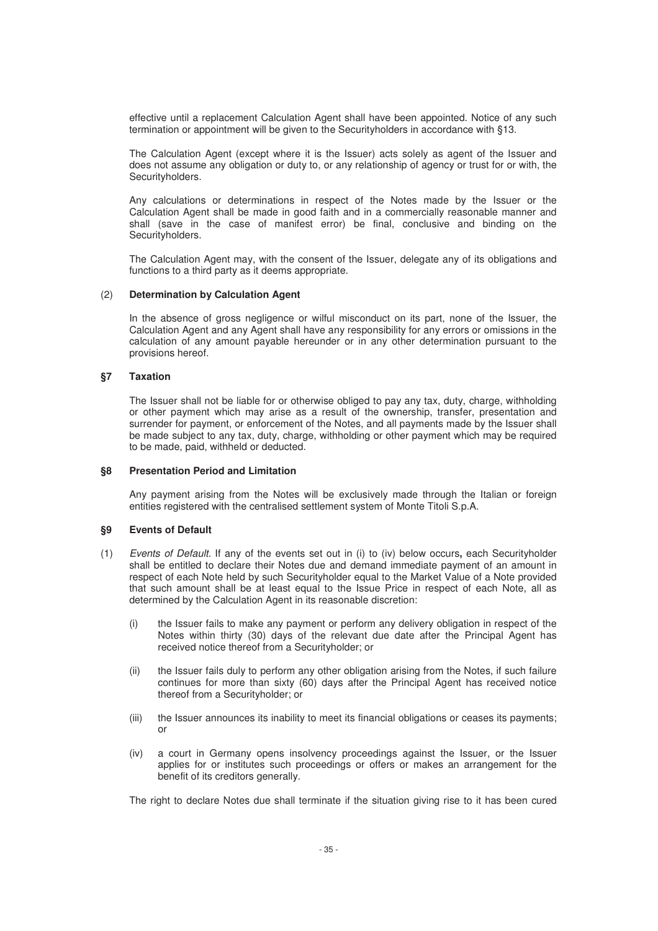effective until a replacement Calculation Agent shall have been appointed. Notice of any such termination or appointment will be given to the Securityholders in accordance with §13.

The Calculation Agent (except where it is the Issuer) acts solely as agent of the Issuer and does not assume any obligation or duty to, or any relationship of agency or trust for or with, the Securityholders.

Any calculations or determinations in respect of the Notes made by the Issuer or the Calculation Agent shall be made in good faith and in a commercially reasonable manner and shall (save in the case of manifest error) be final, conclusive and binding on the Securityholders.

The Calculation Agent may, with the consent of the Issuer, delegate any of its obligations and functions to a third party as it deems appropriate.

#### (2) **Determination by Calculation Agent**

In the absence of gross negligence or wilful misconduct on its part, none of the Issuer, the Calculation Agent and any Agent shall have any responsibility for any errors or omissions in the calculation of any amount payable hereunder or in any other determination pursuant to the provisions hereof.

## **§7 Taxation**

The Issuer shall not be liable for or otherwise obliged to pay any tax, duty, charge, withholding or other payment which may arise as a result of the ownership, transfer, presentation and surrender for payment, or enforcement of the Notes, and all payments made by the Issuer shall be made subject to any tax, duty, charge, withholding or other payment which may be required to be made, paid, withheld or deducted.

#### **§8 Presentation Period and Limitation**

Any payment arising from the Notes will be exclusively made through the Italian or foreign entities registered with the centralised settlement system of Monte Titoli S.p.A.

## **§9 Events of Default**

- (1) Events of Default. If any of the events set out in (i) to (iv) below occurs**,** each Securityholder shall be entitled to declare their Notes due and demand immediate payment of an amount in respect of each Note held by such Securityholder equal to the Market Value of a Note provided that such amount shall be at least equal to the Issue Price in respect of each Note, all as determined by the Calculation Agent in its reasonable discretion:
	- (i) the Issuer fails to make any payment or perform any delivery obligation in respect of the Notes within thirty (30) days of the relevant due date after the Principal Agent has received notice thereof from a Securityholder; or
	- (ii) the Issuer fails duly to perform any other obligation arising from the Notes, if such failure continues for more than sixty (60) days after the Principal Agent has received notice thereof from a Securityholder; or
	- (iii) the Issuer announces its inability to meet its financial obligations or ceases its payments; or
	- (iv) a court in Germany opens insolvency proceedings against the Issuer, or the Issuer applies for or institutes such proceedings or offers or makes an arrangement for the benefit of its creditors generally.

The right to declare Notes due shall terminate if the situation giving rise to it has been cured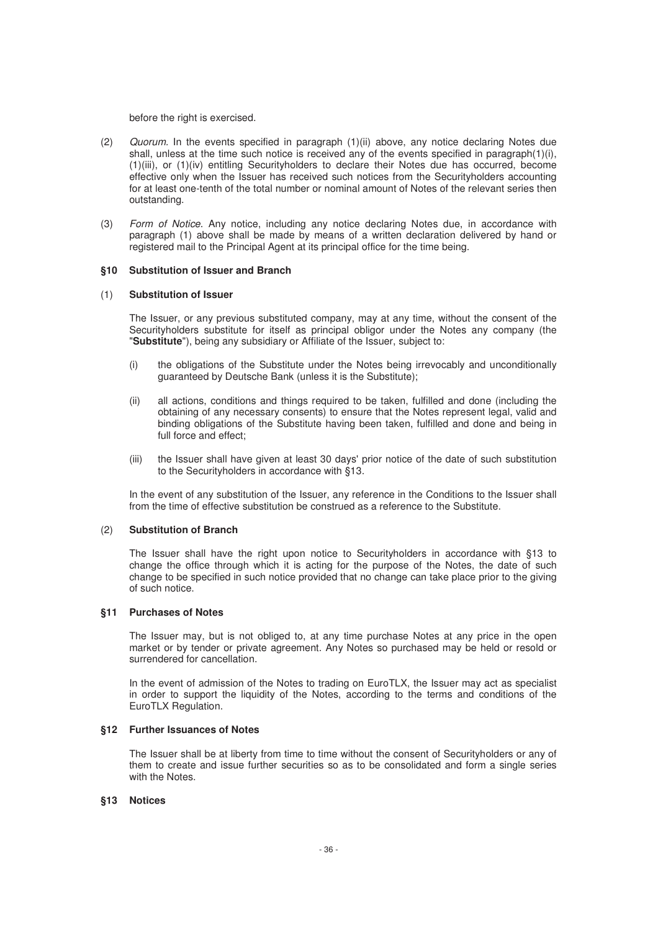before the right is exercised.

- $(2)$  Quorum. In the events specified in paragraph  $(1)(ii)$  above, any notice declaring Notes due shall, unless at the time such notice is received any of the events specified in paragraph(1)(i), (1)(iii), or (1)(iv) entitling Securityholders to declare their Notes due has occurred, become effective only when the Issuer has received such notices from the Securityholders accounting for at least one-tenth of the total number or nominal amount of Notes of the relevant series then outstanding.
- (3) Form of Notice. Any notice, including any notice declaring Notes due, in accordance with paragraph (1) above shall be made by means of a written declaration delivered by hand or registered mail to the Principal Agent at its principal office for the time being.

# **§10 Substitution of Issuer and Branch**

#### (1) **Substitution of Issuer**

The Issuer, or any previous substituted company, may at any time, without the consent of the Securityholders substitute for itself as principal obligor under the Notes any company (the "**Substitute**"), being any subsidiary or Affiliate of the Issuer, subject to:

- (i) the obligations of the Substitute under the Notes being irrevocably and unconditionally guaranteed by Deutsche Bank (unless it is the Substitute);
- (ii) all actions, conditions and things required to be taken, fulfilled and done (including the obtaining of any necessary consents) to ensure that the Notes represent legal, valid and binding obligations of the Substitute having been taken, fulfilled and done and being in full force and effect;
- (iii) the Issuer shall have given at least 30 days' prior notice of the date of such substitution to the Securityholders in accordance with §13.

In the event of any substitution of the Issuer, any reference in the Conditions to the Issuer shall from the time of effective substitution be construed as a reference to the Substitute.

#### (2) **Substitution of Branch**

The Issuer shall have the right upon notice to Securityholders in accordance with §13 to change the office through which it is acting for the purpose of the Notes, the date of such change to be specified in such notice provided that no change can take place prior to the giving of such notice.

## **§11 Purchases of Notes**

The Issuer may, but is not obliged to, at any time purchase Notes at any price in the open market or by tender or private agreement. Any Notes so purchased may be held or resold or surrendered for cancellation.

In the event of admission of the Notes to trading on EuroTLX, the Issuer may act as specialist in order to support the liquidity of the Notes, according to the terms and conditions of the EuroTLX Regulation.

# **§12 Further Issuances of Notes**

The Issuer shall be at liberty from time to time without the consent of Securityholders or any of them to create and issue further securities so as to be consolidated and form a single series with the Notes.

#### **§13 Notices**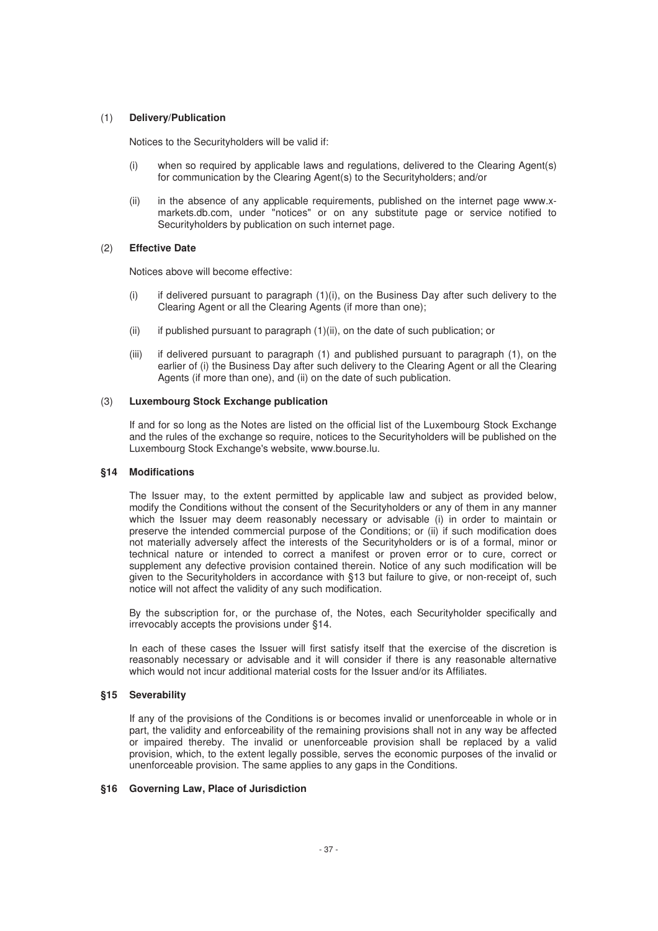# (1) **Delivery/Publication**

Notices to the Securityholders will be valid if:

- (i) when so required by applicable laws and regulations, delivered to the Clearing Agent(s) for communication by the Clearing Agent(s) to the Securityholders; and/or
- (ii) in the absence of any applicable requirements, published on the internet page www.xmarkets.db.com, under "notices" or on any substitute page or service notified to Securityholders by publication on such internet page.

# (2) **Effective Date**

Notices above will become effective:

- (i) if delivered pursuant to paragraph (1)(i), on the Business Day after such delivery to the Clearing Agent or all the Clearing Agents (if more than one);
- (ii) if published pursuant to paragraph (1)(ii), on the date of such publication; or
- (iii) if delivered pursuant to paragraph (1) and published pursuant to paragraph (1), on the earlier of (i) the Business Day after such delivery to the Clearing Agent or all the Clearing Agents (if more than one), and (ii) on the date of such publication.

## (3) **Luxembourg Stock Exchange publication**

If and for so long as the Notes are listed on the official list of the Luxembourg Stock Exchange and the rules of the exchange so require, notices to the Securityholders will be published on the Luxembourg Stock Exchange's website, www.bourse.lu.

## **§14 Modifications**

The Issuer may, to the extent permitted by applicable law and subject as provided below, modify the Conditions without the consent of the Securityholders or any of them in any manner which the Issuer may deem reasonably necessary or advisable (i) in order to maintain or preserve the intended commercial purpose of the Conditions; or (ii) if such modification does not materially adversely affect the interests of the Securityholders or is of a formal, minor or technical nature or intended to correct a manifest or proven error or to cure, correct or supplement any defective provision contained therein. Notice of any such modification will be given to the Securityholders in accordance with §13 but failure to give, or non-receipt of, such notice will not affect the validity of any such modification.

By the subscription for, or the purchase of, the Notes, each Securityholder specifically and irrevocably accepts the provisions under §14.

In each of these cases the Issuer will first satisfy itself that the exercise of the discretion is reasonably necessary or advisable and it will consider if there is any reasonable alternative which would not incur additional material costs for the Issuer and/or its Affiliates.

# **§15 Severability**

If any of the provisions of the Conditions is or becomes invalid or unenforceable in whole or in part, the validity and enforceability of the remaining provisions shall not in any way be affected or impaired thereby. The invalid or unenforceable provision shall be replaced by a valid provision, which, to the extent legally possible, serves the economic purposes of the invalid or unenforceable provision. The same applies to any gaps in the Conditions.

## **§16 Governing Law, Place of Jurisdiction**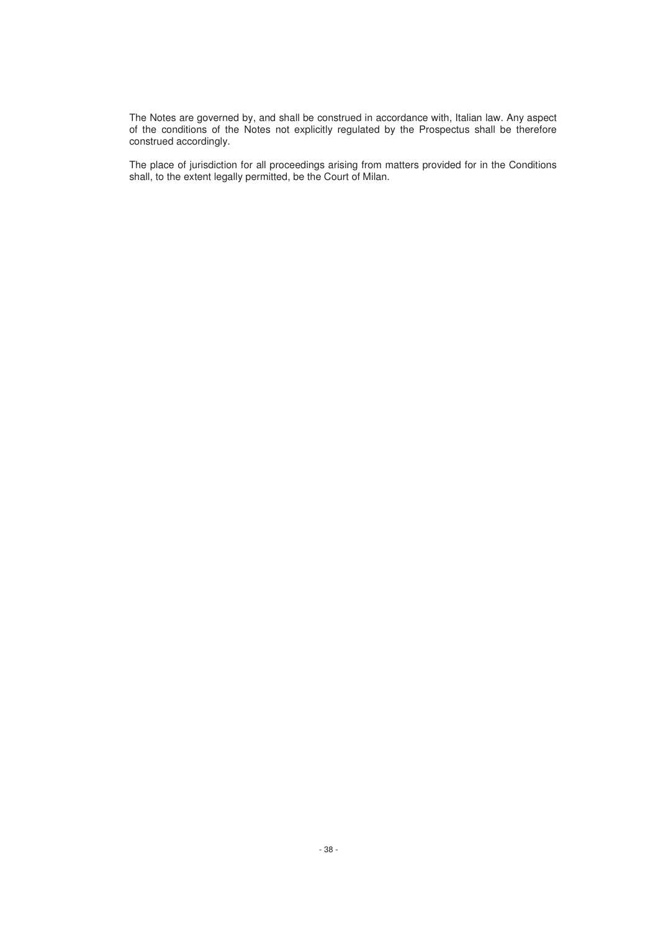The Notes are governed by, and shall be construed in accordance with, Italian law. Any aspect of the conditions of the Notes not explicitly regulated by the Prospectus shall be therefore construed accordingly.

The place of jurisdiction for all proceedings arising from matters provided for in the Conditions shall, to the extent legally permitted, be the Court of Milan.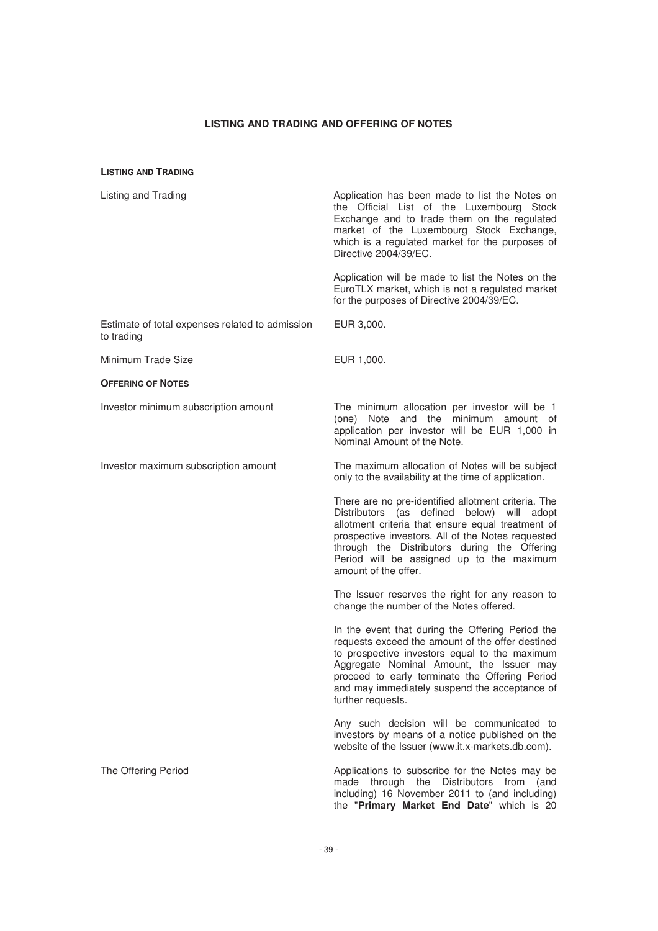#### **LISTING AND TRADING AND OFFERING OF NOTES**

EUR 3,000.

#### **LISTING AND TRADING**

|  | Listing and Trading |
|--|---------------------|

Application has been made to list the Notes on the Official List of the Luxembourg Stock Exchange and to trade them on the regulated market of the Luxembourg Stock Exchange, which is a regulated market for the purposes of Directive 2004/39/EC.

Application will be made to list the Notes on the EuroTLX market, which is not a regulated market for the purposes of Directive 2004/39/EC.

Estimate of total expenses related to admission to trading

Minimum Trade Size **EUR 1,000**.

#### **OFFERING OF NOTES**

Investor minimum subscription amount The minimum allocation per investor will be 1

application per investor will be EUR 1,000 in Nominal Amount of the Note. Investor maximum subscription amount The maximum allocation of Notes will be subject

(one) Note and the minimum amount of

only to the availability at the time of application.

There are no pre-identified allotment criteria. The Distributors (as defined below) will adopt allotment criteria that ensure equal treatment of prospective investors. All of the Notes requested through the Distributors during the Offering Period will be assigned up to the maximum amount of the offer.

The Issuer reserves the right for any reason to change the number of the Notes offered.

In the event that during the Offering Period the requests exceed the amount of the offer destined to prospective investors equal to the maximum Aggregate Nominal Amount, the Issuer may proceed to early terminate the Offering Period and may immediately suspend the acceptance of further requests.

Any such decision will be communicated to investors by means of a notice published on the website of the Issuer (www.it.x-markets.db.com).

The Offering Period **Applications to subscribe for the Notes may be** made through the Distributors from (and including) 16 November 2011 to (and including) the "**Primary Market End Date**" which is 20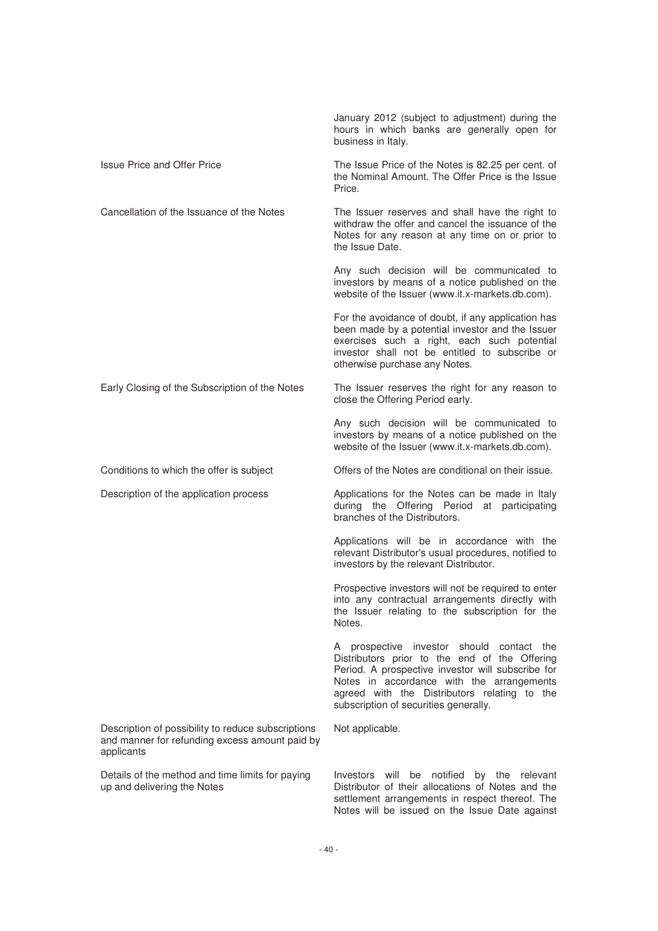|                                                                                                                    | January 2012 (subject to adjustment) during the<br>hours in which banks are generally open for<br>business in Italy.                                                                                                                                                                  |
|--------------------------------------------------------------------------------------------------------------------|---------------------------------------------------------------------------------------------------------------------------------------------------------------------------------------------------------------------------------------------------------------------------------------|
| Issue Price and Offer Price                                                                                        | The Issue Price of the Notes is 82.25 per cent. of<br>the Nominal Amount. The Offer Price is the Issue<br>Price.                                                                                                                                                                      |
| Cancellation of the Issuance of the Notes                                                                          | The Issuer reserves and shall have the right to<br>withdraw the offer and cancel the issuance of the<br>Notes for any reason at any time on or prior to<br>the Issue Date.                                                                                                            |
|                                                                                                                    | Any such decision will be communicated to<br>investors by means of a notice published on the<br>website of the Issuer (www.it.x-markets.db.com).                                                                                                                                      |
|                                                                                                                    | For the avoidance of doubt, if any application has<br>been made by a potential investor and the Issuer<br>exercises such a right, each such potential<br>investor shall not be entitled to subscribe or<br>otherwise purchase any Notes.                                              |
| Early Closing of the Subscription of the Notes                                                                     | The Issuer reserves the right for any reason to<br>close the Offering Period early.                                                                                                                                                                                                   |
|                                                                                                                    | Any such decision will be communicated to<br>investors by means of a notice published on the<br>website of the Issuer (www.it.x-markets.db.com).                                                                                                                                      |
| Conditions to which the offer is subject                                                                           | Offers of the Notes are conditional on their issue.                                                                                                                                                                                                                                   |
| Description of the application process                                                                             | Applications for the Notes can be made in Italy<br>during the Offering Period<br>at participating<br>branches of the Distributors.                                                                                                                                                    |
|                                                                                                                    | Applications will be in accordance with the<br>relevant Distributor's usual procedures, notified to<br>investors by the relevant Distributor.                                                                                                                                         |
|                                                                                                                    | Prospective investors will not be required to enter<br>into any contractual arrangements directly with<br>the Issuer relating to the subscription for the<br>Notes.                                                                                                                   |
|                                                                                                                    | A prospective investor should contact the<br>Distributors prior to the end of the Offering<br>Period. A prospective investor will subscribe for<br>Notes in accordance with the arrangements<br>agreed with the Distributors relating to the<br>subscription of securities generally. |
| Description of possibility to reduce subscriptions<br>and manner for refunding excess amount paid by<br>applicants | Not applicable.                                                                                                                                                                                                                                                                       |
| Details of the method and time limits for paying<br>up and delivering the Notes                                    | Investors will be notified by the relevant<br>Distributor of their allocations of Notes and the<br>settlement arrangements in respect thereof. The<br>Notes will be issued on the Issue Date against                                                                                  |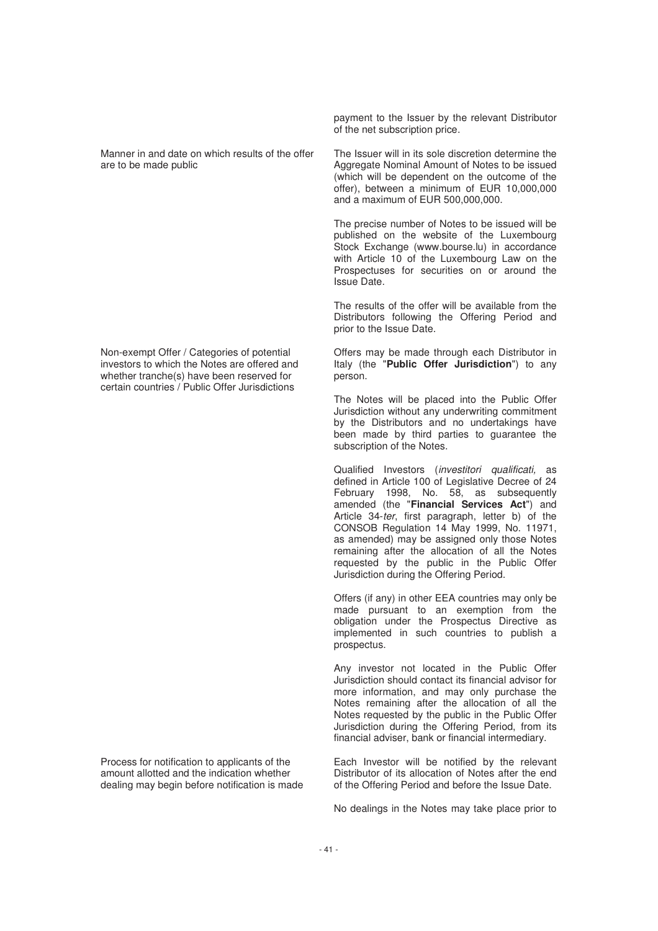Manner in and date on which results of the offer are to be made public

Non-exempt Offer / Categories of potential investors to which the Notes are offered and whether tranche(s) have been reserved for certain countries / Public Offer Jurisdictions

Process for notification to applicants of the amount allotted and the indication whether dealing may begin before notification is made payment to the Issuer by the relevant Distributor of the net subscription price.

The Issuer will in its sole discretion determine the Aggregate Nominal Amount of Notes to be issued (which will be dependent on the outcome of the offer), between a minimum of EUR 10,000,000 and a maximum of EUR 500,000,000.

The precise number of Notes to be issued will be published on the website of the Luxembourg Stock Exchange (www.bourse.lu) in accordance with Article 10 of the Luxembourg Law on the Prospectuses for securities on or around the Issue Date.

The results of the offer will be available from the Distributors following the Offering Period and prior to the Issue Date.

Offers may be made through each Distributor in Italy (the "**Public Offer Jurisdiction**") to any person.

The Notes will be placed into the Public Offer Jurisdiction without any underwriting commitment by the Distributors and no undertakings have been made by third parties to guarantee the subscription of the Notes.

Qualified Investors (investitori qualificati, as defined in Article 100 of Legislative Decree of 24 February 1998, No. 58, as subsequently amended (the "**Financial Services Act**") and Article 34-ter, first paragraph, letter b) of the CONSOB Regulation 14 May 1999, No. 11971, as amended) may be assigned only those Notes remaining after the allocation of all the Notes requested by the public in the Public Offer Jurisdiction during the Offering Period.

Offers (if any) in other EEA countries may only be made pursuant to an exemption from the obligation under the Prospectus Directive as implemented in such countries to publish a prospectus.

Any investor not located in the Public Offer Jurisdiction should contact its financial advisor for more information, and may only purchase the Notes remaining after the allocation of all the Notes requested by the public in the Public Offer Jurisdiction during the Offering Period, from its financial adviser, bank or financial intermediary.

Each Investor will be notified by the relevant Distributor of its allocation of Notes after the end of the Offering Period and before the Issue Date.

No dealings in the Notes may take place prior to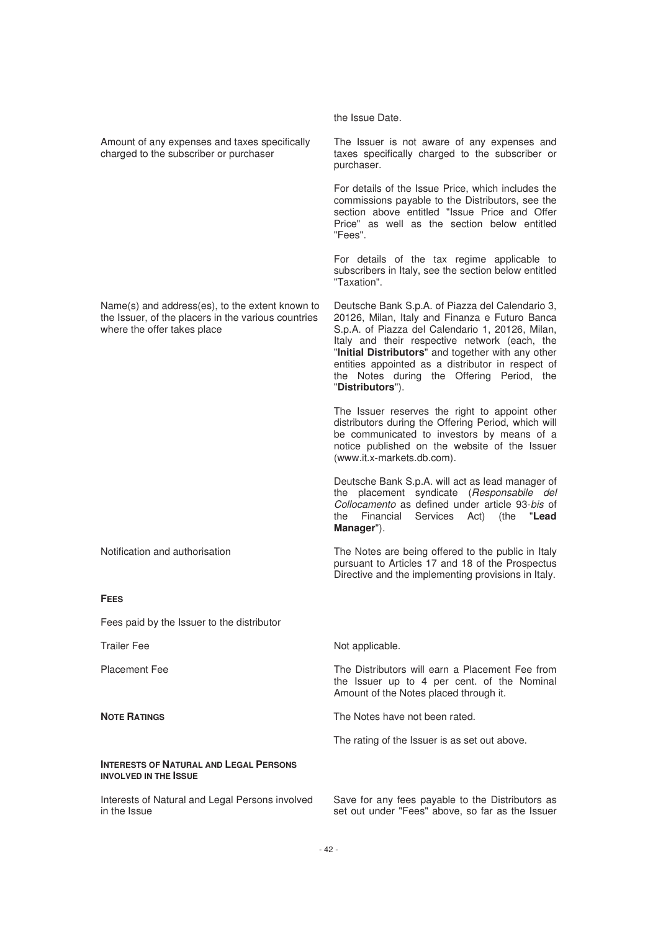|                                                                                                                                       | the Issue Date.                                                                                                                                                                                                                                                                                                                                                                     |
|---------------------------------------------------------------------------------------------------------------------------------------|-------------------------------------------------------------------------------------------------------------------------------------------------------------------------------------------------------------------------------------------------------------------------------------------------------------------------------------------------------------------------------------|
| Amount of any expenses and taxes specifically<br>charged to the subscriber or purchaser                                               | The Issuer is not aware of any expenses and<br>taxes specifically charged to the subscriber or<br>purchaser.                                                                                                                                                                                                                                                                        |
|                                                                                                                                       | For details of the Issue Price, which includes the<br>commissions payable to the Distributors, see the<br>section above entitled "Issue Price and Offer<br>Price" as well as the section below entitled<br>"Fees".                                                                                                                                                                  |
|                                                                                                                                       | For details of the tax regime applicable to<br>subscribers in Italy, see the section below entitled<br>"Taxation".                                                                                                                                                                                                                                                                  |
| Name(s) and address(es), to the extent known to<br>the Issuer, of the placers in the various countries<br>where the offer takes place | Deutsche Bank S.p.A. of Piazza del Calendario 3,<br>20126, Milan, Italy and Finanza e Futuro Banca<br>S.p.A. of Piazza del Calendario 1, 20126, Milan,<br>Italy and their respective network (each, the<br>"Initial Distributors" and together with any other<br>entities appointed as a distributor in respect of<br>the Notes during the Offering Period, the<br>"Distributors"). |
|                                                                                                                                       | The Issuer reserves the right to appoint other<br>distributors during the Offering Period, which will<br>be communicated to investors by means of a<br>notice published on the website of the Issuer<br>(www.it.x-markets.db.com).                                                                                                                                                  |
|                                                                                                                                       | Deutsche Bank S.p.A. will act as lead manager of<br>the placement syndicate (Responsabile del<br>Collocamento as defined under article 93-bis of<br>Services<br>"Lead<br>Financial<br>Act)<br>(the<br>the<br>Manager").                                                                                                                                                             |
| Notification and authorisation                                                                                                        | The Notes are being offered to the public in Italy<br>pursuant to Articles 17 and 18 of the Prospectus<br>Directive and the implementing provisions in Italy.                                                                                                                                                                                                                       |
| <b>FEES</b>                                                                                                                           |                                                                                                                                                                                                                                                                                                                                                                                     |
| Fees paid by the Issuer to the distributor                                                                                            |                                                                                                                                                                                                                                                                                                                                                                                     |
| <b>Trailer Fee</b>                                                                                                                    | Not applicable.                                                                                                                                                                                                                                                                                                                                                                     |
| <b>Placement Fee</b>                                                                                                                  | The Distributors will earn a Placement Fee from<br>the Issuer up to 4 per cent. of the Nominal<br>Amount of the Notes placed through it.                                                                                                                                                                                                                                            |
| <b>NOTE RATINGS</b>                                                                                                                   | The Notes have not been rated.                                                                                                                                                                                                                                                                                                                                                      |
|                                                                                                                                       | The rating of the Issuer is as set out above.                                                                                                                                                                                                                                                                                                                                       |
| <b>INTERESTS OF NATURAL AND LEGAL PERSONS</b><br><b>INVOLVED IN THE ISSUE</b>                                                         |                                                                                                                                                                                                                                                                                                                                                                                     |
| Interests of Natural and Legal Persons involved<br>in the Issue                                                                       | Save for any fees payable to the Distributors as<br>set out under "Fees" above, so far as the Issuer                                                                                                                                                                                                                                                                                |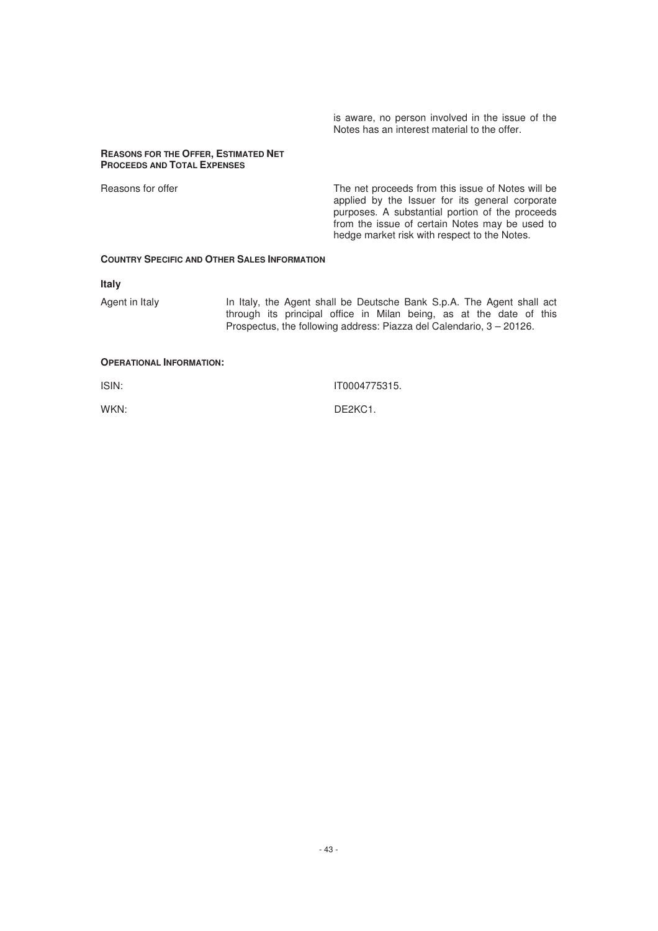is aware, no person involved in the issue of the Notes has an interest material to the offer.

#### **REASONS FOR THE OFFER, ESTIMATED NET PROCEEDS AND TOTAL EXPENSES**

Reasons for offer The net proceeds from this issue of Notes will be applied by the Issuer for its general corporate purposes. A substantial portion of the proceeds from the issue of certain Notes may be used to hedge market risk with respect to the Notes.

## **COUNTRY SPECIFIC AND OTHER SALES INFORMATION**

## **Italy**

Agent in Italy In Italy, the Agent shall be Deutsche Bank S.p.A. The Agent shall act through its principal office in Milan being, as at the date of this Prospectus, the following address: Piazza del Calendario, 3 – 20126.

# **OPERATIONAL INFORMATION:**

ISIN: IT0004775315.

WKN: DE2KC1.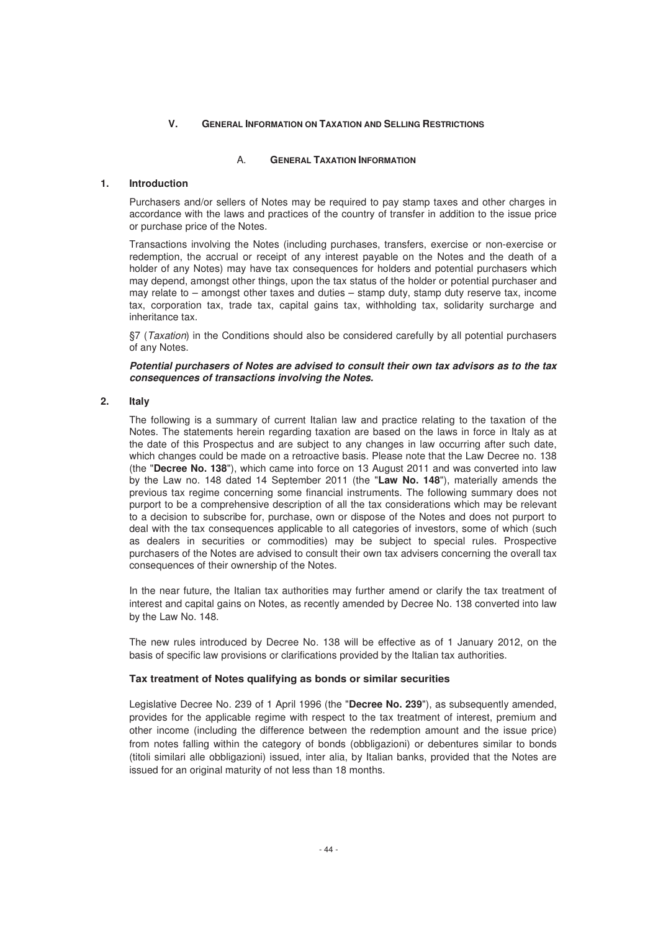# **V. GENERAL INFORMATION ON TAXATION AND SELLING RESTRICTIONS**

# A. **GENERAL TAXATION INFORMATION**

# **1. Introduction**

Purchasers and/or sellers of Notes may be required to pay stamp taxes and other charges in accordance with the laws and practices of the country of transfer in addition to the issue price or purchase price of the Notes.

Transactions involving the Notes (including purchases, transfers, exercise or non-exercise or redemption, the accrual or receipt of any interest payable on the Notes and the death of a holder of any Notes) may have tax consequences for holders and potential purchasers which may depend, amongst other things, upon the tax status of the holder or potential purchaser and may relate to – amongst other taxes and duties – stamp duty, stamp duty reserve tax, income tax, corporation tax, trade tax, capital gains tax, withholding tax, solidarity surcharge and inheritance tax.

§7 (Taxation) in the Conditions should also be considered carefully by all potential purchasers of any Notes.

## *Potential purchasers of Notes are advised to consult their own tax advisors as to the tax consequences of transactions involving the Notes.*

# **2. Italy**

The following is a summary of current Italian law and practice relating to the taxation of the Notes. The statements herein regarding taxation are based on the laws in force in Italy as at the date of this Prospectus and are subject to any changes in law occurring after such date, which changes could be made on a retroactive basis. Please note that the Law Decree no. 138 (the "**Decree No. 138**"), which came into force on 13 August 2011 and was converted into law by the Law no. 148 dated 14 September 2011 (the "**Law No. 148**"), materially amends the previous tax regime concerning some financial instruments. The following summary does not purport to be a comprehensive description of all the tax considerations which may be relevant to a decision to subscribe for, purchase, own or dispose of the Notes and does not purport to deal with the tax consequences applicable to all categories of investors, some of which (such as dealers in securities or commodities) may be subject to special rules. Prospective purchasers of the Notes are advised to consult their own tax advisers concerning the overall tax consequences of their ownership of the Notes.

In the near future, the Italian tax authorities may further amend or clarify the tax treatment of interest and capital gains on Notes, as recently amended by Decree No. 138 converted into law by the Law No. 148.

The new rules introduced by Decree No. 138 will be effective as of 1 January 2012, on the basis of specific law provisions or clarifications provided by the Italian tax authorities.

## **Tax treatment of Notes qualifying as bonds or similar securities**

Legislative Decree No. 239 of 1 April 1996 (the "**Decree No. 239**"), as subsequently amended, provides for the applicable regime with respect to the tax treatment of interest, premium and other income (including the difference between the redemption amount and the issue price) from notes falling within the category of bonds (obbligazioni) or debentures similar to bonds (titoli similari alle obbligazioni) issued, inter alia, by Italian banks, provided that the Notes are issued for an original maturity of not less than 18 months.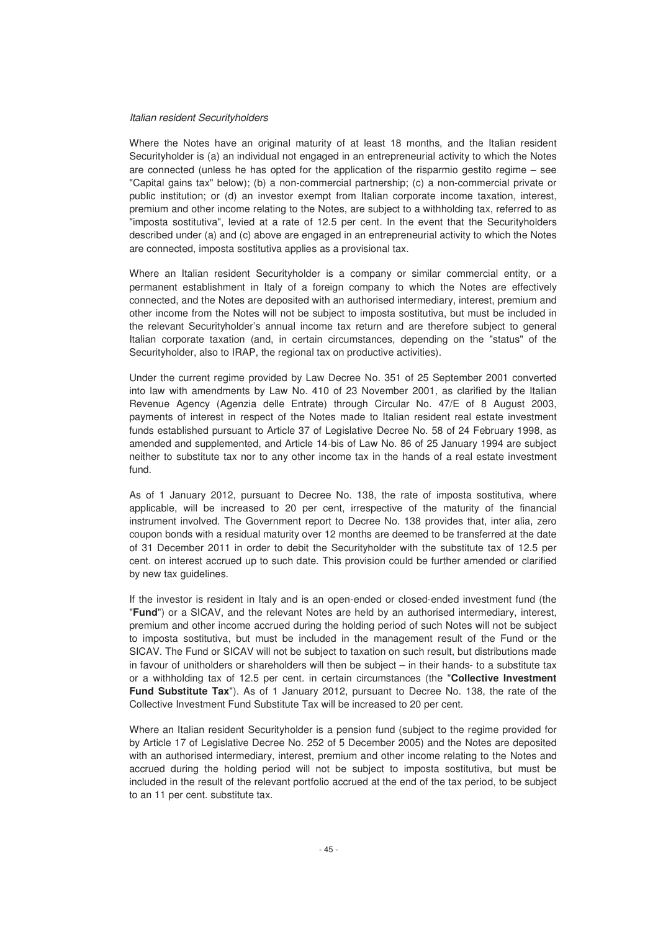#### Italian resident Securityholders

Where the Notes have an original maturity of at least 18 months, and the Italian resident Securityholder is (a) an individual not engaged in an entrepreneurial activity to which the Notes are connected (unless he has opted for the application of the risparmio gestito regime – see "Capital gains tax" below); (b) a non-commercial partnership; (c) a non-commercial private or public institution; or (d) an investor exempt from Italian corporate income taxation, interest, premium and other income relating to the Notes, are subject to a withholding tax, referred to as "imposta sostitutiva", levied at a rate of 12.5 per cent. In the event that the Securityholders described under (a) and (c) above are engaged in an entrepreneurial activity to which the Notes are connected, imposta sostitutiva applies as a provisional tax.

Where an Italian resident Securityholder is a company or similar commercial entity, or a permanent establishment in Italy of a foreign company to which the Notes are effectively connected, and the Notes are deposited with an authorised intermediary, interest, premium and other income from the Notes will not be subject to imposta sostitutiva, but must be included in the relevant Securityholder's annual income tax return and are therefore subject to general Italian corporate taxation (and, in certain circumstances, depending on the "status" of the Securityholder, also to IRAP, the regional tax on productive activities).

Under the current regime provided by Law Decree No. 351 of 25 September 2001 converted into law with amendments by Law No. 410 of 23 November 2001, as clarified by the Italian Revenue Agency (Agenzia delle Entrate) through Circular No. 47/E of 8 August 2003, payments of interest in respect of the Notes made to Italian resident real estate investment funds established pursuant to Article 37 of Legislative Decree No. 58 of 24 February 1998, as amended and supplemented, and Article 14-bis of Law No. 86 of 25 January 1994 are subject neither to substitute tax nor to any other income tax in the hands of a real estate investment fund.

As of 1 January 2012, pursuant to Decree No. 138, the rate of imposta sostitutiva, where applicable, will be increased to 20 per cent, irrespective of the maturity of the financial instrument involved. The Government report to Decree No. 138 provides that, inter alia, zero coupon bonds with a residual maturity over 12 months are deemed to be transferred at the date of 31 December 2011 in order to debit the Securityholder with the substitute tax of 12.5 per cent. on interest accrued up to such date. This provision could be further amended or clarified by new tax guidelines.

If the investor is resident in Italy and is an open-ended or closed-ended investment fund (the "**Fund**") or a SICAV, and the relevant Notes are held by an authorised intermediary, interest, premium and other income accrued during the holding period of such Notes will not be subject to imposta sostitutiva, but must be included in the management result of the Fund or the SICAV. The Fund or SICAV will not be subject to taxation on such result, but distributions made in favour of unitholders or shareholders will then be subject – in their hands- to a substitute tax or a withholding tax of 12.5 per cent. in certain circumstances (the "**Collective Investment Fund Substitute Tax**"). As of 1 January 2012, pursuant to Decree No. 138, the rate of the Collective Investment Fund Substitute Tax will be increased to 20 per cent.

Where an Italian resident Securityholder is a pension fund (subject to the regime provided for by Article 17 of Legislative Decree No. 252 of 5 December 2005) and the Notes are deposited with an authorised intermediary, interest, premium and other income relating to the Notes and accrued during the holding period will not be subject to imposta sostitutiva, but must be included in the result of the relevant portfolio accrued at the end of the tax period, to be subject to an 11 per cent. substitute tax.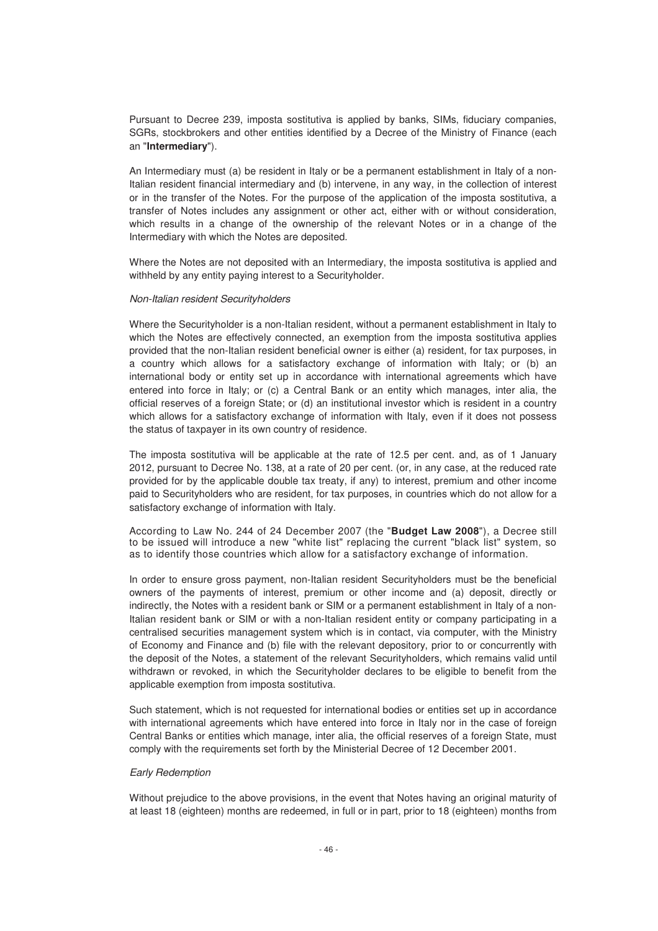Pursuant to Decree 239, imposta sostitutiva is applied by banks, SIMs, fiduciary companies, SGRs, stockbrokers and other entities identified by a Decree of the Ministry of Finance (each an "**Intermediary**").

An Intermediary must (a) be resident in Italy or be a permanent establishment in Italy of a non-Italian resident financial intermediary and (b) intervene, in any way, in the collection of interest or in the transfer of the Notes. For the purpose of the application of the imposta sostitutiva, a transfer of Notes includes any assignment or other act, either with or without consideration, which results in a change of the ownership of the relevant Notes or in a change of the Intermediary with which the Notes are deposited.

Where the Notes are not deposited with an Intermediary, the imposta sostitutiva is applied and withheld by any entity paying interest to a Securityholder.

#### Non-Italian resident Securityholders

Where the Securityholder is a non-Italian resident, without a permanent establishment in Italy to which the Notes are effectively connected, an exemption from the imposta sostitutiva applies provided that the non-Italian resident beneficial owner is either (a) resident, for tax purposes, in a country which allows for a satisfactory exchange of information with Italy; or (b) an international body or entity set up in accordance with international agreements which have entered into force in Italy; or (c) a Central Bank or an entity which manages, inter alia, the official reserves of a foreign State; or (d) an institutional investor which is resident in a country which allows for a satisfactory exchange of information with Italy, even if it does not possess the status of taxpayer in its own country of residence.

The imposta sostitutiva will be applicable at the rate of 12.5 per cent. and, as of 1 January 2012, pursuant to Decree No. 138, at a rate of 20 per cent. (or, in any case, at the reduced rate provided for by the applicable double tax treaty, if any) to interest, premium and other income paid to Securityholders who are resident, for tax purposes, in countries which do not allow for a satisfactory exchange of information with Italy.

According to Law No. 244 of 24 December 2007 (the "**Budget Law 2008**"), a Decree still to be issued will introduce a new "white list" replacing the current "black list" system, so as to identify those countries which allow for a satisfactory exchange of information.

In order to ensure gross payment, non-Italian resident Securityholders must be the beneficial owners of the payments of interest, premium or other income and (a) deposit, directly or indirectly, the Notes with a resident bank or SIM or a permanent establishment in Italy of a non-Italian resident bank or SIM or with a non-Italian resident entity or company participating in a centralised securities management system which is in contact, via computer, with the Ministry of Economy and Finance and (b) file with the relevant depository, prior to or concurrently with the deposit of the Notes, a statement of the relevant Securityholders, which remains valid until withdrawn or revoked, in which the Securityholder declares to be eligible to benefit from the applicable exemption from imposta sostitutiva.

Such statement, which is not requested for international bodies or entities set up in accordance with international agreements which have entered into force in Italy nor in the case of foreign Central Banks or entities which manage, inter alia, the official reserves of a foreign State, must comply with the requirements set forth by the Ministerial Decree of 12 December 2001.

## Early Redemption

Without prejudice to the above provisions, in the event that Notes having an original maturity of at least 18 (eighteen) months are redeemed, in full or in part, prior to 18 (eighteen) months from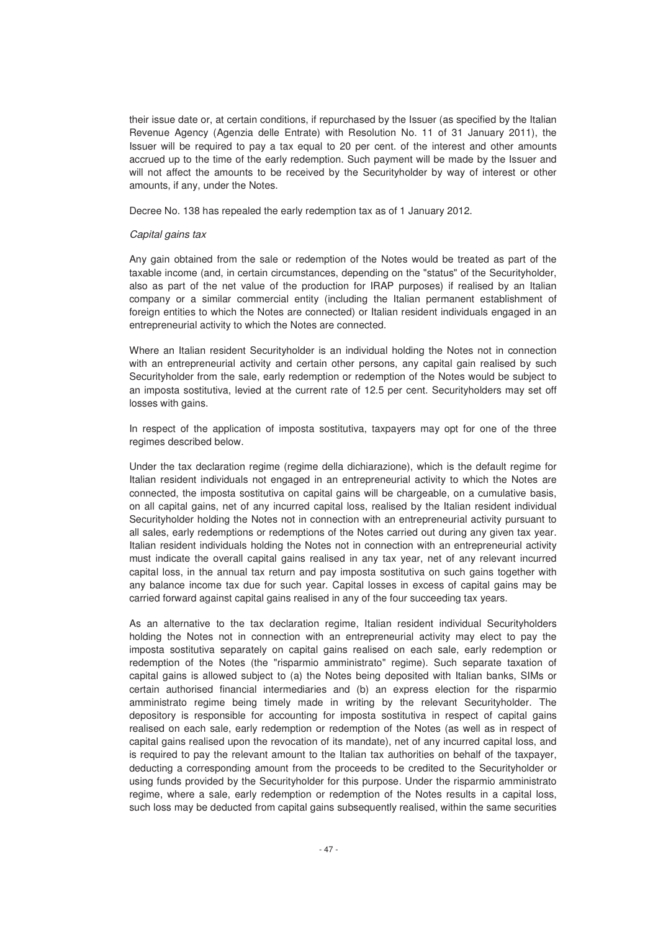their issue date or, at certain conditions, if repurchased by the Issuer (as specified by the Italian Revenue Agency (Agenzia delle Entrate) with Resolution No. 11 of 31 January 2011), the Issuer will be required to pay a tax equal to 20 per cent. of the interest and other amounts accrued up to the time of the early redemption. Such payment will be made by the Issuer and will not affect the amounts to be received by the Securityholder by way of interest or other amounts, if any, under the Notes.

Decree No. 138 has repealed the early redemption tax as of 1 January 2012.

#### Capital gains tax

Any gain obtained from the sale or redemption of the Notes would be treated as part of the taxable income (and, in certain circumstances, depending on the "status" of the Securityholder, also as part of the net value of the production for IRAP purposes) if realised by an Italian company or a similar commercial entity (including the Italian permanent establishment of foreign entities to which the Notes are connected) or Italian resident individuals engaged in an entrepreneurial activity to which the Notes are connected.

Where an Italian resident Securityholder is an individual holding the Notes not in connection with an entrepreneurial activity and certain other persons, any capital gain realised by such Securityholder from the sale, early redemption or redemption of the Notes would be subject to an imposta sostitutiva, levied at the current rate of 12.5 per cent. Securityholders may set off losses with gains.

In respect of the application of imposta sostitutiva, taxpayers may opt for one of the three regimes described below.

Under the tax declaration regime (regime della dichiarazione), which is the default regime for Italian resident individuals not engaged in an entrepreneurial activity to which the Notes are connected, the imposta sostitutiva on capital gains will be chargeable, on a cumulative basis, on all capital gains, net of any incurred capital loss, realised by the Italian resident individual Securityholder holding the Notes not in connection with an entrepreneurial activity pursuant to all sales, early redemptions or redemptions of the Notes carried out during any given tax year. Italian resident individuals holding the Notes not in connection with an entrepreneurial activity must indicate the overall capital gains realised in any tax year, net of any relevant incurred capital loss, in the annual tax return and pay imposta sostitutiva on such gains together with any balance income tax due for such year. Capital losses in excess of capital gains may be carried forward against capital gains realised in any of the four succeeding tax years.

As an alternative to the tax declaration regime, Italian resident individual Securityholders holding the Notes not in connection with an entrepreneurial activity may elect to pay the imposta sostitutiva separately on capital gains realised on each sale, early redemption or redemption of the Notes (the "risparmio amministrato" regime). Such separate taxation of capital gains is allowed subject to (a) the Notes being deposited with Italian banks, SIMs or certain authorised financial intermediaries and (b) an express election for the risparmio amministrato regime being timely made in writing by the relevant Securityholder. The depository is responsible for accounting for imposta sostitutiva in respect of capital gains realised on each sale, early redemption or redemption of the Notes (as well as in respect of capital gains realised upon the revocation of its mandate), net of any incurred capital loss, and is required to pay the relevant amount to the Italian tax authorities on behalf of the taxpayer, deducting a corresponding amount from the proceeds to be credited to the Securityholder or using funds provided by the Securityholder for this purpose. Under the risparmio amministrato regime, where a sale, early redemption or redemption of the Notes results in a capital loss, such loss may be deducted from capital gains subsequently realised, within the same securities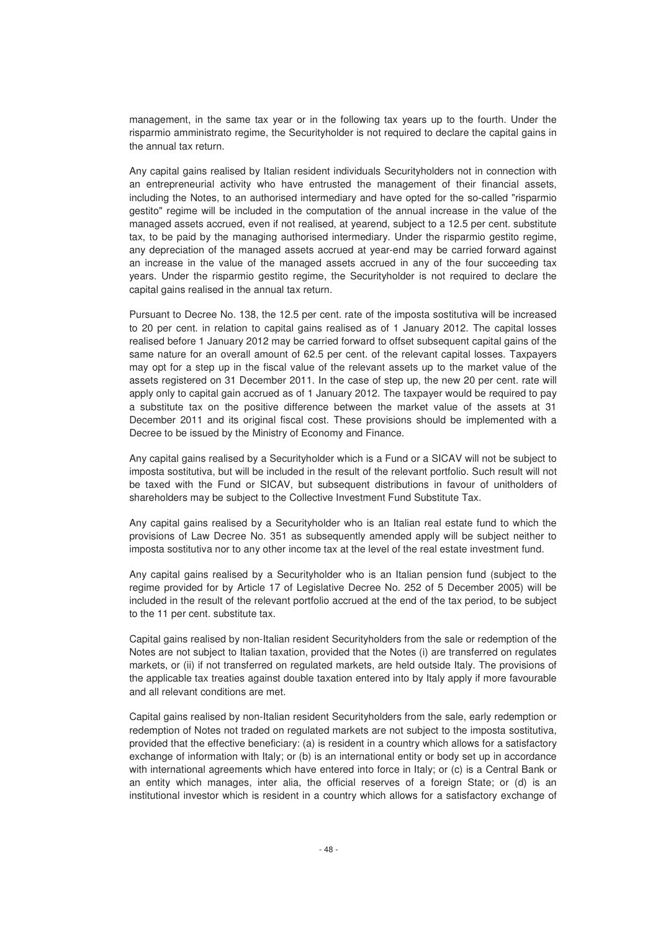management, in the same tax year or in the following tax years up to the fourth. Under the risparmio amministrato regime, the Securityholder is not required to declare the capital gains in the annual tax return.

Any capital gains realised by Italian resident individuals Securityholders not in connection with an entrepreneurial activity who have entrusted the management of their financial assets, including the Notes, to an authorised intermediary and have opted for the so-called "risparmio gestito" regime will be included in the computation of the annual increase in the value of the managed assets accrued, even if not realised, at yearend, subject to a 12.5 per cent. substitute tax, to be paid by the managing authorised intermediary. Under the risparmio gestito regime, any depreciation of the managed assets accrued at year-end may be carried forward against an increase in the value of the managed assets accrued in any of the four succeeding tax years. Under the risparmio gestito regime, the Securityholder is not required to declare the capital gains realised in the annual tax return.

Pursuant to Decree No. 138, the 12.5 per cent. rate of the imposta sostitutiva will be increased to 20 per cent. in relation to capital gains realised as of 1 January 2012. The capital losses realised before 1 January 2012 may be carried forward to offset subsequent capital gains of the same nature for an overall amount of 62.5 per cent. of the relevant capital losses. Taxpayers may opt for a step up in the fiscal value of the relevant assets up to the market value of the assets registered on 31 December 2011. In the case of step up, the new 20 per cent. rate will apply only to capital gain accrued as of 1 January 2012. The taxpayer would be required to pay a substitute tax on the positive difference between the market value of the assets at 31 December 2011 and its original fiscal cost. These provisions should be implemented with a Decree to be issued by the Ministry of Economy and Finance.

Any capital gains realised by a Securityholder which is a Fund or a SICAV will not be subject to imposta sostitutiva, but will be included in the result of the relevant portfolio. Such result will not be taxed with the Fund or SICAV, but subsequent distributions in favour of unitholders of shareholders may be subject to the Collective Investment Fund Substitute Tax.

Any capital gains realised by a Securityholder who is an Italian real estate fund to which the provisions of Law Decree No. 351 as subsequently amended apply will be subject neither to imposta sostitutiva nor to any other income tax at the level of the real estate investment fund.

Any capital gains realised by a Securityholder who is an Italian pension fund (subject to the regime provided for by Article 17 of Legislative Decree No. 252 of 5 December 2005) will be included in the result of the relevant portfolio accrued at the end of the tax period, to be subject to the 11 per cent. substitute tax.

Capital gains realised by non-Italian resident Securityholders from the sale or redemption of the Notes are not subject to Italian taxation, provided that the Notes (i) are transferred on regulates markets, or (ii) if not transferred on regulated markets, are held outside Italy. The provisions of the applicable tax treaties against double taxation entered into by Italy apply if more favourable and all relevant conditions are met.

Capital gains realised by non-Italian resident Securityholders from the sale, early redemption or redemption of Notes not traded on regulated markets are not subject to the imposta sostitutiva, provided that the effective beneficiary: (a) is resident in a country which allows for a satisfactory exchange of information with Italy; or (b) is an international entity or body set up in accordance with international agreements which have entered into force in Italy; or (c) is a Central Bank or an entity which manages, inter alia, the official reserves of a foreign State; or (d) is an institutional investor which is resident in a country which allows for a satisfactory exchange of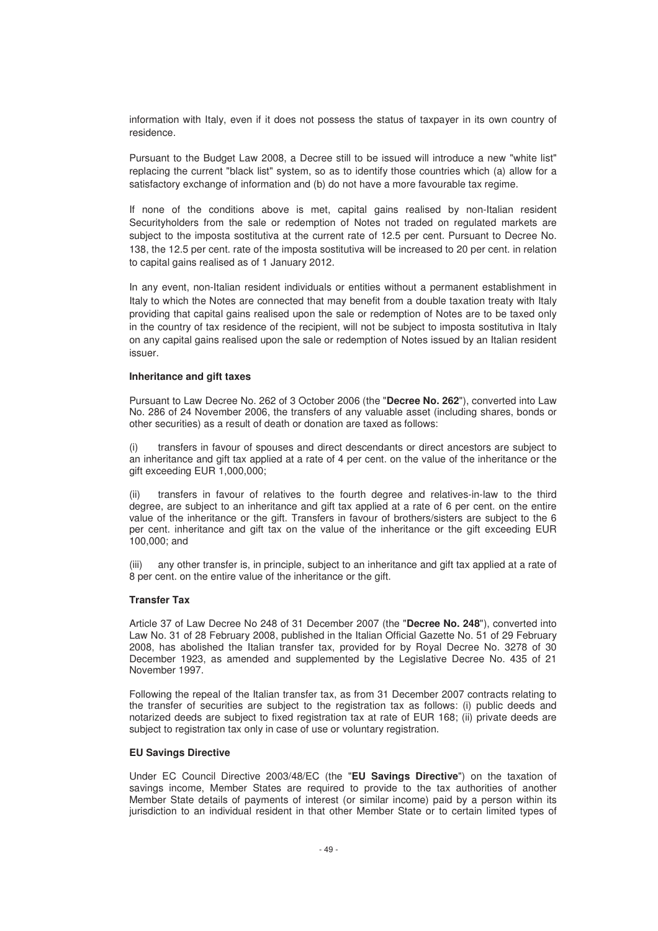information with Italy, even if it does not possess the status of taxpayer in its own country of residence.

Pursuant to the Budget Law 2008, a Decree still to be issued will introduce a new "white list" replacing the current "black list" system, so as to identify those countries which (a) allow for a satisfactory exchange of information and (b) do not have a more favourable tax regime.

If none of the conditions above is met, capital gains realised by non-Italian resident Securityholders from the sale or redemption of Notes not traded on regulated markets are subject to the imposta sostitutiva at the current rate of 12.5 per cent. Pursuant to Decree No. 138, the 12.5 per cent. rate of the imposta sostitutiva will be increased to 20 per cent. in relation to capital gains realised as of 1 January 2012.

In any event, non-Italian resident individuals or entities without a permanent establishment in Italy to which the Notes are connected that may benefit from a double taxation treaty with Italy providing that capital gains realised upon the sale or redemption of Notes are to be taxed only in the country of tax residence of the recipient, will not be subject to imposta sostitutiva in Italy on any capital gains realised upon the sale or redemption of Notes issued by an Italian resident issuer.

#### **Inheritance and gift taxes**

Pursuant to Law Decree No. 262 of 3 October 2006 (the "**Decree No. 262**"), converted into Law No. 286 of 24 November 2006, the transfers of any valuable asset (including shares, bonds or other securities) as a result of death or donation are taxed as follows:

(i) transfers in favour of spouses and direct descendants or direct ancestors are subject to an inheritance and gift tax applied at a rate of 4 per cent. on the value of the inheritance or the gift exceeding EUR 1,000,000;

(ii) transfers in favour of relatives to the fourth degree and relatives-in-law to the third degree, are subject to an inheritance and gift tax applied at a rate of 6 per cent. on the entire value of the inheritance or the gift. Transfers in favour of brothers/sisters are subject to the 6 per cent. inheritance and gift tax on the value of the inheritance or the gift exceeding EUR 100,000; and

(iii) any other transfer is, in principle, subject to an inheritance and gift tax applied at a rate of 8 per cent. on the entire value of the inheritance or the gift.

# **Transfer Tax**

Article 37 of Law Decree No 248 of 31 December 2007 (the "**Decree No. 248**"), converted into Law No. 31 of 28 February 2008, published in the Italian Official Gazette No. 51 of 29 February 2008, has abolished the Italian transfer tax, provided for by Royal Decree No. 3278 of 30 December 1923, as amended and supplemented by the Legislative Decree No. 435 of 21 November 1997.

Following the repeal of the Italian transfer tax, as from 31 December 2007 contracts relating to the transfer of securities are subject to the registration tax as follows: (i) public deeds and notarized deeds are subject to fixed registration tax at rate of EUR 168; (ii) private deeds are subject to registration tax only in case of use or voluntary registration.

#### **EU Savings Directive**

Under EC Council Directive 2003/48/EC (the "**EU Savings Directive**") on the taxation of savings income, Member States are required to provide to the tax authorities of another Member State details of payments of interest (or similar income) paid by a person within its jurisdiction to an individual resident in that other Member State or to certain limited types of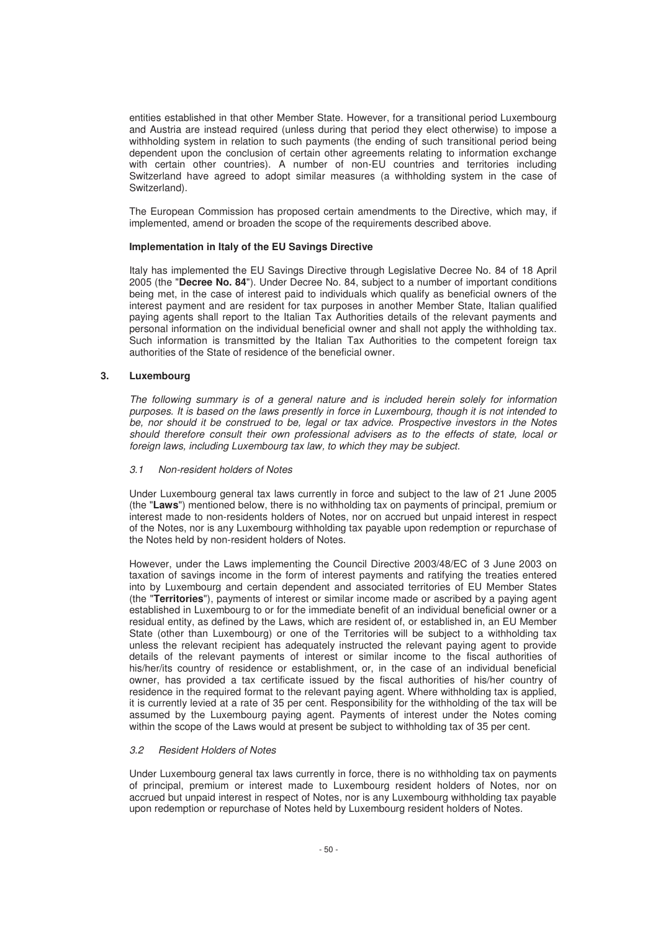entities established in that other Member State. However, for a transitional period Luxembourg and Austria are instead required (unless during that period they elect otherwise) to impose a withholding system in relation to such payments (the ending of such transitional period being dependent upon the conclusion of certain other agreements relating to information exchange with certain other countries). A number of non-EU countries and territories including Switzerland have agreed to adopt similar measures (a withholding system in the case of Switzerland).

The European Commission has proposed certain amendments to the Directive, which may, if implemented, amend or broaden the scope of the requirements described above.

## **Implementation in Italy of the EU Savings Directive**

Italy has implemented the EU Savings Directive through Legislative Decree No. 84 of 18 April 2005 (the "**Decree No. 84**"). Under Decree No. 84, subject to a number of important conditions being met, in the case of interest paid to individuals which qualify as beneficial owners of the interest payment and are resident for tax purposes in another Member State, Italian qualified paying agents shall report to the Italian Tax Authorities details of the relevant payments and personal information on the individual beneficial owner and shall not apply the withholding tax. Such information is transmitted by the Italian Tax Authorities to the competent foreign tax authorities of the State of residence of the beneficial owner.

#### **3. Luxembourg**

The following summary is of a general nature and is included herein solely for information purposes. It is based on the laws presently in force in Luxembourg, though it is not intended to be, nor should it be construed to be, legal or tax advice. Prospective investors in the Notes should therefore consult their own professional advisers as to the effects of state, local or foreign laws, including Luxembourg tax law, to which they may be subject.

# 3.1 Non-resident holders of Notes

Under Luxembourg general tax laws currently in force and subject to the law of 21 June 2005 (the "**Laws**") mentioned below, there is no withholding tax on payments of principal, premium or interest made to non-residents holders of Notes, nor on accrued but unpaid interest in respect of the Notes, nor is any Luxembourg withholding tax payable upon redemption or repurchase of the Notes held by non-resident holders of Notes.

However, under the Laws implementing the Council Directive 2003/48/EC of 3 June 2003 on taxation of savings income in the form of interest payments and ratifying the treaties entered into by Luxembourg and certain dependent and associated territories of EU Member States (the "**Territories**"), payments of interest or similar income made or ascribed by a paying agent established in Luxembourg to or for the immediate benefit of an individual beneficial owner or a residual entity, as defined by the Laws, which are resident of, or established in, an EU Member State (other than Luxembourg) or one of the Territories will be subject to a withholding tax unless the relevant recipient has adequately instructed the relevant paying agent to provide details of the relevant payments of interest or similar income to the fiscal authorities of his/her/its country of residence or establishment, or, in the case of an individual beneficial owner, has provided a tax certificate issued by the fiscal authorities of his/her country of residence in the required format to the relevant paying agent. Where withholding tax is applied, it is currently levied at a rate of 35 per cent. Responsibility for the withholding of the tax will be assumed by the Luxembourg paying agent. Payments of interest under the Notes coming within the scope of the Laws would at present be subject to withholding tax of 35 per cent.

#### 3.2 Resident Holders of Notes

Under Luxembourg general tax laws currently in force, there is no withholding tax on payments of principal, premium or interest made to Luxembourg resident holders of Notes, nor on accrued but unpaid interest in respect of Notes, nor is any Luxembourg withholding tax payable upon redemption or repurchase of Notes held by Luxembourg resident holders of Notes.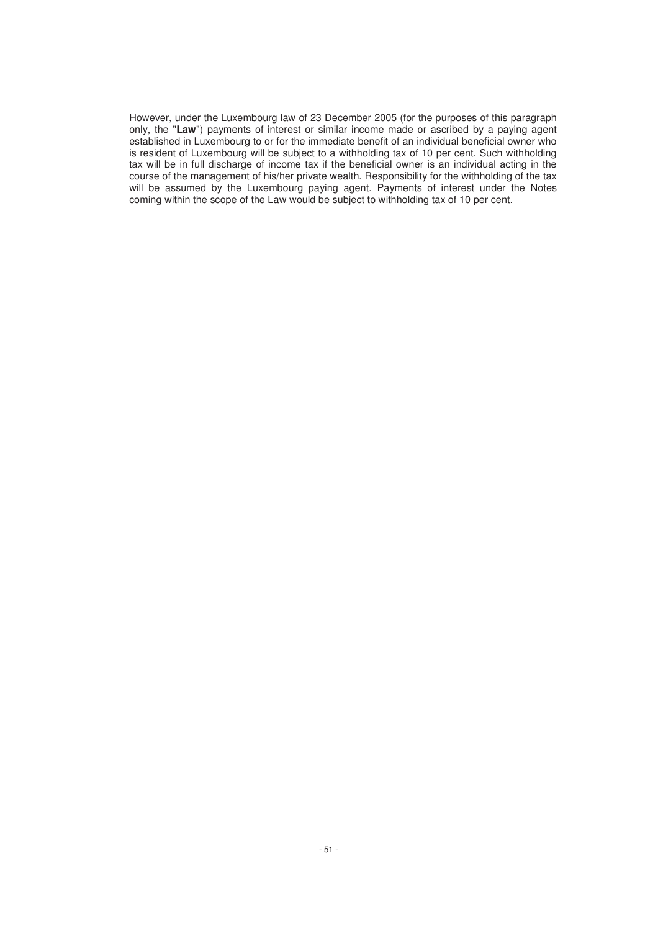However, under the Luxembourg law of 23 December 2005 (for the purposes of this paragraph only, the "**Law**") payments of interest or similar income made or ascribed by a paying agent established in Luxembourg to or for the immediate benefit of an individual beneficial owner who is resident of Luxembourg will be subject to a withholding tax of 10 per cent. Such withholding tax will be in full discharge of income tax if the beneficial owner is an individual acting in the course of the management of his/her private wealth. Responsibility for the withholding of the tax will be assumed by the Luxembourg paying agent. Payments of interest under the Notes coming within the scope of the Law would be subject to withholding tax of 10 per cent.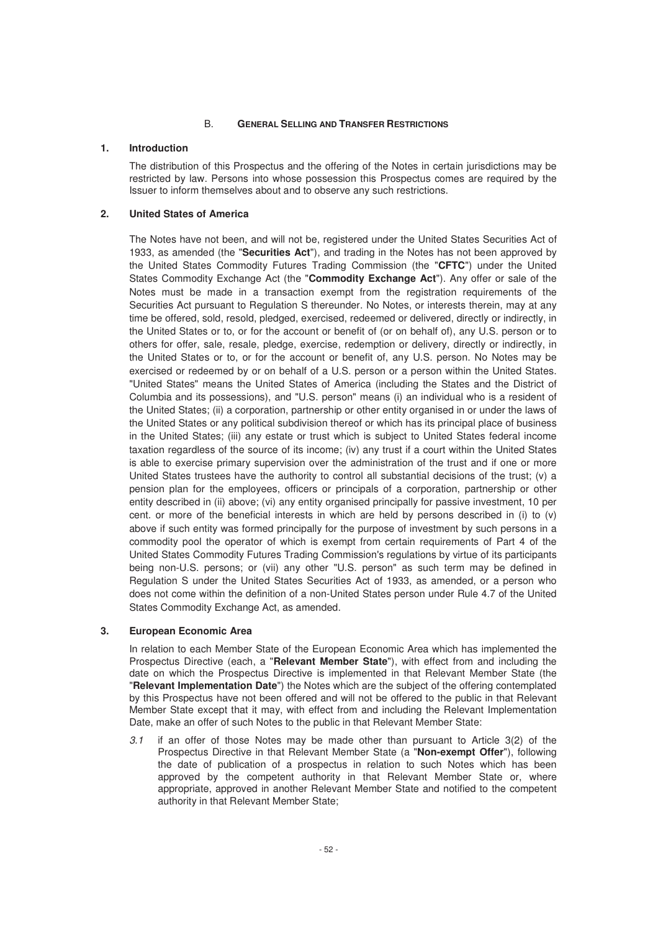## B. **GENERAL SELLING AND TRANSFER RESTRICTIONS**

## **1. Introduction**

The distribution of this Prospectus and the offering of the Notes in certain jurisdictions may be restricted by law. Persons into whose possession this Prospectus comes are required by the Issuer to inform themselves about and to observe any such restrictions.

# **2. United States of America**

The Notes have not been, and will not be, registered under the United States Securities Act of 1933, as amended (the "**Securities Act**"), and trading in the Notes has not been approved by the United States Commodity Futures Trading Commission (the "**CFTC**") under the United States Commodity Exchange Act (the "**Commodity Exchange Act**"). Any offer or sale of the Notes must be made in a transaction exempt from the registration requirements of the Securities Act pursuant to Regulation S thereunder. No Notes, or interests therein, may at any time be offered, sold, resold, pledged, exercised, redeemed or delivered, directly or indirectly, in the United States or to, or for the account or benefit of (or on behalf of), any U.S. person or to others for offer, sale, resale, pledge, exercise, redemption or delivery, directly or indirectly, in the United States or to, or for the account or benefit of, any U.S. person. No Notes may be exercised or redeemed by or on behalf of a U.S. person or a person within the United States. "United States" means the United States of America (including the States and the District of Columbia and its possessions), and "U.S. person" means (i) an individual who is a resident of the United States; (ii) a corporation, partnership or other entity organised in or under the laws of the United States or any political subdivision thereof or which has its principal place of business in the United States; (iii) any estate or trust which is subject to United States federal income taxation regardless of the source of its income; (iv) any trust if a court within the United States is able to exercise primary supervision over the administration of the trust and if one or more United States trustees have the authority to control all substantial decisions of the trust; (v) a pension plan for the employees, officers or principals of a corporation, partnership or other entity described in (ii) above; (vi) any entity organised principally for passive investment, 10 per cent. or more of the beneficial interests in which are held by persons described in (i) to (v) above if such entity was formed principally for the purpose of investment by such persons in a commodity pool the operator of which is exempt from certain requirements of Part 4 of the United States Commodity Futures Trading Commission's regulations by virtue of its participants being non-U.S. persons; or (vii) any other "U.S. person" as such term may be defined in Regulation S under the United States Securities Act of 1933, as amended, or a person who does not come within the definition of a non-United States person under Rule 4.7 of the United States Commodity Exchange Act, as amended.

## **3. European Economic Area**

In relation to each Member State of the European Economic Area which has implemented the Prospectus Directive (each, a "**Relevant Member State**"), with effect from and including the date on which the Prospectus Directive is implemented in that Relevant Member State (the "**Relevant Implementation Date**") the Notes which are the subject of the offering contemplated by this Prospectus have not been offered and will not be offered to the public in that Relevant Member State except that it may, with effect from and including the Relevant Implementation Date, make an offer of such Notes to the public in that Relevant Member State:

3.1 if an offer of those Notes may be made other than pursuant to Article 3(2) of the Prospectus Directive in that Relevant Member State (a "**Non-exempt Offer**"), following the date of publication of a prospectus in relation to such Notes which has been approved by the competent authority in that Relevant Member State or, where appropriate, approved in another Relevant Member State and notified to the competent authority in that Relevant Member State;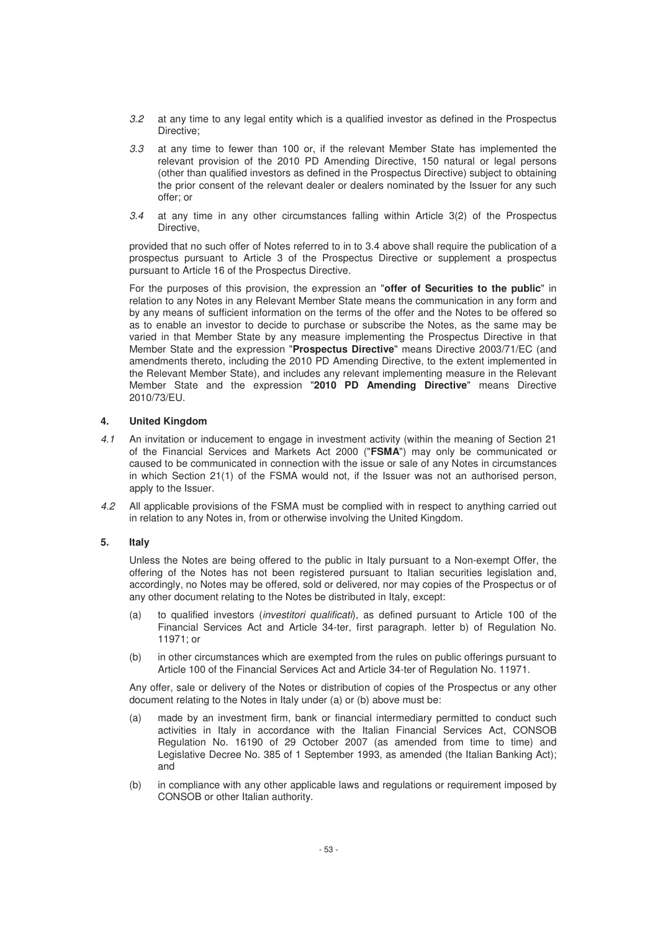- 3.2 at any time to any legal entity which is a qualified investor as defined in the Prospectus Directive;
- 3.3 at any time to fewer than 100 or, if the relevant Member State has implemented the relevant provision of the 2010 PD Amending Directive, 150 natural or legal persons (other than qualified investors as defined in the Prospectus Directive) subject to obtaining the prior consent of the relevant dealer or dealers nominated by the Issuer for any such offer; or
- 3.4 at any time in any other circumstances falling within Article 3(2) of the Prospectus Directive,

provided that no such offer of Notes referred to in to 3.4 above shall require the publication of a prospectus pursuant to Article 3 of the Prospectus Directive or supplement a prospectus pursuant to Article 16 of the Prospectus Directive.

For the purposes of this provision, the expression an "**offer of Securities to the public**" in relation to any Notes in any Relevant Member State means the communication in any form and by any means of sufficient information on the terms of the offer and the Notes to be offered so as to enable an investor to decide to purchase or subscribe the Notes, as the same may be varied in that Member State by any measure implementing the Prospectus Directive in that Member State and the expression "**Prospectus Directive**" means Directive 2003/71/EC (and amendments thereto, including the 2010 PD Amending Directive, to the extent implemented in the Relevant Member State), and includes any relevant implementing measure in the Relevant Member State and the expression "**2010 PD Amending Directive**" means Directive 2010/73/EU.

# **4. United Kingdom**

- 4.1 An invitation or inducement to engage in investment activity (within the meaning of Section 21 of the Financial Services and Markets Act 2000 ("**FSMA**") may only be communicated or caused to be communicated in connection with the issue or sale of any Notes in circumstances in which Section 21(1) of the FSMA would not, if the Issuer was not an authorised person, apply to the Issuer.
- 4.2 All applicable provisions of the FSMA must be complied with in respect to anything carried out in relation to any Notes in, from or otherwise involving the United Kingdom.

# **5. Italy**

Unless the Notes are being offered to the public in Italy pursuant to a Non-exempt Offer, the offering of the Notes has not been registered pursuant to Italian securities legislation and, accordingly, no Notes may be offered, sold or delivered, nor may copies of the Prospectus or of any other document relating to the Notes be distributed in Italy, except:

- (a) to qualified investors (investitori qualificati), as defined pursuant to Article 100 of the Financial Services Act and Article 34-ter, first paragraph. letter b) of Regulation No. 11971; or
- (b) in other circumstances which are exempted from the rules on public offerings pursuant to Article 100 of the Financial Services Act and Article 34-ter of Regulation No. 11971.

Any offer, sale or delivery of the Notes or distribution of copies of the Prospectus or any other document relating to the Notes in Italy under (a) or (b) above must be:

- (a) made by an investment firm, bank or financial intermediary permitted to conduct such activities in Italy in accordance with the Italian Financial Services Act, CONSOB Regulation No. 16190 of 29 October 2007 (as amended from time to time) and Legislative Decree No. 385 of 1 September 1993, as amended (the Italian Banking Act); and
- (b) in compliance with any other applicable laws and regulations or requirement imposed by CONSOB or other Italian authority.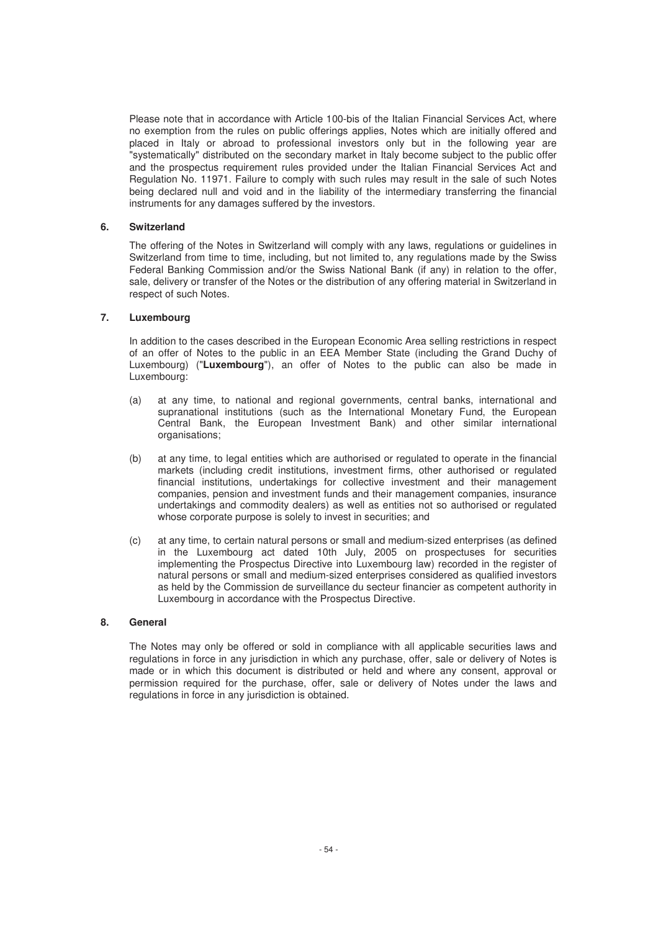Please note that in accordance with Article 100-bis of the Italian Financial Services Act, where no exemption from the rules on public offerings applies, Notes which are initially offered and placed in Italy or abroad to professional investors only but in the following year are "systematically" distributed on the secondary market in Italy become subject to the public offer and the prospectus requirement rules provided under the Italian Financial Services Act and Regulation No. 11971. Failure to comply with such rules may result in the sale of such Notes being declared null and void and in the liability of the intermediary transferring the financial instruments for any damages suffered by the investors.

# **6. Switzerland**

The offering of the Notes in Switzerland will comply with any laws, regulations or guidelines in Switzerland from time to time, including, but not limited to, any regulations made by the Swiss Federal Banking Commission and/or the Swiss National Bank (if any) in relation to the offer, sale, delivery or transfer of the Notes or the distribution of any offering material in Switzerland in respect of such Notes.

# **7. Luxembourg**

In addition to the cases described in the European Economic Area selling restrictions in respect of an offer of Notes to the public in an EEA Member State (including the Grand Duchy of Luxembourg) ("**Luxembourg**"), an offer of Notes to the public can also be made in Luxembourg:

- (a) at any time, to national and regional governments, central banks, international and supranational institutions (such as the International Monetary Fund, the European Central Bank, the European Investment Bank) and other similar international organisations;
- (b) at any time, to legal entities which are authorised or regulated to operate in the financial markets (including credit institutions, investment firms, other authorised or regulated financial institutions, undertakings for collective investment and their management companies, pension and investment funds and their management companies, insurance undertakings and commodity dealers) as well as entities not so authorised or regulated whose corporate purpose is solely to invest in securities; and
- (c) at any time, to certain natural persons or small and medium-sized enterprises (as defined in the Luxembourg act dated 10th July, 2005 on prospectuses for securities implementing the Prospectus Directive into Luxembourg law) recorded in the register of natural persons or small and medium-sized enterprises considered as qualified investors as held by the Commission de surveillance du secteur financier as competent authority in Luxembourg in accordance with the Prospectus Directive.

# **8. General**

The Notes may only be offered or sold in compliance with all applicable securities laws and regulations in force in any jurisdiction in which any purchase, offer, sale or delivery of Notes is made or in which this document is distributed or held and where any consent, approval or permission required for the purchase, offer, sale or delivery of Notes under the laws and regulations in force in any jurisdiction is obtained.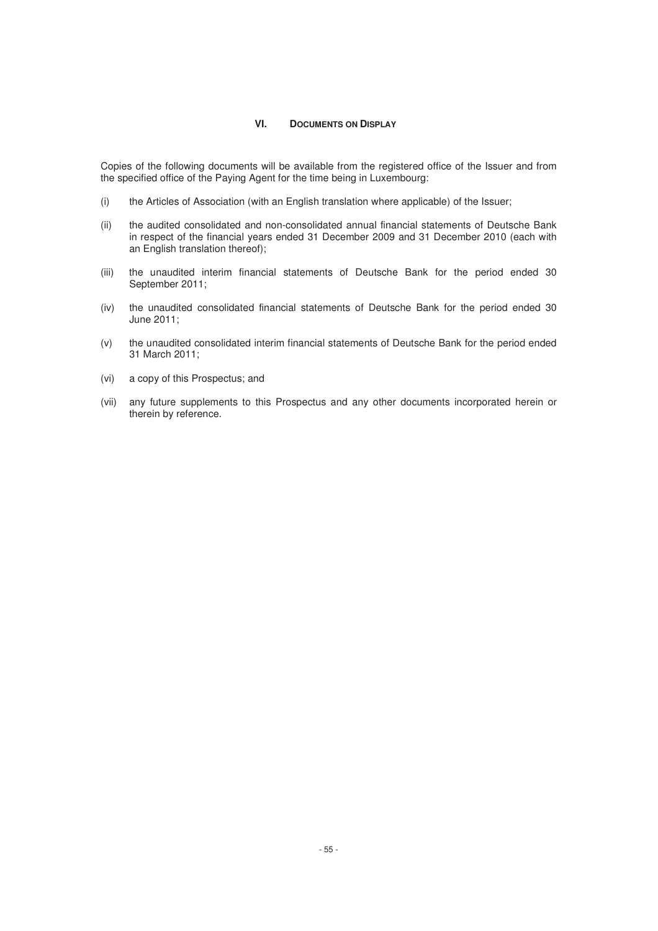#### **VI. DOCUMENTS ON DISPLAY**

Copies of the following documents will be available from the registered office of the Issuer and from the specified office of the Paying Agent for the time being in Luxembourg:

- (i) the Articles of Association (with an English translation where applicable) of the Issuer;
- (ii) the audited consolidated and non-consolidated annual financial statements of Deutsche Bank in respect of the financial years ended 31 December 2009 and 31 December 2010 (each with an English translation thereof);
- (iii) the unaudited interim financial statements of Deutsche Bank for the period ended 30 September 2011;
- (iv) the unaudited consolidated financial statements of Deutsche Bank for the period ended 30 June 2011;
- (v) the unaudited consolidated interim financial statements of Deutsche Bank for the period ended 31 March 2011;
- (vi) a copy of this Prospectus; and
- (vii) any future supplements to this Prospectus and any other documents incorporated herein or therein by reference.